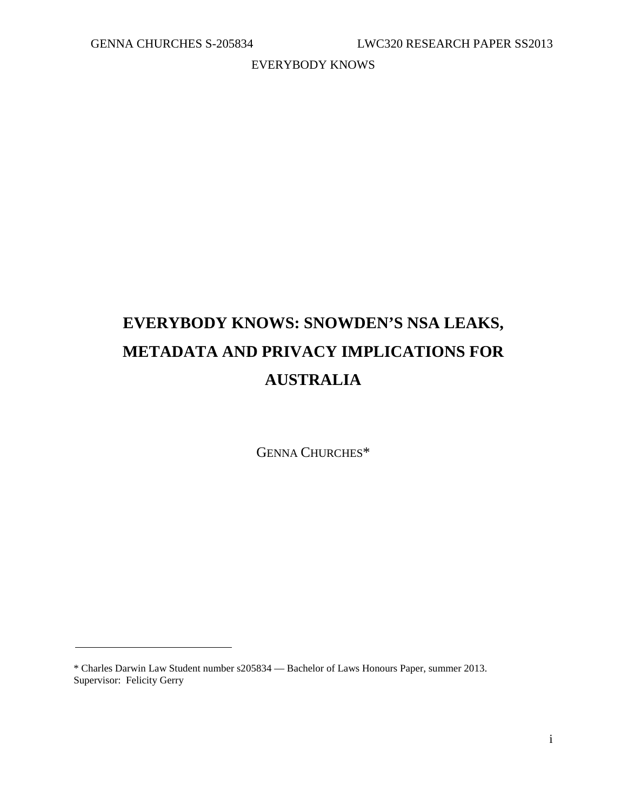# **EVERYBODY KNOWS: SNOWDEN'S NSA LEAKS, METADATA AND PRIVACY IMPLICATIONS FOR AUSTRALIA**

GENNA CHURCHES\*

<sup>\*</sup> Charles Darwin Law Student number s205834 — Bachelor of Laws Honours Paper, summer 2013. Supervisor: Felicity Gerry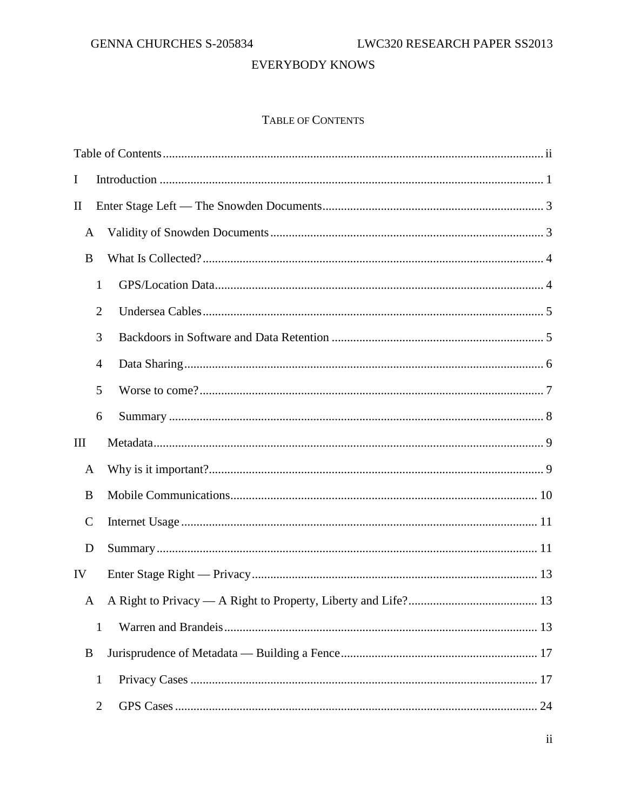# TABLE OF CONTENTS

<span id="page-1-0"></span>

| $\bf{I}$       |  |  |
|----------------|--|--|
| $\mathbf{I}$   |  |  |
| A              |  |  |
| B              |  |  |
| $\mathbf{1}$   |  |  |
| $\overline{2}$ |  |  |
| 3              |  |  |
| 4              |  |  |
| 5              |  |  |
| 6              |  |  |
| Ш              |  |  |
| A              |  |  |
| B              |  |  |
| $\mathsf{C}$   |  |  |
| D              |  |  |
| IV             |  |  |
| A              |  |  |
| $\mathbf{1}$   |  |  |
| B              |  |  |
| $\mathbf{1}$   |  |  |
| $\overline{2}$ |  |  |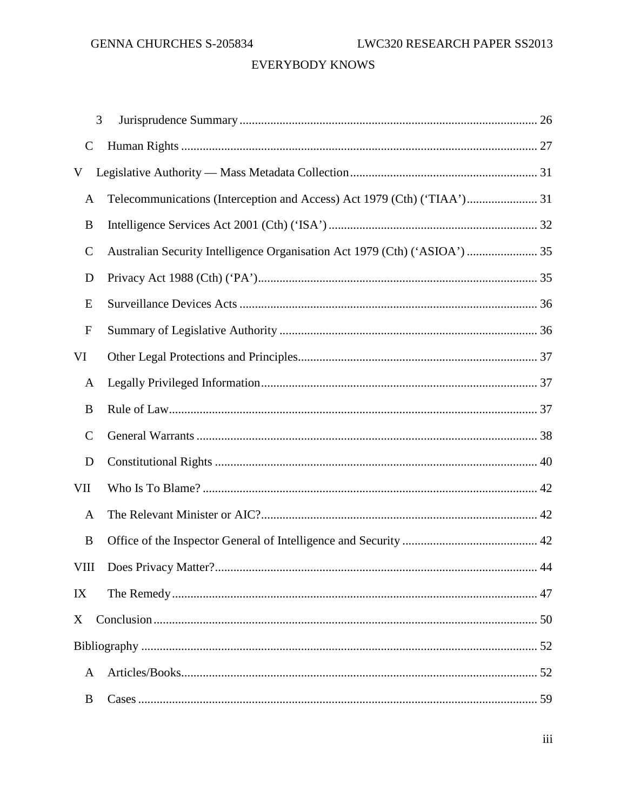| 3             |                                                                            |    |  |
|---------------|----------------------------------------------------------------------------|----|--|
| $\mathsf{C}$  |                                                                            |    |  |
| V             |                                                                            |    |  |
| A             | Telecommunications (Interception and Access) Act 1979 (Cth) ('TIAA') 31    |    |  |
| B             |                                                                            |    |  |
| $\mathcal{C}$ | Australian Security Intelligence Organisation Act 1979 (Cth) ('ASIOA')  35 |    |  |
| D             |                                                                            |    |  |
| E             |                                                                            |    |  |
| ${\bf F}$     |                                                                            |    |  |
| VI            |                                                                            |    |  |
| A             |                                                                            |    |  |
| B             |                                                                            |    |  |
| $\mathsf{C}$  |                                                                            |    |  |
| D             |                                                                            |    |  |
| <b>VII</b>    |                                                                            |    |  |
| A             |                                                                            |    |  |
| B             |                                                                            |    |  |
| VIII          |                                                                            | 44 |  |
| IX            |                                                                            |    |  |
| X             |                                                                            |    |  |
|               |                                                                            |    |  |
| $\mathbf{A}$  |                                                                            |    |  |
| B             |                                                                            |    |  |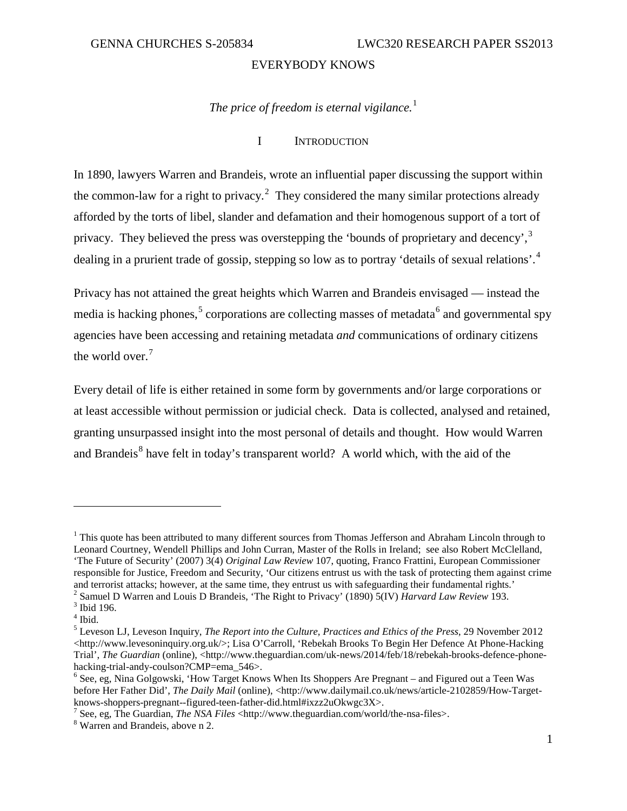# *The price of freedom is eternal vigilance.* [1](#page-4-1)

#### I INTRODUCTION

<span id="page-4-0"></span>In 1890, lawyers Warren and Brandeis, wrote an influential paper discussing the support within the common-law for a right to privacy.<sup>[2](#page-4-2)</sup> They considered the many similar protections already afforded by the torts of libel, slander and defamation and their homogenous support of a tort of privacy. They believed the press was overstepping the 'bounds of proprietary and decency',  $3\overline{ }$  $3\overline{ }$ dealing in a prurient trade of gossip, stepping so low as to portray 'details of sexual relations'.<sup>[4](#page-4-4)</sup>

Privacy has not attained the great heights which Warren and Brandeis envisaged — instead the media is hacking phones,<sup>[5](#page-4-5)</sup> corporations are collecting masses of metadata<sup>[6](#page-4-6)</sup> and governmental spy agencies have been accessing and retaining metadata *and* communications of ordinary citizens the world over.<sup>[7](#page-4-7)</sup>

Every detail of life is either retained in some form by governments and/or large corporations or at least accessible without permission or judicial check. Data is collected, analysed and retained, granting unsurpassed insight into the most personal of details and thought. How would Warren and Brandeis<sup>[8](#page-4-8)</sup> have felt in today's transparent world? A world which, with the aid of the

<span id="page-4-1"></span><sup>&</sup>lt;sup>1</sup> This quote has been attributed to many different sources from Thomas Jefferson and Abraham Lincoln through to Leonard Courtney, Wendell Phillips and John Curran, Master of the Rolls in Ireland; see also Robert McClelland, 'The Future of Security' (2007) 3(4) *Original Law Review* 107, quoting, Franco Frattini, European Commissioner responsible for Justice, Freedom and Security, 'Our citizens entrust us with the task of protecting them against crime and terrorist attacks; however, at the same time, they entrust us with safeguarding their fundamental rights.<sup>2</sup> Samuel D Warren and Louis D Brandeis, 'The Right to Privacy' (1890) 5(IV) *Harvard Law Review* 193.<sup>3</sup> Ibid

<span id="page-4-4"></span><span id="page-4-3"></span><span id="page-4-2"></span>

 $^4$  Ibid.  $\,$ 

<span id="page-4-5"></span><sup>5</sup> Leveson LJ, Leveson Inquiry, *The Report into the Culture, Practices and Ethics of the Press*, 29 November 2012 <http://www.levesoninquiry.org.uk/>; Lisa O'Carroll, 'Rebekah Brooks To Begin Her Defence At Phone-Hacking Trial', *The Guardian* (online), <http://www.theguardian.com/uk-news/2014/feb/18/rebekah-brooks-defence-phonehacking-trial-andy-coulson?CMP=ema\_546>.<br><sup>6</sup> See, eg, Nina Golgowski, 'How Target Knows When Its Shoppers Are Pregnant – and Figured out a Teen Was

<span id="page-4-6"></span>before Her Father Did', *The Daily Mail* (online), <http://www.dailymail.co.uk/news/article-2102859/How-Target-knows-shoppers-pregnant--figured-teen-father-did.html#ixzz2uOkwgc3X>.

<span id="page-4-8"></span><span id="page-4-7"></span><sup>&</sup>lt;sup>7</sup> See, eg, The Guardian, *The NSA Files* <http://www.theguardian.com/world/the-nsa-files>. <sup>8</sup> Warren and Brandeis, above n 2.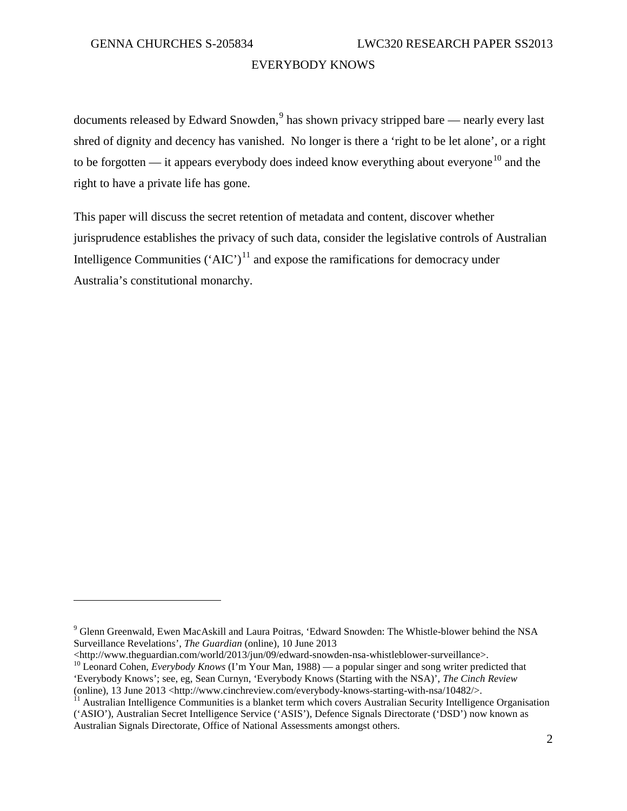$\overline{a}$ 

#### EVERYBODY KNOWS

documents released by Edward Snowden, $9$  has shown privacy stripped bare — nearly every last shred of dignity and decency has vanished. No longer is there a 'right to be let alone', or a right to be forgotten — it appears everybody does indeed know everything about everyone<sup>[10](#page-5-1)</sup> and the right to have a private life has gone.

This paper will discuss the secret retention of metadata and content, discover whether jurisprudence establishes the privacy of such data, consider the legislative controls of Australian Intelligence Communities  $({^4}$ AIC')<sup>[11](#page-5-2)</sup> and expose the ramifications for democracy under Australia's constitutional monarchy.

<span id="page-5-0"></span><sup>9</sup> Glenn Greenwald, Ewen MacAskill and Laura Poitras, 'Edward Snowden: The Whistle-blower behind the NSA Surveillance Revelations', *The Guardian* (online), 10 June 2013<br>
<http://www.theguardian.com/world/2013/jun/09/edward-snowden-nsa-whistleblower-surveillance>.

<span id="page-5-1"></span><sup>&</sup>lt;sup>10</sup> Leonard Cohen, *Everybody Knows* (I'm Your Man, 1988) — a popular singer and song writer predicted that 'Everybody Knows'; see, eg, Sean Curnyn, 'Everybody Knows (Starting with the NSA)', *The Cinch Review*

<span id="page-5-2"></span>Australian Intelligence Communities is a blanket term which covers Australian Security Intelligence Organisation ('ASIO'), Australian Secret Intelligence Service ('ASIS'), Defence Signals Directorate ('DSD') now known as Australian Signals Directorate, Office of National Assessments amongst others.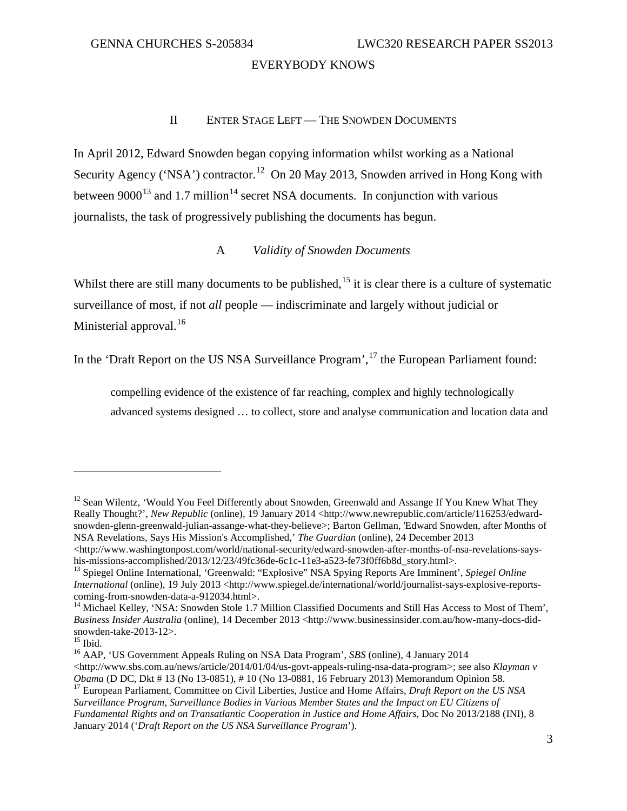#### II ENTER STAGE LEFT — THE SNOWDEN DOCUMENTS

<span id="page-6-0"></span>In April 2012, Edward Snowden began copying information whilst working as a National Security Agency ('NSA') contractor.<sup>12</sup> On 20 May 2013, Snowden arrived in Hong Kong with between  $9000^{13}$  $9000^{13}$  $9000^{13}$  and 1.7 million<sup>[14](#page-6-4)</sup> secret NSA documents. In conjunction with various journalists, the task of progressively publishing the documents has begun.

### A *Validity of Snowden Documents*

<span id="page-6-1"></span>Whilst there are still many documents to be published,<sup>[15](#page-6-5)</sup> it is clear there is a culture of systematic surveillance of most, if not *all* people — indiscriminate and largely without judicial or Ministerial approval.<sup>[16](#page-6-6)</sup>

In the 'Draft Report on the US NSA Surveillance Program',<sup>[17](#page-6-7)</sup> the European Parliament found:

compelling evidence of the existence of far reaching, complex and highly technologically advanced systems designed … to collect, store and analyse communication and location data and

<span id="page-6-2"></span><sup>&</sup>lt;sup>12</sup> Sean Wilentz, 'Would You Feel Differently about Snowden, Greenwald and Assange If You Knew What They Really Thought?', *New Republic* (online), 19 January 2014 <http://www.newrepublic.com/article/116253/edwardsnowden-glenn-greenwald-julian-assange-what-they-believe>; Barton Gellman, 'Edward Snowden, after Months of NSA Revelations, Says His Mission's Accomplished,' *The Guardian* (online), 24 December 2013

 $\langle$ http://www.washingtonpost.com/world/national-security/edward-snowden-after-months-of-nsa-revelations-sayshis-missions-accomplished/2013/12/23/49fc36de-6c1c-11e3-a523-fe73f0ff6b8d\_story.html>. <sup>13</sup> Spiegel Online International, 'Greenwald: "Explosive" NSA Spying Reports Are Imminent', *Spiegel Online* 

<span id="page-6-3"></span>*International* (online), 19 July 2013 <http://www.spiegel.de/international/world/journalist-says-explosive-reports-<br>coming-from-snowden-data-a-912034.html>.

<span id="page-6-4"></span><sup>&</sup>lt;sup>14</sup> Michael Kelley, 'NSA: Snowden Stole 1.7 Million Classified Documents and Still Has Access to Most of Them', *Business Insider Australia* (online), 14 December 2013 <http://www.businessinsider.com.au/how-many-docs-did-

<span id="page-6-6"></span><span id="page-6-5"></span><sup>&</sup>lt;sup>15</sup> Ibid.<br><sup>16</sup> AAP, 'US Government Appeals Ruling on NSA Data Program', *SBS* (online), 4 January 2014  $\lt$ http://www.sbs.com.au/news/article/2014/01/04/us-govt-appeals-ruling-nsa-data-program>; see also *Klayman v Obama* (D DC, Dkt # 13 (No 13-0851), # 10 (No 13-0881, 16 February 2013) Memorandum Opinion 58.<br><sup>17</sup> European Parliament, Committee on Civil Liberties, Justice and Home Affairs, *Draft Report on the US NSA* 

<span id="page-6-7"></span>*Surveillance Program, Surveillance Bodies in Various Member States and the Impact on EU Citizens of Fundamental Rights and on Transatlantic Cooperation in Justice and Home Affairs*, Doc No 2013/2188 (INI), 8 January 2014 ('*Draft Report on the US NSA Surveillance Program*').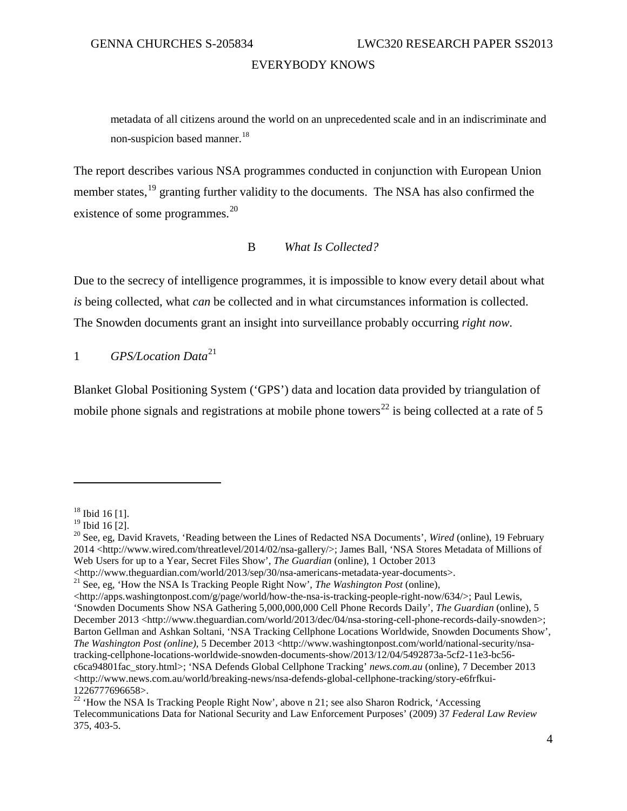metadata of all citizens around the world on an unprecedented scale and in an indiscriminate and non-suspicion based manner.<sup>[18](#page-7-2)</sup>

The report describes various NSA programmes conducted in conjunction with European Union member states,<sup>[19](#page-7-3)</sup> granting further validity to the documents. The NSA has also confirmed the existence of some programmes.<sup>[20](#page-7-4)</sup>

#### B *What Is Collected?*

<span id="page-7-0"></span>Due to the secrecy of intelligence programmes, it is impossible to know every detail about what *is* being collected, what *can* be collected and in what circumstances information is collected. The Snowden documents grant an insight into surveillance probably occurring *right now*.

<span id="page-7-1"></span>1 *GPS/Location Data*[21](#page-7-5)

Blanket Global Positioning System ('GPS') data and location data provided by triangulation of mobile phone signals and registrations at mobile phone towers<sup>[22](#page-7-6)</sup> is being collected at a rate of 5

<span id="page-7-2"></span> $^{18}$  Ibid 16 [1].<br> $^{19}$  Ibid 16 [2].

<span id="page-7-4"></span><span id="page-7-3"></span><sup>&</sup>lt;sup>20</sup> See, eg, David Kravets, 'Reading between the Lines of Redacted NSA Documents', *Wired* (online), 19 February 2014 <http://www.wired.com/threatlevel/2014/02/nsa-gallery/>; James Ball, 'NSA Stores Metadata of Millions of Web Users for up to a Year, Secret Files Show', *The Guardian* (online), 1 October 2013

<span id="page-7-5"></span><sup>&</sup>lt;http://www.theguardian.com/world/2013/sep/30/nsa-americans-metadata-year-documents>. <sup>21</sup> See, eg, 'How the NSA Is Tracking People Right Now', *The Washington Post* (online),

<sup>&</sup>lt;http://apps.washingtonpost.com/g/page/world/how-the-nsa-is-tracking-people-right-now/634/>; Paul Lewis, 'Snowden Documents Show NSA Gathering 5,000,000,000 Cell Phone Records Daily', *The Guardian* (online), 5 December 2013 <http://www.theguardian.com/world/2013/dec/04/nsa-storing-cell-phone-records-daily-snowden>; Barton Gellman and Ashkan Soltani, 'NSA Tracking Cellphone Locations Worldwide, Snowden Documents Show', *The Washington Post (online),* 5 December 2013 <http://www.washingtonpost.com/world/national-security/nsatracking-cellphone-locations-worldwide-snowden-documents-show/2013/12/04/5492873a-5cf2-11e3-bc56 c6ca94801fac\_story.html>; 'NSA Defends Global Cellphone Tracking' *news.com.au* (online), 7 December 2013 <http://www.news.com.au/world/breaking-news/nsa-defends-global-cellphone-tracking/story-e6frfkui-1226777696658>.

<span id="page-7-6"></span><sup>&</sup>lt;sup>22</sup> 'How the NSA Is Tracking People Right Now', above n 21; see also Sharon Rodrick, 'Accessing Telecommunications Data for National Security and Law Enforcement Purposes' (2009) 37 *Federal Law Review*  375, 403-5.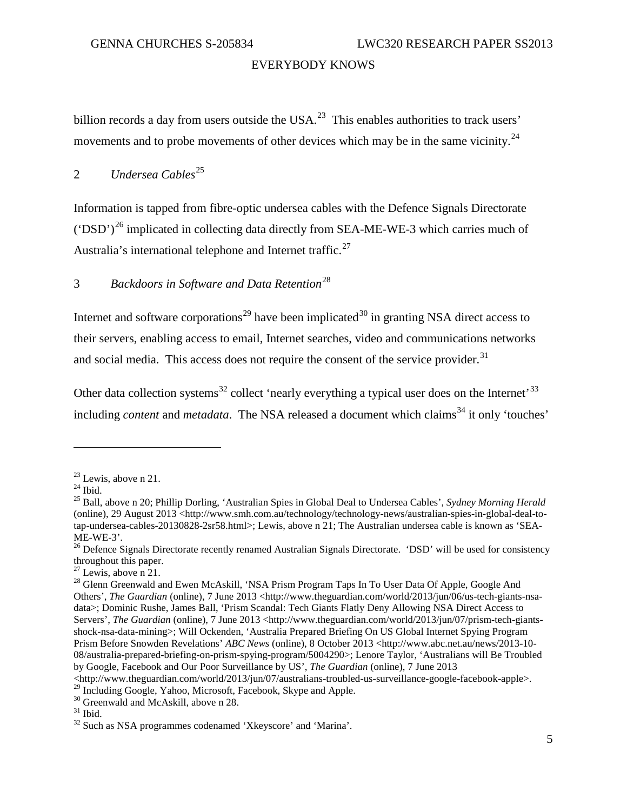billion records a day from users outside the USA.<sup>[23](#page-8-2)</sup> This enables authorities to track users' movements and to probe movements of other devices which may be in the same vicinity.<sup>[24](#page-8-3)</sup>

#### <span id="page-8-0"></span>2 *Undersea Cables*<sup>[25](#page-8-4)</sup>

Information is tapped from fibre-optic undersea cables with the Defence Signals Directorate  $(50\text{D}^2)^{26}$  $(50\text{D}^2)^{26}$  $(50\text{D}^2)^{26}$  implicated in collecting data directly from SEA-ME-WE-3 which carries much of Australia's international telephone and Internet traffic.<sup>[27](#page-8-6)</sup>

# <span id="page-8-1"></span>3 *Backdoors in Software and Data Retention*[28](#page-8-7)

Internet and software corporations<sup>[29](#page-8-8)</sup> have been implicated<sup>[30](#page-8-9)</sup> in granting NSA direct access to their servers, enabling access to email, Internet searches, video and communications networks and social media. This access does not require the consent of the service provider.<sup>[31](#page-8-10)</sup>

Other data collection systems<sup>[32](#page-8-11)</sup> collect 'nearly everything a typical user does on the Internet'<sup>[33](#page-8-12)</sup> including *content* and *metadata*. The NSA released a document which claims<sup>[34](#page-8-13)</sup> it only 'touches'

<span id="page-8-4"></span>

<span id="page-8-3"></span><span id="page-8-2"></span><sup>&</sup>lt;sup>23</sup> Lewis, above n 21.<br><sup>24</sup> Ibid.<br><sup>25</sup> Ball, above n 20; Phillip Dorling, 'Australian Spies in Global Deal to Undersea Cables', *Sydney Morning Herald* (online), 29 August 2013 <http://www.smh.com.au/technology/technology-news/australian-spies-in-global-deal-totap-undersea-cables-20130828-2sr58.html>; Lewis, above n 21; The Australian undersea cable is known as 'SEA-ME-WE-3'.<br><sup>26</sup> Defence Signals Directorate recently renamed Australian Signals Directorate. 'DSD' will be used for consistency

<span id="page-8-5"></span>throughout this paper.<br> $27$  Lewis, above n 21.

<span id="page-8-13"></span><span id="page-8-12"></span><span id="page-8-7"></span><span id="page-8-6"></span><sup>&</sup>lt;sup>28</sup> Glenn Greenwald and Ewen McAskill, 'NSA Prism Program Taps In To User Data Of Apple, Google And Others', *The Guardian* (online), 7 June 2013 <http://www.theguardian.com/world/2013/jun/06/us-tech-giants-nsadata>; Dominic Rushe, James Ball, 'Prism Scandal: Tech Giants Flatly Deny Allowing NSA Direct Access to Servers', *The Guardian* (online), 7 June 2013 <http://www.theguardian.com/world/2013/jun/07/prism-tech-giantsshock-nsa-data-mining>; Will Ockenden, 'Australia Prepared Briefing On US Global Internet Spying Program Prism Before Snowden Revelations' *ABC News* (online), 8 October 2013 <http://www.abc.net.au/news/2013-10- 08/australia-prepared-briefing-on-prism-spying-program/5004290>; Lenore Taylor, 'Australians will Be Troubled by Google, Facebook and Our Poor Surveillance by US', *The Guardian* (online), 7 June 2013 <http://www.theguardian.com/world/2013/jun/07/australians-troubled-us-surveillance-google-facebook-apple>.

<span id="page-8-8"></span><sup>29</sup> Including Google, Yahoo, Microsoft, Facebook, Skype and Apple.<br><sup>30</sup> Greenwald and McAskill, above n 28.<br><sup>31</sup> Ibid. <sup>32</sup> Such as NSA programmes codenamed 'Xkeyscore' and 'Marina'.

<span id="page-8-9"></span>

<span id="page-8-11"></span><span id="page-8-10"></span>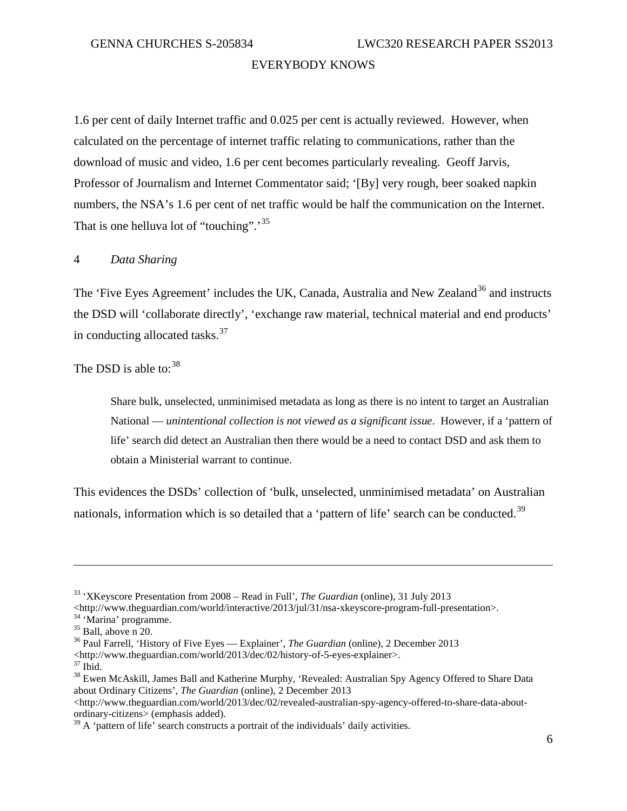1.6 per cent of daily Internet traffic and 0.025 per cent is actually reviewed. However, when calculated on the percentage of internet traffic relating to communications, rather than the download of music and video, 1.6 per cent becomes particularly revealing. Geoff Jarvis, Professor of Journalism and Internet Commentator said; '[By] very rough, beer soaked napkin numbers, the NSA's 1.6 per cent of net traffic would be half the communication on the Internet. That is one helluva lot of "touching".<sup>[35](#page-9-1)</sup>

#### <span id="page-9-0"></span>4 *Data Sharing*

The 'Five Eyes Agreement' includes the UK, Canada, Australia and New Zealand<sup>[36](#page-9-2)</sup> and instructs the DSD will 'collaborate directly', 'exchange raw material, technical material and end products' in conducting allocated tasks.[37](#page-9-3)

The DSD is able to:  $38$ 

Share bulk, unselected, unminimised metadata as long as there is no intent to target an Australian National — *unintentional collection is not viewed as a significant issue*. However, if a 'pattern of life' search did detect an Australian then there would be a need to contact DSD and ask them to obtain a Ministerial warrant to continue.

This evidences the DSDs' collection of 'bulk, unselected, unminimised metadata' on Australian nationals, information which is so detailed that a 'pattern of life' search can be conducted.<sup>[39](#page-9-5)</sup>

<sup>&</sup>lt;sup>33</sup> 'XKeyscore Presentation from 2008 – Read in Full', *The Guardian* (online), 31 July 2013<br>
<http://www.theguardian.com/world/interactive/2013/jul/31/nsa-xkeyscore-program-full-presentation>.

<span id="page-9-2"></span>

<span id="page-9-1"></span><sup>&</sup>lt;sup>34</sup> 'Marina' programme.<br>
<sup>35</sup> Ball, above n 20.<br>
<sup>36</sup> Paul Farrell, 'History of Five Eyes — Explainer', *The Guardian* (online), 2 December 2013<br>
<http://www.theguardian.com/world/2013/dec/02/history-of-5-eyes-explainer>

<span id="page-9-4"></span><span id="page-9-3"></span><sup>&</sup>lt;sup>37</sup> Ibid.<br><sup>38</sup> Ewen McAskill, James Ball and Katherine Murphy, 'Revealed: Australian Spy Agency Offered to Share Data about Ordinary Citizens', *The Guardian* (online), 2 December 2013

 $\langle$ http://www.theguardian.com/world/2013/dec/02/revealed-australian-spy-agency-offered-to-share-data-aboutordinary-citizens> (emphasis added).

<span id="page-9-5"></span> $39$  A 'pattern of life' search constructs a portrait of the individuals' daily activities.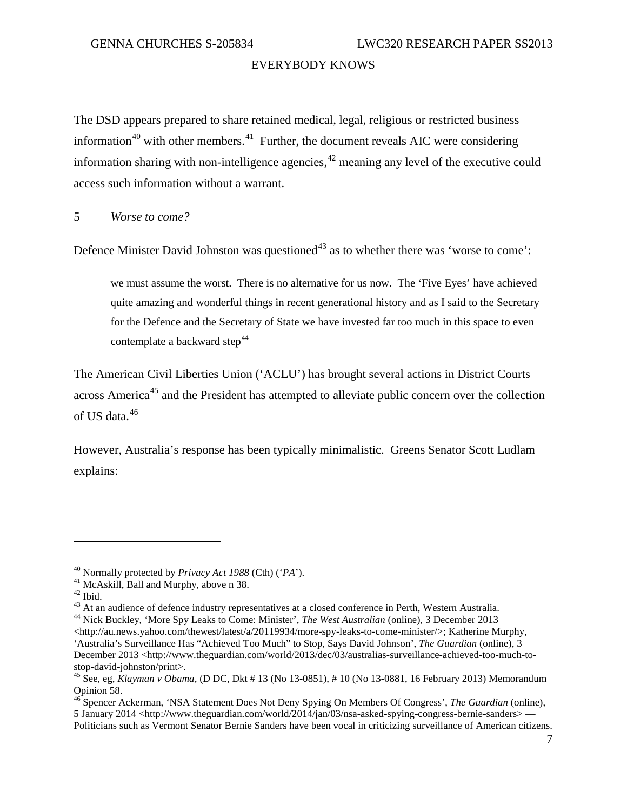The DSD appears prepared to share retained medical, legal, religious or restricted business information<sup>[40](#page-10-1)</sup> with other members.<sup>41</sup> Further, the document reveals AIC were considering information sharing with non-intelligence agencies,  $42$  meaning any level of the executive could access such information without a warrant.

<span id="page-10-0"></span>5 *Worse to come?*

Defence Minister David Johnston was questioned<sup>[43](#page-10-4)</sup> as to whether there was 'worse to come':

we must assume the worst. There is no alternative for us now. The 'Five Eyes' have achieved quite amazing and wonderful things in recent generational history and as I said to the Secretary for the Defence and the Secretary of State we have invested far too much in this space to even contemplate a backward step<sup>[44](#page-10-5)</sup>

The American Civil Liberties Union ('ACLU') has brought several actions in District Courts across America<sup>[45](#page-10-6)</sup> and the President has attempted to alleviate public concern over the collection of US data.[46](#page-10-7)

However, Australia's response has been typically minimalistic. Greens Senator Scott Ludlam explains:

 $\overline{a}$ 

Politicians such as Vermont Senator Bernie Sanders have been vocal in criticizing surveillance of American citizens.

<span id="page-10-4"></span><span id="page-10-3"></span>

<span id="page-10-2"></span><span id="page-10-1"></span><sup>&</sup>lt;sup>40</sup> Normally protected by *Privacy Act 1988* (Cth) ('*PA*').<br><sup>41</sup> McAskill, Ball and Murphy, above n 38.<br><sup>42</sup> Ibid.<br><sup>43</sup> At an audience of defence industry representatives at a closed conference in Perth, Western Austral

<span id="page-10-5"></span> $\langle$ http://au.news.yahoo.com/thewest/latest/a/20119934/more-spy-leaks-to-come-minister/>; Katherine Murphy, 'Australia's Surveillance Has "Achieved Too Much" to Stop, Says David Johnson', *The Guardian* (online), 3 December 2013 <http://www.theguardian.com/world/2013/dec/03/australias-surveillance-achieved-too-much-to-<br>stop-david-johnston/print>.

<span id="page-10-6"></span><sup>&</sup>lt;sup>45</sup> See, eg, *Klayman v Obama,* (D DC, Dkt # 13 (No 13-0851), # 10 (No 13-0881, 16 February 2013) Memorandum Opinion 58.

<span id="page-10-7"></span><sup>46</sup> Spencer Ackerman, 'NSA Statement Does Not Deny Spying On Members Of Congress', *The Guardian* (online), 5 January 2014 <http://www.theguardian.com/world/2014/jan/03/nsa-asked-spying-congress-bernie-sanders> —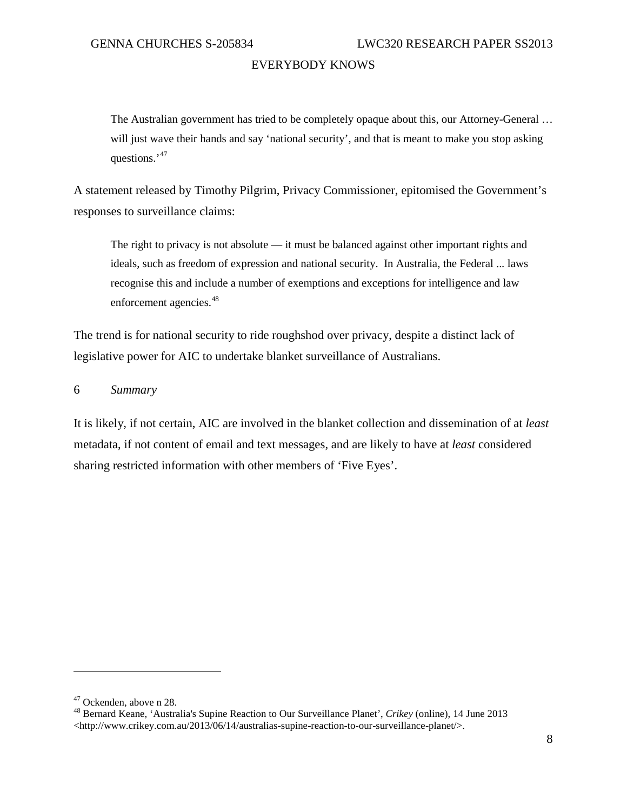The Australian government has tried to be completely opaque about this, our Attorney-General … will just wave their hands and say 'national security', and that is meant to make you stop asking questions.'<sup>[47](#page-11-1)</sup>

A statement released by Timothy Pilgrim, Privacy Commissioner, epitomised the Government's responses to surveillance claims:

The right to privacy is not absolute  $-$  it must be balanced against other important rights and ideals, such as freedom of expression and national security. In Australia, the Federal ..*.* laws recognise this and include a number of exemptions and exceptions for intelligence and law enforcement agencies.<sup>[48](#page-11-2)</sup>

The trend is for national security to ride roughshod over privacy, despite a distinct lack of legislative power for AIC to undertake blanket surveillance of Australians.

<span id="page-11-0"></span>6 *Summary*

It is likely, if not certain, AIC are involved in the blanket collection and dissemination of at *least* metadata, if not content of email and text messages, and are likely to have at *least* considered sharing restricted information with other members of 'Five Eyes'.

<span id="page-11-2"></span><span id="page-11-1"></span><sup>&</sup>lt;sup>47</sup> Ockenden, above n 28.<br><sup>48</sup> Bernard Keane, 'Australia's Supine Reaction to Our Surveillance Planet', *Crikey* (online), 14 June 2013 <http://www.crikey.com.au/2013/06/14/australias-supine-reaction-to-our-surveillance-planet/>.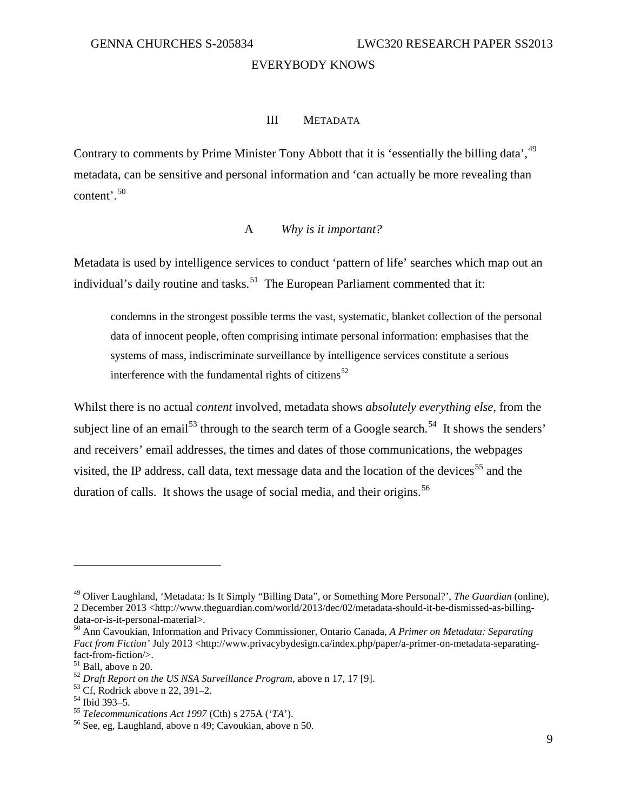#### III METADATA

<span id="page-12-0"></span>Contrary to comments by Prime Minister Tony Abbott that it is 'essentially the billing data', <sup>[49](#page-12-2)</sup> metadata, can be sensitive and personal information and 'can actually be more revealing than content'.[50](#page-12-3)

#### A *Why is it important?*

<span id="page-12-1"></span>Metadata is used by intelligence services to conduct 'pattern of life' searches which map out an individual's daily routine and tasks.<sup>[51](#page-12-4)</sup> The European Parliament commented that it:

condemns in the strongest possible terms the vast, systematic, blanket collection of the personal data of innocent people, often comprising intimate personal information: emphasises that the systems of mass, indiscriminate surveillance by intelligence services constitute a serious interference with the fundamental rights of citizens<sup>[52](#page-12-5)</sup>

Whilst there is no actual *content* involved, metadata shows *absolutely everything else*, from the subject line of an email<sup>[53](#page-12-6)</sup> through to the search term of a Google search.<sup>54</sup> It shows the senders' and receivers' email addresses, the times and dates of those communications, the webpages visited, the IP address, call data, text message data and the location of the devices<sup>[55](#page-12-8)</sup> and the duration of calls. It shows the usage of social media, and their origins.<sup>[56](#page-12-9)</sup>

<span id="page-12-2"></span><sup>49</sup> Oliver Laughland, 'Metadata: Is It Simply "Billing Data", or Something More Personal?', *The Guardian* (online), 2 December 2013 <http://www.theguardian.com/world/2013/dec/02/metadata-should-it-be-dismissed-as-billing-data-or-is-it-personal-material>.

<span id="page-12-3"></span><sup>&</sup>lt;sup>50</sup> Ann Cavoukian, Information and Privacy Commissioner, Ontario Canada, *A Primer on Metadata: Separating Fact from Fiction'* July 2013 <http://www.privacybydesign.ca/index.php/paper/a-primer-on-metadata-separating-fact-from-fiction/>.

<span id="page-12-5"></span><span id="page-12-4"></span><sup>&</sup>lt;sup>51</sup> Ball, above n 20.<br>
<sup>52</sup> *Draft Report on the US NSA Surveillance Program*, above n 17, 17 [9].<br>
<sup>53</sup> Cf, Rodrick above n 22, 391–2.<br>
<sup>54</sup> Ibid 393–5.<br>
<sup>55</sup> *Telecommunications Act 1997* (Cth) s 275A ('*TA*').<br>
<sup>56</sup> S

<span id="page-12-6"></span>

<span id="page-12-7"></span>

<span id="page-12-8"></span>

<span id="page-12-9"></span>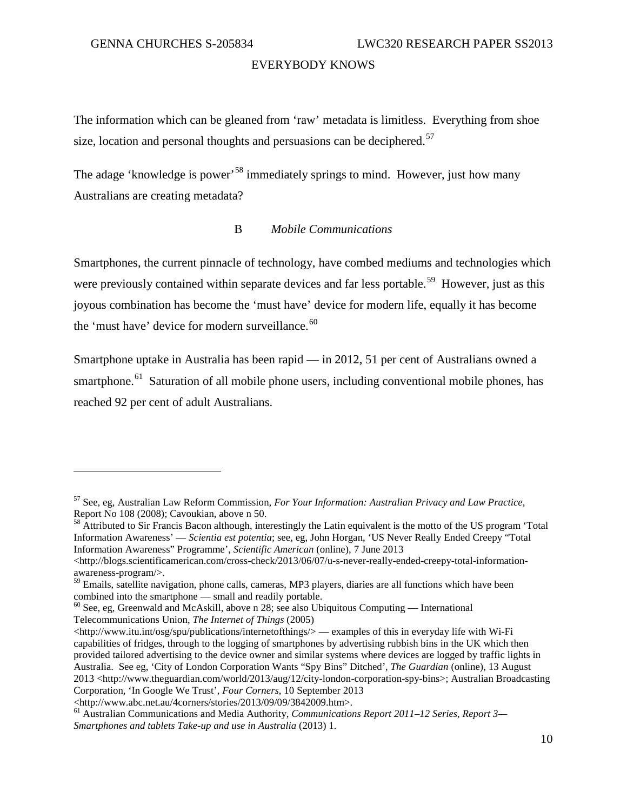$\overline{a}$ 

#### EVERYBODY KNOWS

The information which can be gleaned from 'raw' metadata is limitless. Everything from shoe size, location and personal thoughts and persuasions can be deciphered.<sup>[57](#page-13-1)</sup>

The adage 'knowledge is power'<sup>[58](#page-13-2)</sup> immediately springs to mind. However, just how many Australians are creating metadata?

#### B *Mobile Communications*

<span id="page-13-0"></span>Smartphones, the current pinnacle of technology, have combed mediums and technologies which were previously contained within separate devices and far less portable.<sup>[59](#page-13-3)</sup> However, just as this joyous combination has become the 'must have' device for modern life, equally it has become the 'must have' device for modern surveillance.<sup>[60](#page-13-4)</sup>

Smartphone uptake in Australia has been rapid — in 2012, 51 per cent of Australians owned a smartphone.<sup>61</sup> Saturation of all mobile phone users, including conventional mobile phones, has reached 92 per cent of adult Australians.

<span id="page-13-1"></span><sup>57</sup> See, eg, Australian Law Reform Commission, *For Your Information: Australian Privacy and Law Practice*,

<span id="page-13-2"></span><sup>&</sup>lt;sup>58</sup> Attributed to Sir Francis Bacon although, interestingly the Latin equivalent is the motto of the US program 'Total Information Awareness' — *Scientia est potentia*; see, eg, John Horgan, 'US Never Really Ended Creepy "Total Information Awareness" Programme', *Scientific American* (online), 7 June 2013

 $\langle$ http://blogs.scientificamerican.com/cross-check/2013/06/07/u-s-never-really-ended-creepy-total-informationawareness-program/>.

<span id="page-13-3"></span> $59$  Emails, satellite navigation, phone calls, cameras, MP3 players, diaries are all functions which have been combined into the smartphone — small and readily portable.

<span id="page-13-4"></span> $^{60}$  See, eg, Greenwald and McAskill, above n 28; see also Ubiquitous Computing — International Telecommunications Union, *The Internet of Things* (2005)

<sup>&</sup>lt;http://www.itu.int/osg/spu/publications/internetofthings/> — examples of this in everyday life with Wi-Fi capabilities of fridges, through to the logging of smartphones by advertising rubbish bins in the UK which then provided tailored advertising to the device owner and similar systems where devices are logged by traffic lights in Australia. See eg, 'City of London Corporation Wants "Spy Bins" Ditched', *The Guardian* (online), 13 August 2013 <http://www.theguardian.com/world/2013/aug/12/city-london-corporation-spy-bins>; Australian Broadcasting Corporation, 'In Google We Trust', *Four Corners*, 10 September 2013

<sup>&</sup>lt;http://www.abc.net.au/4corners/stories/2013/09/09/3842009.htm>.

<span id="page-13-5"></span><sup>61</sup> Australian Communications and Media Authority, *Communications Report 2011–12 Series, Report 3— Smartphones and tablets Take-up and use in Australia* (2013) 1.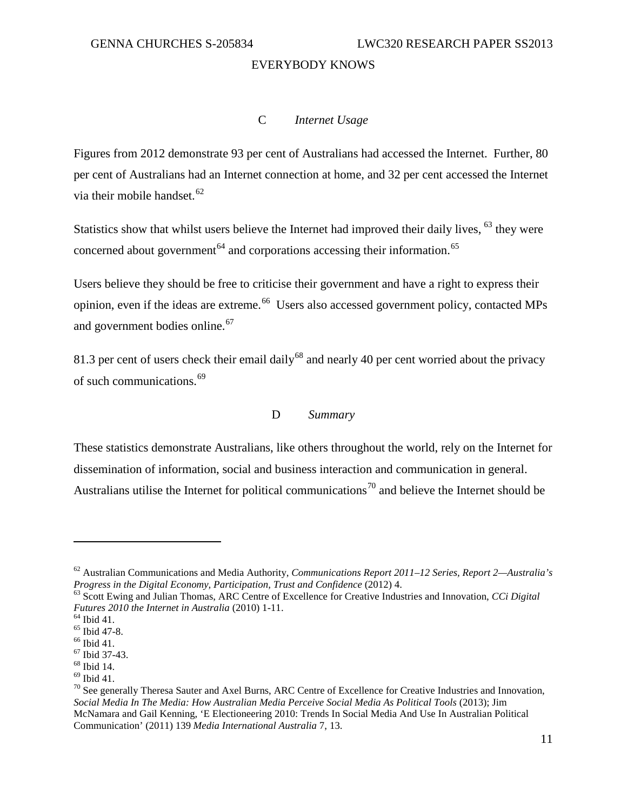#### C *Internet Usage*

<span id="page-14-0"></span>Figures from 2012 demonstrate 93 per cent of Australians had accessed the Internet. Further, 80 per cent of Australians had an Internet connection at home, and 32 per cent accessed the Internet via their mobile handset. $62$ 

Statistics show that whilst users believe the Internet had improved their daily lives, <sup>[63](#page-14-3)</sup> they were concerned about government<sup> $64$ </sup> and corporations accessing their information.<sup>65</sup>

Users believe they should be free to criticise their government and have a right to express their opinion, even if the ideas are extreme.<sup>66</sup> Users also accessed government policy, contacted MPs and government bodies online.<sup>[67](#page-14-7)</sup>

81.3 per cent of users check their email daily<sup>[68](#page-14-8)</sup> and nearly 40 per cent worried about the privacy of such communications.<sup>[69](#page-14-9)</sup>

#### D *Summary*

<span id="page-14-1"></span>These statistics demonstrate Australians, like others throughout the world, rely on the Internet for dissemination of information, social and business interaction and communication in general. Australians utilise the Internet for political communications<sup>[70](#page-14-10)</sup> and believe the Internet should be

<span id="page-14-2"></span><sup>62</sup> Australian Communications and Media Authority, *Communications Report 2011–12 Series, Report 2—Australia's* 

<span id="page-14-3"></span><sup>&</sup>lt;sup>63</sup> Scott Ewing and Julian Thomas, ARC Centre of Excellence for Creative Industries and Innovation, *CCi Digital Futures* 2010 the Internet in Australia (2010) 1-11.

<span id="page-14-5"></span>

<span id="page-14-6"></span>

<span id="page-14-7"></span>

<span id="page-14-8"></span>

<span id="page-14-10"></span><span id="page-14-9"></span>

<span id="page-14-4"></span><sup>&</sup>lt;sup>64</sup> Ibid 41.<br>
<sup>65</sup> Ibid 47-8.<br>
<sup>66</sup> Ibid 47-8.<br>
<sup>66</sup> Ibid 41.<br>
<sup>67</sup> Ibid 37-43.<br>
<sup>68</sup> Ibid 14.<br>
<sup>69</sup> Ibid 41.<br>
<sup>69</sup> Ibid 41.<br>
<sup>69</sup> Ibid 41.<br>
<sup>70</sup> See generally Theresa Sauter and Axel Burns, ARC Centre of Excellence for *Social Media In The Media: How Australian Media Perceive Social Media As Political Tools* (2013); Jim McNamara and Gail Kenning, 'E Electioneering 2010: Trends In Social Media And Use In Australian Political Communication' (2011) 139 *Media International Australia* 7, 13.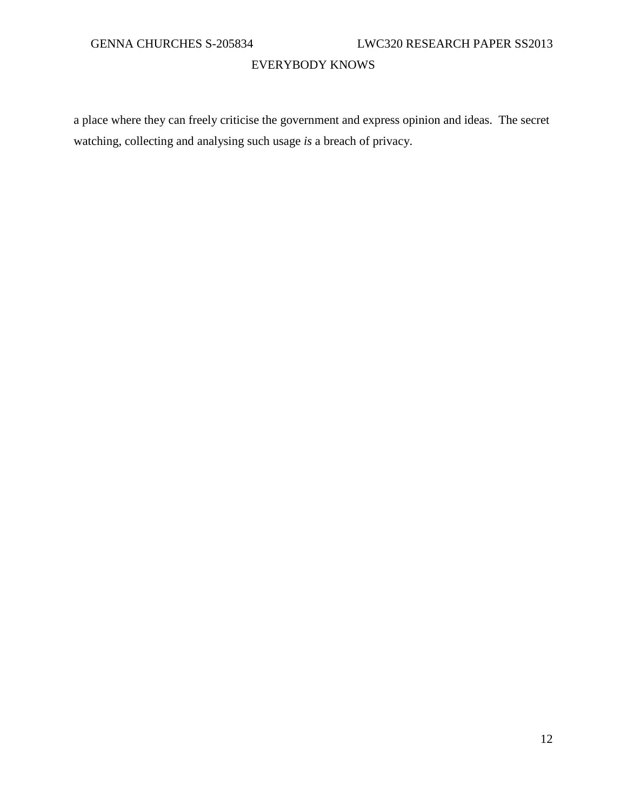a place where they can freely criticise the government and express opinion and ideas. The secret watching, collecting and analysing such usage *is* a breach of privacy.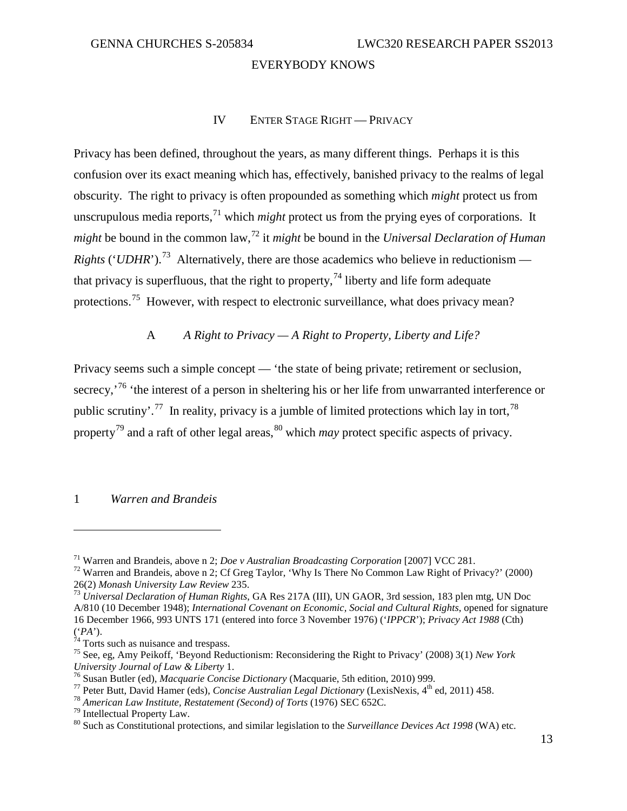#### IV ENTER STAGE RIGHT — PRIVACY

<span id="page-16-0"></span>Privacy has been defined, throughout the years, as many different things. Perhaps it is this confusion over its exact meaning which has, effectively, banished privacy to the realms of legal obscurity. The right to privacy is often propounded as something which *might* protect us from unscrupulous media reports,<sup>[71](#page-16-3)</sup> which *might* protect us from the prying eyes of corporations. It *might* be bound in the common law, [72](#page-16-4) it *might* be bound in the *Universal Declaration of Human Rights* ('*UDHR*').<sup>73</sup> Alternatively, there are those academics who believe in reductionism that privacy is superfluous, that the right to property,  $^{74}$  $^{74}$  $^{74}$  liberty and life form adequate protections.[75](#page-16-7) However, with respect to electronic surveillance, what does privacy mean?

#### A *A Right to Privacy — A Right to Property, Liberty and Life?*

<span id="page-16-1"></span>Privacy seems such a simple concept — 'the state of being private; retirement or seclusion, secrecy,<sup>[76](#page-16-8)</sup> 'the interest of a person in sheltering his or her life from unwarranted interference or public scrutiny'.<sup>[77](#page-16-9)</sup> In reality, privacy is a jumble of limited protections which lay in tort,<sup>[78](#page-16-10)</sup> property[79](#page-16-11) and a raft of other legal areas, [80](#page-16-12) which *may* protect specific aspects of privacy.

#### <span id="page-16-2"></span>1 *Warren and Brandeis*

<span id="page-16-4"></span><span id="page-16-3"></span><sup>&</sup>lt;sup>71</sup> Warren and Brandeis, above n 2; *Doe v Australian Broadcasting Corporation* [2007] VCC 281.<br><sup>72</sup> Warren and Brandeis, above n 2; Cf Greg Taylor, 'Why Is There No Common Law Right of Privacy?' (2000)<br>26(2) *Monash Uni* 

<span id="page-16-5"></span><sup>&</sup>lt;sup>73</sup> Universal Declaration of Human Rights, GA Res 217A (III), UN GAOR, 3rd session, 183 plen mtg, UN Doc A/810 (10 December 1948); *International Covenant on Economic, Social and Cultural Rights*, opened for signature 16 December 1966, 993 UNTS 171 (entered into force 3 November 1976) ('*IPPCR*'); *Privacy Act 1988* (Cth)

<span id="page-16-7"></span><span id="page-16-6"></span><sup>&</sup>lt;sup>75</sup> See, eg, Amy Peikoff, 'Beyond Reductionism: Reconsidering the Right to Privacy' (2008) 3(1) *New York University Journal of Law & Liberty* 1.

<span id="page-16-9"></span><span id="page-16-8"></span><sup>&</sup>lt;sup>76</sup> Susan Butler (ed), *Macquarie Concise Dictionary* (Macquarie, 5th edition, 2010) 999.<br><sup>77</sup> Peter Butt, David Hamer (eds), *Concise Australian Legal Dictionary* (LexisNexis, 4<sup>th</sup> ed, 2011) 458.<br><sup>78</sup> American Law Inst

<span id="page-16-11"></span><span id="page-16-10"></span>

<span id="page-16-12"></span>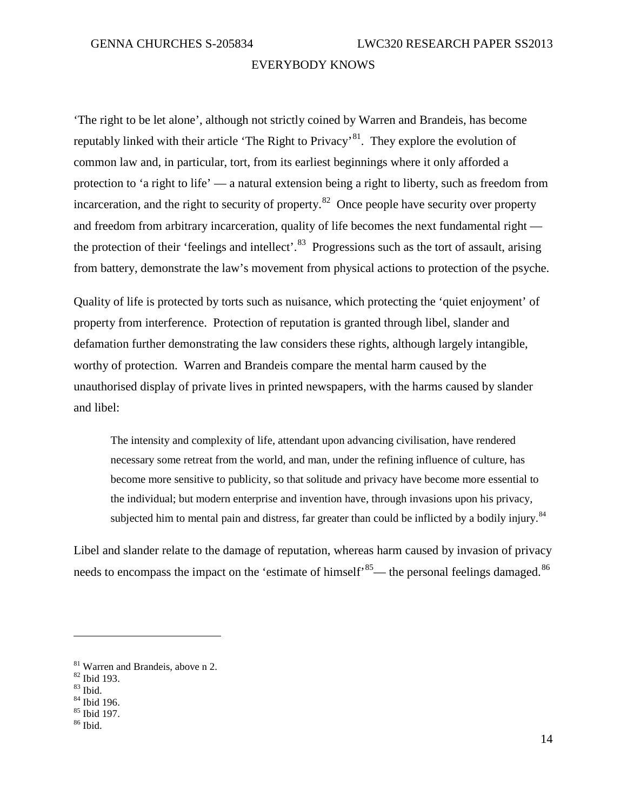'The right to be let alone', although not strictly coined by Warren and Brandeis, has become reputably linked with their article 'The Right to Privacy'[81.](#page-17-0) They explore the evolution of common law and, in particular, tort, from its earliest beginnings where it only afforded a protection to 'a right to life' — a natural extension being a right to liberty, such as freedom from incarceration, and the right to security of property.<sup>82</sup> Once people have security over property and freedom from arbitrary incarceration, quality of life becomes the next fundamental right the protection of their 'feelings and intellect'.<sup>83</sup> Progressions such as the tort of assault, arising from battery, demonstrate the law's movement from physical actions to protection of the psyche.

Quality of life is protected by torts such as nuisance, which protecting the 'quiet enjoyment' of property from interference. Protection of reputation is granted through libel, slander and defamation further demonstrating the law considers these rights, although largely intangible, worthy of protection. Warren and Brandeis compare the mental harm caused by the unauthorised display of private lives in printed newspapers, with the harms caused by slander and libel:

The intensity and complexity of life, attendant upon advancing civilisation, have rendered necessary some retreat from the world, and man, under the refining influence of culture, has become more sensitive to publicity, so that solitude and privacy have become more essential to the individual; but modern enterprise and invention have, through invasions upon his privacy, subjected him to mental pain and distress, far greater than could be inflicted by a bodily injury.<sup>[84](#page-17-3)</sup>

Libel and slander relate to the damage of reputation, whereas harm caused by invasion of privacy needs to encompass the impact on the 'estimate of himself'<sup>85</sup>— the personal feelings damaged.<sup>[86](#page-17-5)</sup>

<span id="page-17-1"></span><span id="page-17-0"></span><sup>&</sup>lt;sup>81</sup> Warren and Brandeis, above n 2.<br><sup>82</sup> Ibid 193.<br><sup>83</sup> Ibid. 84<br><sup>84</sup> Ibid 196.<br><sup>85</sup> Ibid 197.<br><sup>86</sup> Ibid.

<span id="page-17-2"></span>

<span id="page-17-3"></span>

<span id="page-17-4"></span>

<span id="page-17-5"></span>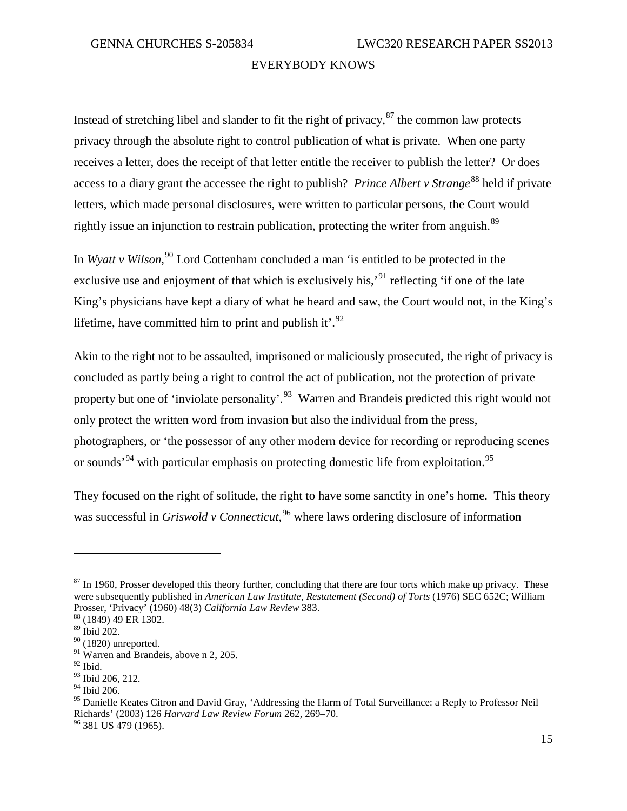Instead of stretching libel and slander to fit the right of privacy,  $87$  the common law protects privacy through the absolute right to control publication of what is private. When one party receives a letter, does the receipt of that letter entitle the receiver to publish the letter? Or does access to a diary grant the accessee the right to publish? *Prince Albert v Strange*<sup>[88](#page-18-1)</sup> held if private letters, which made personal disclosures, were written to particular persons, the Court would rightly issue an injunction to restrain publication, protecting the writer from anguish.<sup>[89](#page-18-2)</sup>

In *Wyatt v Wilson*, [90](#page-18-3) Lord Cottenham concluded a man 'is entitled to be protected in the exclusive use and enjoyment of that which is exclusively his,<sup>[91](#page-18-4)</sup> reflecting 'if one of the late King's physicians have kept a diary of what he heard and saw, the Court would not, in the King's lifetime, have committed him to print and publish it'. $^{92}$  $^{92}$  $^{92}$ 

Akin to the right not to be assaulted, imprisoned or maliciously prosecuted, the right of privacy is concluded as partly being a right to control the act of publication, not the protection of private property but one of 'inviolate personality'.<sup>[93](#page-18-6)</sup> Warren and Brandeis predicted this right would not only protect the written word from invasion but also the individual from the press, photographers, or 'the possessor of any other modern device for recording or reproducing scenes or sounds<sup>34</sup> with particular emphasis on protecting domestic life from exploitation.<sup>[95](#page-18-8)</sup>

They focused on the right of solitude, the right to have some sanctity in one's home. This theory was successful in *Griswold v Connecticut*, [96](#page-18-9) where laws ordering disclosure of information

<span id="page-18-9"></span>

<span id="page-18-0"></span> $87$  In 1960, Prosser developed this theory further, concluding that there are four torts which make up privacy. These were subsequently published in *American Law Institute, Restatement (Second) of Torts* (1976) SEC 652C; William Prosser, 'Privacy' (1960) 48(3) *California Law Review* 383. <sup>88</sup> (1849) 49 ER 1302.

<span id="page-18-2"></span><span id="page-18-1"></span><sup>89</sup> Ibid 202.

 $90$  (1820) unreported.

<span id="page-18-4"></span><span id="page-18-3"></span><sup>&</sup>lt;sup>91</sup> Warren and Brandeis, above n 2, 205.

<span id="page-18-5"></span> $92$  Ibid.

<span id="page-18-6"></span><sup>93</sup> Ibid 206, 212.

<span id="page-18-7"></span><sup>94</sup> Ibid 206.

<span id="page-18-8"></span><sup>&</sup>lt;sup>95</sup> Danielle Keates Citron and David Gray, 'Addressing the Harm of Total Surveillance: a Reply to Professor Neil Richards' (2003) 126 *Harvard Law Review Forum* 262, 269–70. <sup>96</sup> 381 US 479 (1965).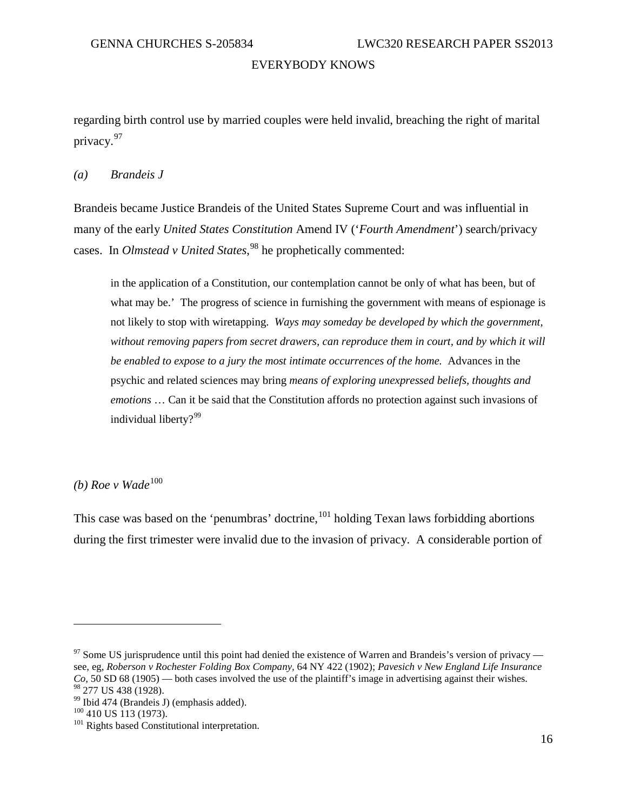regarding birth control use by married couples were held invalid, breaching the right of marital privacy.[97](#page-19-0)

#### *(a) Brandeis J*

Brandeis became Justice Brandeis of the United States Supreme Court and was influential in many of the early *United States Constitution* Amend IV ('*Fourth Amendment*') search/privacy cases. In *Olmstead v United States*, [98](#page-19-1) he prophetically commented:

in the application of a Constitution, our contemplation cannot be only of what has been, but of what may be.' The progress of science in furnishing the government with means of espionage is not likely to stop with wiretapping. *Ways may someday be developed by which the government,*  without removing papers from secret drawers, can reproduce them in court, and by which it will *be enabled to expose to a jury the most intimate occurrences of the home.* Advances in the psychic and related sciences may bring *means of exploring unexpressed beliefs, thoughts and emotions* … Can it be said that the Constitution affords no protection against such invasions of individual liberty?<sup>[99](#page-19-2)</sup>

 $(b)$  Roe v Wade<sup>[100](#page-19-3)</sup>

This case was based on the 'penumbras' doctrine, <sup>[101](#page-19-4)</sup> holding Texan laws forbidding abortions during the first trimester were invalid due to the invasion of privacy. A considerable portion of

<span id="page-19-0"></span> $97$  Some US jurisprudence until this point had denied the existence of Warren and Brandeis's version of privacy see, eg, *Roberson v Rochester Folding Box Company,* 64 NY 422 (1902); *Pavesich v New England Life Insurance Co,* 50 SD 68 (1905) — both cases involved the use of the plaintiff's image in advertising against their wishes. <sup>98</sup> 277 US 438 (1928).<br><sup>99</sup> Ibid 474 (Brandeis J) (emphasis added).<br><sup>100</sup> 410 US 113 (1973).<br><sup>101</sup> Rights based Constitutional interpretation.

<span id="page-19-2"></span><span id="page-19-1"></span>

<span id="page-19-4"></span><span id="page-19-3"></span>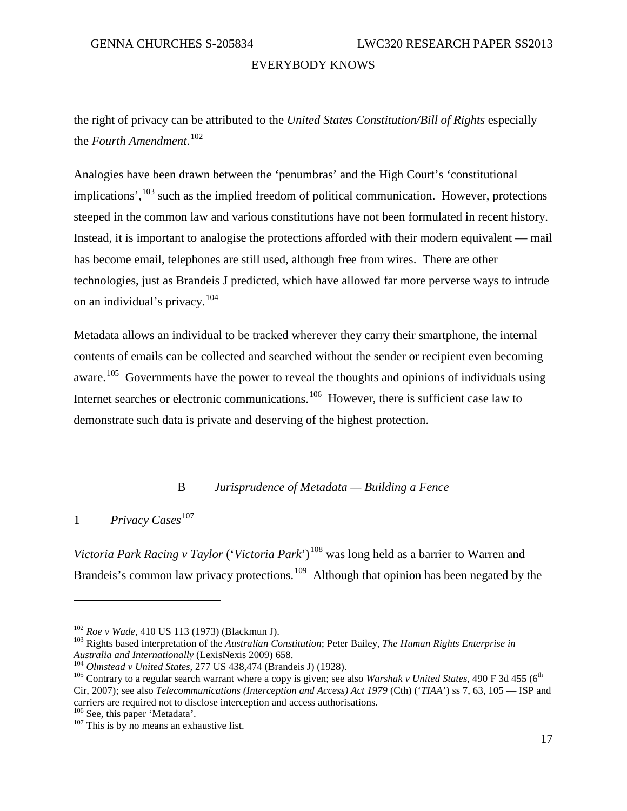the right of privacy can be attributed to the *United States Constitution/Bill of Rights* especially the *Fourth Amendment*. [102](#page-20-2)

Analogies have been drawn between the 'penumbras' and the High Court's 'constitutional implications',<sup>[103](#page-20-3)</sup> such as the implied freedom of political communication. However, protections steeped in the common law and various constitutions have not been formulated in recent history. Instead, it is important to analogise the protections afforded with their modern equivalent — mail has become email, telephones are still used, although free from wires. There are other technologies, just as Brandeis J predicted, which have allowed far more perverse ways to intrude on an individual's privacy.[104](#page-20-4)

Metadata allows an individual to be tracked wherever they carry their smartphone, the internal contents of emails can be collected and searched without the sender or recipient even becoming aware.<sup>[105](#page-20-5)</sup> Governments have the power to reveal the thoughts and opinions of individuals using Internet searches or electronic communications.<sup>[106](#page-20-6)</sup> However, there is sufficient case law to demonstrate such data is private and deserving of the highest protection.

#### B *Jurisprudence of Metadata — Building a Fence*

<span id="page-20-1"></span><span id="page-20-0"></span>1 *Privacy Cases*<sup>[107](#page-20-7)</sup>

 $\overline{a}$ 

<span id="page-20-9"></span><span id="page-20-8"></span>*Victoria Park Racing v Taylor* ('*Victoria Park*')<sup>[108](#page-20-8)</sup> was long held as a barrier to Warren and Brandeis's common law privacy protections.<sup>[109](#page-20-9)</sup> Although that opinion has been negated by the

<span id="page-20-3"></span><span id="page-20-2"></span><sup>&</sup>lt;sup>102</sup> *Roe v Wade,* 410 US 113 (1973) (Blackmun J).<br><sup>103</sup> Rights based interpretation of the *Australian Constitution*; Peter Bailey, *The Human Rights Enterprise in*<br>*Australia and Internationally* (LexisNexis 2009) 658.

<span id="page-20-5"></span><span id="page-20-4"></span><sup>&</sup>lt;sup>104</sup> Olmstead v United States, 277 US 438,474 (Brandeis J) (1928).<br><sup>105</sup> Contrary to a regular search warrant where a copy is given; see also *Warshak v United States*, 490 F 3d 455 (6<sup>th</sup> Cir, 2007); see also *Telecommunications (Interception and Access) Act 1979* (Cth) ('*TIAA*') ss 7, 63, 105 — ISP and carriers are required not to disclose interception and access authorisations.<br><sup>106</sup> See, this paper 'Metadata'.

<span id="page-20-7"></span><span id="page-20-6"></span> $107$  This is by no means an exhaustive list.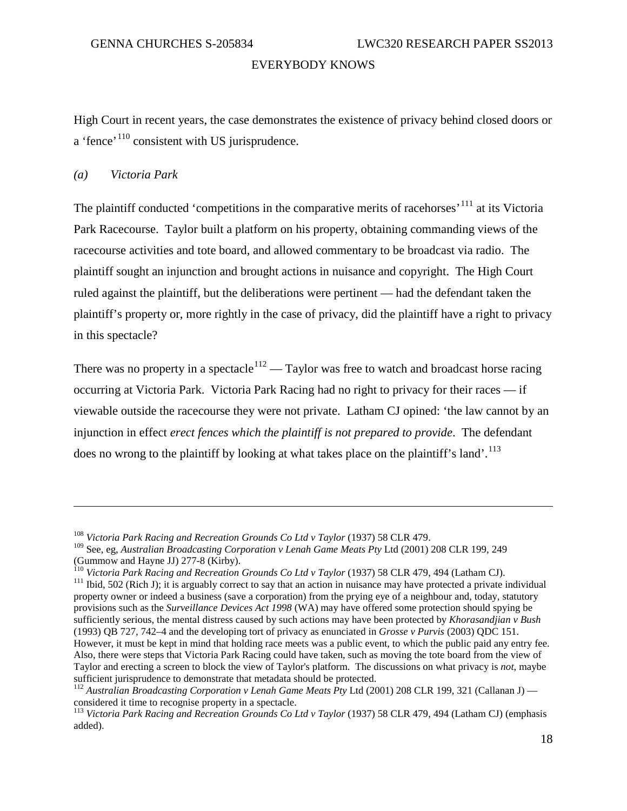High Court in recent years, the case demonstrates the existence of privacy behind closed doors or a 'fence'<sup>[110](#page-21-0)</sup> consistent with US jurisprudence.

#### *(a) Victoria Park*

 $\overline{a}$ 

The plaintiff conducted 'competitions in the comparative merits of racehorses'<sup>[111](#page-21-1)</sup> at its Victoria Park Racecourse. Taylor built a platform on his property, obtaining commanding views of the racecourse activities and tote board, and allowed commentary to be broadcast via radio. The plaintiff sought an injunction and brought actions in nuisance and copyright. The High Court ruled against the plaintiff, but the deliberations were pertinent — had the defendant taken the plaintiff's property or, more rightly in the case of privacy, did the plaintiff have a right to privacy in this spectacle?

There was no property in a spectacle<sup>[112](#page-21-2)</sup> — Taylor was free to watch and broadcast horse racing occurring at Victoria Park. Victoria Park Racing had no right to privacy for their races — if viewable outside the racecourse they were not private. Latham CJ opined: 'the law cannot by an injunction in effect *erect fences which the plaintiff is not prepared to provide*. The defendant does no wrong to the plaintiff by looking at what takes place on the plaintiff's land'.<sup>[113](#page-21-3)</sup>

<sup>108</sup> *Victoria Park Racing and Recreation Grounds Co Ltd v Taylor* (1937) 58 CLR 479.

<sup>109</sup> See, eg, *Australian Broadcasting Corporation v Lenah Game Meats Pty* Ltd (2001) 208 CLR 199, 249 (Gummow and Hayne JJ) 277-8 (Kirby).<br><sup>110</sup> Victoria Park Racing and Recreation Grounds Co Ltd v Taylor (1937) 58 CLR 479, 494 (Latham CJ).<br><sup>111</sup> Ibid, 502 (Rich J); it is arguably correct to say that an action in nuisance

<span id="page-21-1"></span><span id="page-21-0"></span>property owner or indeed a business (save a corporation) from the prying eye of a neighbour and, today, statutory provisions such as the *Surveillance Devices Act 1998* (WA) may have offered some protection should spying be sufficiently serious, the mental distress caused by such actions may have been protected by *Khorasandjian v Bush* (1993) QB 727, 742–4 and the developing tort of privacy as enunciated in *Grosse v Purvis* (2003) QDC 151. However, it must be kept in mind that holding race meets was a public event, to which the public paid any entry fee. Also, there were steps that Victoria Park Racing could have taken, such as moving the tote board from the view of Taylor and erecting a screen to block the view of Taylor's platform. The discussions on what privacy is *not*, maybe sufficient jurisprudence to demonstrate that metadata should be protected.

<span id="page-21-2"></span><sup>&</sup>lt;sup>112</sup> Australian Broadcasting Corporation v Lenah Game Meats Pty Ltd (2001) 208 CLR 199, 321 (Callanan J) considered it time to recognise property in a spectacle.

<span id="page-21-3"></span><sup>113</sup> *Victoria Park Racing and Recreation Grounds Co Ltd v Taylor* (1937) 58 CLR 479, 494 (Latham CJ) (emphasis added).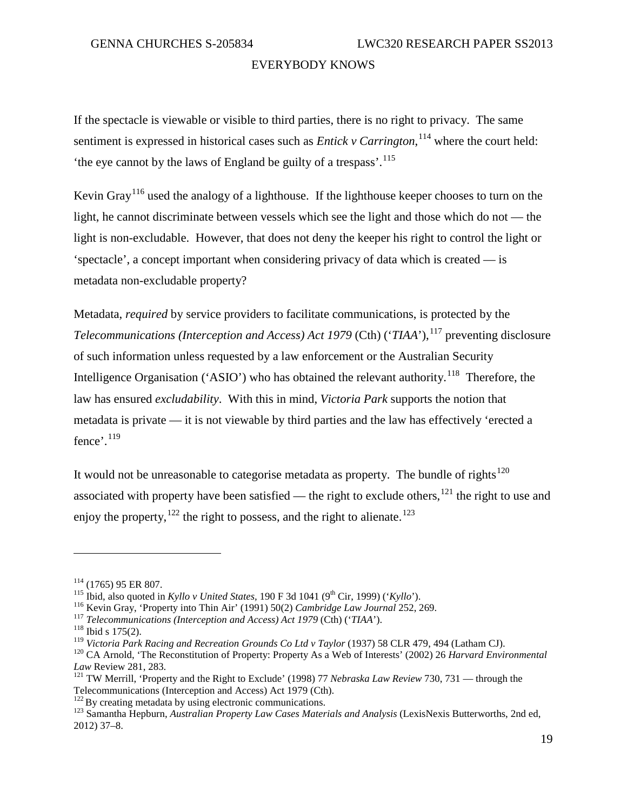If the spectacle is viewable or visible to third parties, there is no right to privacy. The same sentiment is expressed in historical cases such as *Entick v Carrington*, <sup>[114](#page-22-0)</sup> where the court held: the eye cannot by the laws of England be guilty of a trespass<sup>'.[115](#page-22-1)</sup>

Kevin Gray[116](#page-22-2) used the analogy of a lighthouse. If the lighthouse keeper chooses to turn on the light, he cannot discriminate between vessels which see the light and those which do not — the light is non-excludable. However, that does not deny the keeper his right to control the light or 'spectacle', a concept important when considering privacy of data which is created — is metadata non-excludable property?

Metadata, *required* by service providers to facilitate communications, is protected by the *Telecommunications (Interception and Access) Act 1979* (Cth) ('*TIAA*'), [117](#page-22-3) preventing disclosure of such information unless requested by a law enforcement or the Australian Security Intelligence Organisation ('ASIO') who has obtained the relevant authority.<sup>[118](#page-22-4)</sup> Therefore, the law has ensured *excludability*. With this in mind, *Victoria Park* supports the notion that metadata is private — it is not viewable by third parties and the law has effectively 'erected a fence'.<sup>[119](#page-22-5)</sup>

It would not be unreasonable to categorise metadata as property. The bundle of rights<sup>[120](#page-22-6)</sup> associated with property have been satisfied — the right to exclude others,  $121$  the right to use and enjoy the property,  $122$  the right to possess, and the right to alienate.<sup>[123](#page-22-9)</sup>

<span id="page-22-4"></span><span id="page-22-3"></span>

<span id="page-22-1"></span>

<span id="page-22-2"></span>

<span id="page-22-0"></span><sup>&</sup>lt;sup>114</sup> (1765) 95 ER 807.<br>
<sup>115</sup> Ibid, also quoted in *Kyllo v United States*, 190 F 3d 1041 (9<sup>th</sup> Cir, 1999) ('*Kyllo*').<br>
<sup>116</sup> Kevin Gray, 'Property into Thin Air' (1991) 50(2) *Cambridge Law Journal* 252, 269.<br>
<sup>117</sup>

<span id="page-22-6"></span><span id="page-22-5"></span><sup>&</sup>lt;sup>120</sup> CA Arnold, 'The Reconstitution of Property: Property As a Web of Interests' (2002) 26 Harvard Environmental *Law Review 281, 283.*<br><sup>121</sup> TW Merrill, 'Property and the Right to Exclude' (1998) 77 *Nebraska Law Review* 730, 731 — through the

<span id="page-22-7"></span>Telecommunications (Interception and Access) Act 1979 (Cth).<br><sup>122</sup> By creating metadata by using electronic communications.

<span id="page-22-8"></span>

<span id="page-22-9"></span><sup>&</sup>lt;sup>123</sup> Samantha Hepburn, *Australian Property Law Cases Materials and Analysis* (LexisNexis Butterworths, 2nd ed, 2012) 37–8.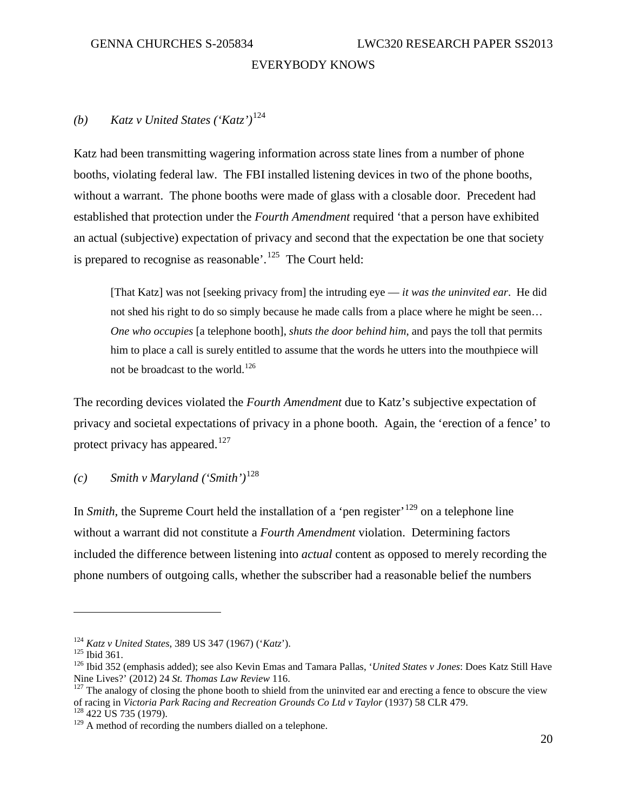# *(b) Katz v United States ('Katz')*[124](#page-23-0)

Katz had been transmitting wagering information across state lines from a number of phone booths, violating federal law. The FBI installed listening devices in two of the phone booths, without a warrant. The phone booths were made of glass with a closable door. Precedent had established that protection under the *Fourth Amendment* required 'that a person have exhibited an actual (subjective) expectation of privacy and second that the expectation be one that society is prepared to recognise as reasonable'.<sup>[125](#page-23-1)</sup> The Court held:

[That Katz] was not [seeking privacy from] the intruding eye — *it was the uninvited ear*. He did not shed his right to do so simply because he made calls from a place where he might be seen… *One who occupies* [a telephone booth], *shuts the door behind him*, and pays the toll that permits him to place a call is surely entitled to assume that the words he utters into the mouthpiece will not be broadcast to the world.<sup>[126](#page-23-2)</sup>

The recording devices violated the *Fourth Amendment* due to Katz's subjective expectation of privacy and societal expectations of privacy in a phone booth. Again, the 'erection of a fence' to protect privacy has appeared.<sup>[127](#page-23-3)</sup>

# *(c) Smith v Maryland ('Smith')*[128](#page-23-4)

In *Smith*, the Supreme Court held the installation of a 'pen register'<sup>[129](#page-23-5)</sup> on a telephone line without a warrant did not constitute a *Fourth Amendment* violation. Determining factors included the difference between listening into *actual* content as opposed to merely recording the phone numbers of outgoing calls, whether the subscriber had a reasonable belief the numbers

<span id="page-23-2"></span>

<span id="page-23-1"></span><span id="page-23-0"></span><sup>&</sup>lt;sup>124</sup> *Katz v United States*, 389 US 347 (1967) ('*Katz*').<br><sup>125</sup> Ibid 361. 126 Ibid 352 (emphasis added); see also Kevin Emas and Tamara Pallas, '*United States v Jones*: Does Katz Still Have Nine Lives?' (2012) 24 *St. Thomas Law Review* 116.<br><sup>127</sup> The analogy of closing the phone booth to shield from the uninvited ear and erecting a fence to obscure the view

<span id="page-23-3"></span>of racing in *Victoria Park Racing and Recreation Grounds Co Ltd v Taylor* (1937) 58 CLR 479. <sup>128</sup> 422 US 735 (1979).

<span id="page-23-5"></span><span id="page-23-4"></span> $129$  A method of recording the numbers dialled on a telephone.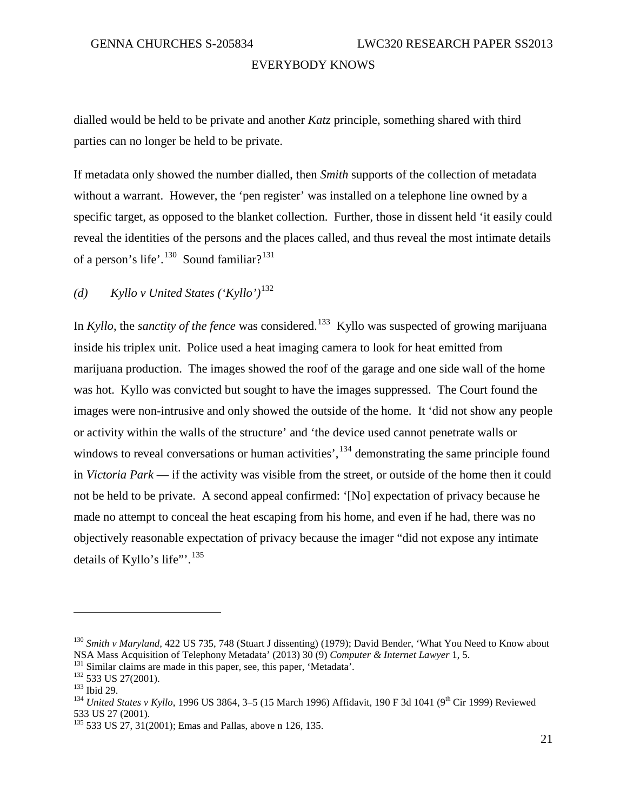dialled would be held to be private and another *Katz* principle, something shared with third parties can no longer be held to be private.

If metadata only showed the number dialled, then *Smith* supports of the collection of metadata without a warrant. However, the 'pen register' was installed on a telephone line owned by a specific target, as opposed to the blanket collection. Further, those in dissent held 'it easily could reveal the identities of the persons and the places called, and thus reveal the most intimate details of a person's life'.<sup>130</sup> Sound familiar?<sup>[131](#page-24-1)</sup>

*(d) Kyllo v United States ('Kyllo')*[132](#page-24-2)

In *Kyllo*, the *sanctity of the fence* was considered. [133](#page-24-3) Kyllo was suspected of growing marijuana inside his triplex unit. Police used a heat imaging camera to look for heat emitted from marijuana production. The images showed the roof of the garage and one side wall of the home was hot. Kyllo was convicted but sought to have the images suppressed. The Court found the images were non-intrusive and only showed the outside of the home. It 'did not show any people or activity within the walls of the structure' and 'the device used cannot penetrate walls or windows to reveal conversations or human activities', <sup>[134](#page-24-4)</sup> demonstrating the same principle found in *Victoria Park* — if the activity was visible from the street, or outside of the home then it could not be held to be private. A second appeal confirmed: '[No] expectation of privacy because he made no attempt to conceal the heat escaping from his home, and even if he had, there was no objectively reasonable expectation of privacy because the imager "did not expose any intimate details of Kyllo's life"'.<sup>[135](#page-24-5)</sup>

<span id="page-24-0"></span><sup>&</sup>lt;sup>130</sup> *Smith v Maryland,* 422 US 735, 748 (Stuart J dissenting) (1979); David Bender, 'What You Need to Know about NSA Mass Acquisition of Telephony Metadata' (2013) 30 (9) *Computer & Internet Lawyer* 1, 5.

<span id="page-24-3"></span>

<span id="page-24-4"></span>

<span id="page-24-2"></span><span id="page-24-1"></span><sup>&</sup>lt;sup>131</sup> Similar claims are made in this paper, see, this paper, 'Metadata'.<br><sup>132</sup> 533 US 27(2001).<br><sup>133</sup> Ibid 29.<br><sup>134</sup> United States v Kyllo, 1996 US 3864, 3–5 (15 March 1996) Affidavit, 190 F 3d 1041 (9<sup>th</sup> Cir 1999) Revi 533 US 27 (2001).

<span id="page-24-5"></span><sup>135</sup> 533 US 27, 31(2001); Emas and Pallas, above n 126, 135.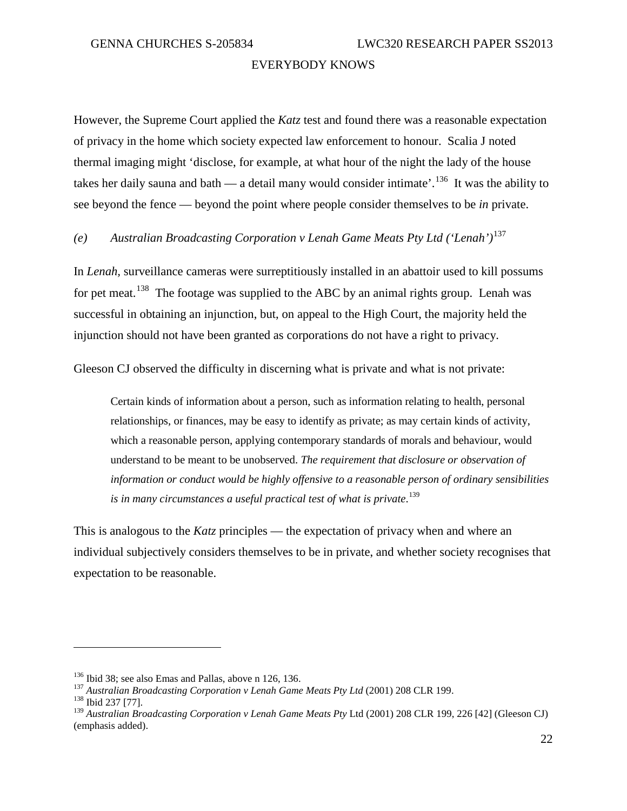However, the Supreme Court applied the *Katz* test and found there was a reasonable expectation of privacy in the home which society expected law enforcement to honour. Scalia J noted thermal imaging might 'disclose, for example, at what hour of the night the lady of the house takes her daily sauna and bath — a detail many would consider intimate'.[136](#page-25-0) It was the ability to see beyond the fence — beyond the point where people consider themselves to be *in* private.

# *(e) Australian Broadcasting Corporation v Lenah Game Meats Pty Ltd ('Lenah')*[137](#page-25-1)

In *Lenah,* surveillance cameras were surreptitiously installed in an abattoir used to kill possums for pet meat.<sup>138</sup> The footage was supplied to the ABC by an animal rights group. Lenah was successful in obtaining an injunction, but, on appeal to the High Court, the majority held the injunction should not have been granted as corporations do not have a right to privacy.

Gleeson CJ observed the difficulty in discerning what is private and what is not private:

Certain kinds of information about a person, such as information relating to health, personal relationships, or finances, may be easy to identify as private; as may certain kinds of activity, which a reasonable person, applying contemporary standards of morals and behaviour, would understand to be meant to be unobserved. *The requirement that disclosure or observation of information or conduct would be highly offensive to a reasonable person of ordinary sensibilities is in many circumstances a useful practical test of what is private*. [139](#page-25-3)

This is analogous to the *Katz* principles — the expectation of privacy when and where an individual subjectively considers themselves to be in private, and whether society recognises that expectation to be reasonable.

<span id="page-25-1"></span><span id="page-25-0"></span><sup>&</sup>lt;sup>136</sup> Ibid 38; see also Emas and Pallas, above n 126, 136.<br><sup>137</sup> *Australian Broadcasting Corporation v Lenah Game Meats Pty Ltd* (2001) 208 CLR 199.<br><sup>138</sup> Ibid 237 [77].

<span id="page-25-3"></span><span id="page-25-2"></span><sup>139</sup> *Australian Broadcasting Corporation v Lenah Game Meats Pty* Ltd (2001) 208 CLR 199, 226 [42] (Gleeson CJ) (emphasis added).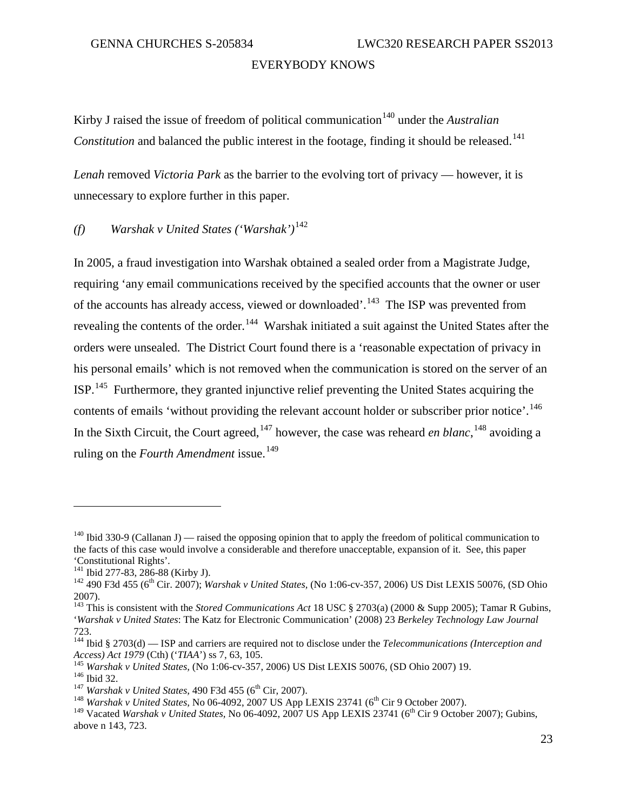Kirby J raised the issue of freedom of political communication<sup>[140](#page-26-0)</sup> under the *Australian Constitution* and balanced the public interest in the footage, finding it should be released.<sup>[141](#page-26-1)</sup>

*Lenah* removed *Victoria Park* as the barrier to the evolving tort of privacy — however, it is unnecessary to explore further in this paper.

*(f) Warshak v United States ('Warshak')*[142](#page-26-2)

In 2005, a fraud investigation into Warshak obtained a sealed order from a Magistrate Judge, requiring 'any email communications received by the specified accounts that the owner or user of the accounts has already access, viewed or downloaded'.<sup>143</sup> The ISP was prevented from revealing the contents of the order.<sup>[144](#page-26-4)</sup> Warshak initiated a suit against the United States after the orders were unsealed. The District Court found there is a 'reasonable expectation of privacy in his personal emails' which is not removed when the communication is stored on the server of an  $ISP.$ <sup>[145](#page-26-5)</sup> Furthermore, they granted injunctive relief preventing the United States acquiring the contents of emails 'without providing the relevant account holder or subscriber prior notice'.<sup>146</sup> In the Sixth Circuit, the Court agreed, <sup>[147](#page-26-7)</sup> however, the case was reheard *en blanc*, <sup>[148](#page-26-8)</sup> avoiding a ruling on the *Fourth Amendment* issue.<sup>[149](#page-26-9)</sup>

<span id="page-26-0"></span><sup>&</sup>lt;sup>140</sup> Ibid 330-9 (Callanan J) — raised the opposing opinion that to apply the freedom of political communication to the facts of this case would involve a considerable and therefore unacceptable, expansion of it. See, this paper 'Constitutional Rights'.

<span id="page-26-2"></span><span id="page-26-1"></span><sup>&</sup>lt;sup>142</sup> 490 F3d 455 (6<sup>th</sup> Cir. 2007); *Warshak v United States,* (No 1:06-cv-357, 2006) US Dist LEXIS 50076, (SD Ohio 2007).

<span id="page-26-3"></span><sup>143</sup> This is consistent with the *Stored Communications Act* 18 USC § 2703(a) (2000 & Supp 2005); Tamar R Gubins, '*Warshak v United States*: The Katz for Electronic Communication' (2008) 23 *Berkeley Technology Law Journal* 723.

<span id="page-26-4"></span><sup>&</sup>lt;sup>144</sup> Ibid § 2703(d) — ISP and carriers are required not to disclose under the *Telecommunications (Interception and Access) Act 1979* (Cth) ('*TIAA*') ss 7, 63, 105.

<span id="page-26-6"></span><span id="page-26-5"></span><sup>&</sup>lt;sup>145</sup> Warshak v United States, (No 1:06-cv-357, 2006) US Dist LEXIS 50076, (SD Ohio 2007) 19.<br><sup>146</sup> Ibid 32.<br><sup>147</sup> Warshak v United States, 490 F3d 455 (6<sup>th</sup> Cir, 2007).<br><sup>148</sup> Warshak v United States, No 06-4092, 2007 US

<span id="page-26-7"></span>

<span id="page-26-9"></span><span id="page-26-8"></span><sup>&</sup>lt;sup>149</sup> Vacated *Warshak v United States*, No 06-4092, 2007 US App LEXIS 23741 (6<sup>th</sup> Cir 9 October 2007); Gubins, above n 143, 723.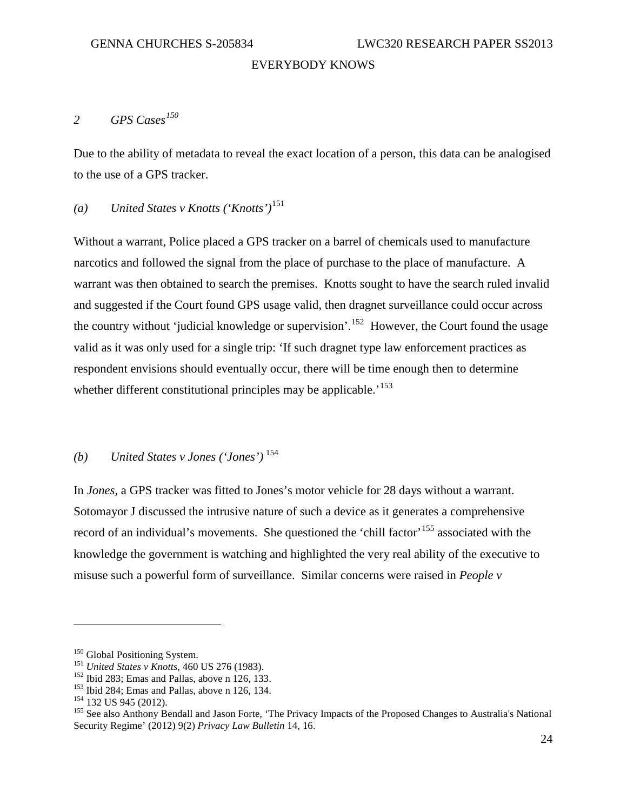# <span id="page-27-0"></span>*2 GPS Cases[150](#page-27-1)*

Due to the ability of metadata to reveal the exact location of a person, this data can be analogised to the use of a GPS tracker.

### *(a) United States v Knotts ('Knotts')*[151](#page-27-2)

Without a warrant, Police placed a GPS tracker on a barrel of chemicals used to manufacture narcotics and followed the signal from the place of purchase to the place of manufacture. A warrant was then obtained to search the premises. Knotts sought to have the search ruled invalid and suggested if the Court found GPS usage valid, then dragnet surveillance could occur across the country without 'judicial knowledge or supervision'.<sup>[152](#page-27-3)</sup> However, the Court found the usage valid as it was only used for a single trip: 'If such dragnet type law enforcement practices as respondent envisions should eventually occur, there will be time enough then to determine whether different constitutional principles may be applicable.<sup>'[153](#page-27-4)</sup>

#### *(b) United States v Jones ('Jones')* [154](#page-27-5)

In *Jones*, a GPS tracker was fitted to Jones's motor vehicle for 28 days without a warrant. Sotomayor J discussed the intrusive nature of such a device as it generates a comprehensive record of an individual's movements. She questioned the 'chill factor'<sup>[155](#page-27-6)</sup> associated with the knowledge the government is watching and highlighted the very real ability of the executive to misuse such a powerful form of surveillance. Similar concerns were raised in *People v* 

<span id="page-27-3"></span>

<span id="page-27-5"></span><span id="page-27-4"></span>

<span id="page-27-6"></span>

<span id="page-27-2"></span><span id="page-27-1"></span><sup>&</sup>lt;sup>150</sup> Global Positioning System.<br>
<sup>151</sup> United States v Knotts, 460 US 276 (1983).<br>
<sup>152</sup> Ibid 283; Emas and Pallas, above n 126, 133.<br>
<sup>152</sup> Ibid 284; Emas and Pallas, above n 126, 134.<br>
<sup>154</sup> 132 US 945 (2012).<br>
<sup>155</sup> S Security Regime' (2012) 9(2) *Privacy Law Bulletin* 14, 16.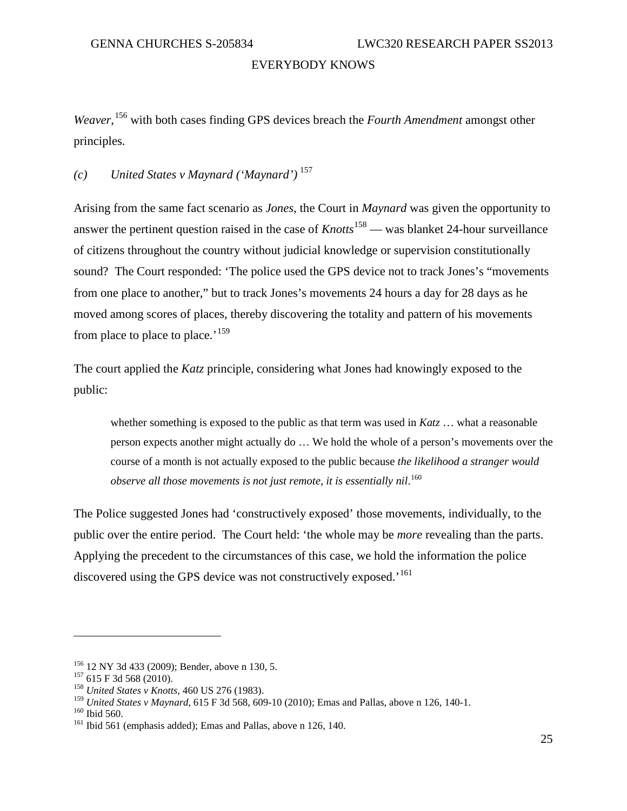*Weaver*, [156](#page-28-0) with both cases finding GPS devices breach the *Fourth Amendment* amongst other principles.

#### *(c) United States v Maynard ('Maynard')* [157](#page-28-1)

Arising from the same fact scenario as *Jones*, the Court in *Maynard* was given the opportunity to answer the pertinent question raised in the case of *Knotts*<sup>[158](#page-28-2)</sup> — was blanket 24-hour surveillance of citizens throughout the country without judicial knowledge or supervision constitutionally sound? The Court responded: 'The police used the GPS device not to track Jones's "movements from one place to another," but to track Jones's movements 24 hours a day for 28 days as he moved among scores of places, thereby discovering the totality and pattern of his movements from place to place to place.'<sup>[159](#page-28-3)</sup>

The court applied the *Katz* principle, considering what Jones had knowingly exposed to the public:

whether something is exposed to the public as that term was used in *Katz* … what a reasonable person expects another might actually do … We hold the whole of a person's movements over the course of a month is not actually exposed to the public because *the likelihood a stranger would observe all those movements is not just remote, it is essentially nil*. [160](#page-28-4)

The Police suggested Jones had 'constructively exposed' those movements, individually, to the public over the entire period. The Court held: 'the whole may be *more* revealing than the parts. Applying the precedent to the circumstances of this case, we hold the information the police discovered using the GPS device was not constructively exposed.<sup>'[161](#page-28-5)</sup>

<span id="page-28-1"></span><span id="page-28-0"></span><sup>&</sup>lt;sup>156</sup> 12 NY 3d 433 (2009); Bender, above n 130, 5.<br><sup>157</sup> 615 F 3d 568 (2010). <sup>158</sup> *United States v Knotts*, 460 US 276 (1983).

<span id="page-28-4"></span><span id="page-28-3"></span><span id="page-28-2"></span><sup>&</sup>lt;sup>159</sup> *United States v Maynard*, 615 F 3d 568, 609-10 (2010); Emas and Pallas, above n 126, 140-1.<br><sup>160</sup> Ibid 560. (emphasis added); Emas and Pallas, above n 126, 140.

<span id="page-28-5"></span>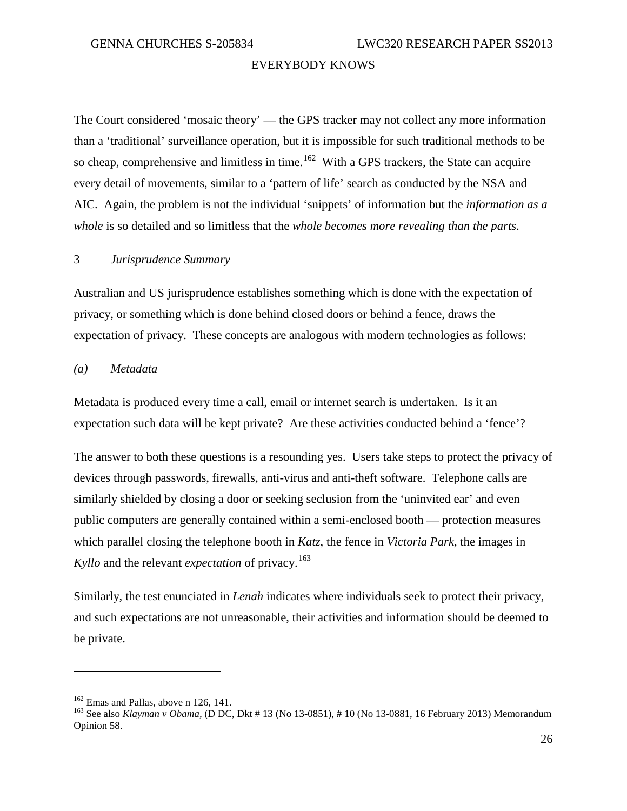The Court considered 'mosaic theory' — the GPS tracker may not collect any more information than a 'traditional' surveillance operation, but it is impossible for such traditional methods to be so cheap, comprehensive and limitless in time.<sup>[162](#page-29-1)</sup> With a GPS trackers, the State can acquire every detail of movements, similar to a 'pattern of life' search as conducted by the NSA and AIC. Again, the problem is not the individual 'snippets' of information but the *information as a whole* is so detailed and so limitless that the *whole becomes more revealing than the parts*.

#### <span id="page-29-0"></span>3 *Jurisprudence Summary*

Australian and US jurisprudence establishes something which is done with the expectation of privacy, or something which is done behind closed doors or behind a fence, draws the expectation of privacy. These concepts are analogous with modern technologies as follows:

#### *(a) Metadata*

Metadata is produced every time a call, email or internet search is undertaken. Is it an expectation such data will be kept private? Are these activities conducted behind a 'fence'?

The answer to both these questions is a resounding yes. Users take steps to protect the privacy of devices through passwords, firewalls, anti-virus and anti-theft software. Telephone calls are similarly shielded by closing a door or seeking seclusion from the 'uninvited ear' and even public computers are generally contained within a semi-enclosed booth — protection measures which parallel closing the telephone booth in *Katz*, the fence in *Victoria Park*, the images in *Kyllo* and the relevant *expectation* of privacy.<sup>163</sup>

Similarly, the test enunciated in *Lenah* indicates where individuals seek to protect their privacy, and such expectations are not unreasonable, their activities and information should be deemed to be private.

<span id="page-29-2"></span><span id="page-29-1"></span><sup>&</sup>lt;sup>162</sup> Emas and Pallas, above n 126, 141.<br><sup>163</sup> See also *Klayman v Obama*, (D DC, Dkt # 13 (No 13-0851), # 10 (No 13-0881, 16 February 2013) Memorandum Opinion 58.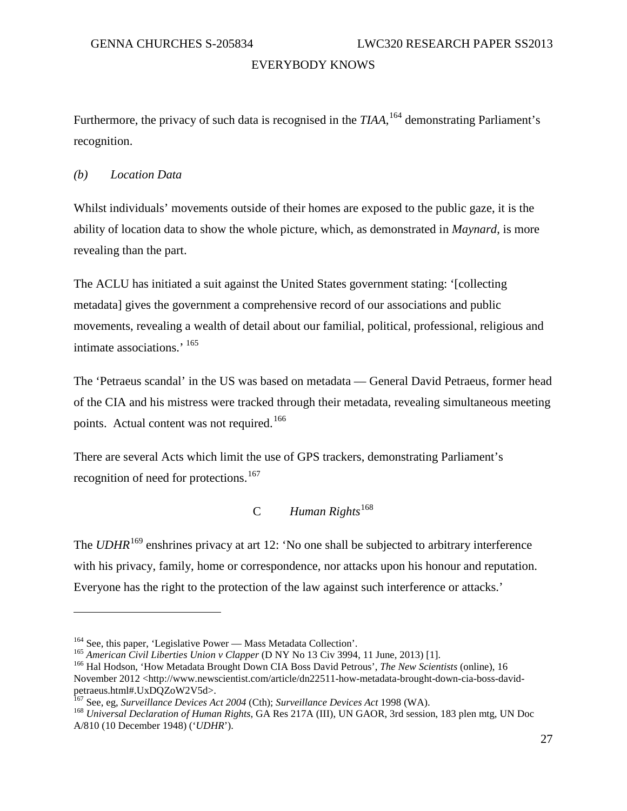Furthermore, the privacy of such data is recognised in the *TIAA*, <sup>[164](#page-30-1)</sup> demonstrating Parliament's recognition.

*(b) Location Data*

 $\overline{a}$ 

Whilst individuals' movements outside of their homes are exposed to the public gaze, it is the ability of location data to show the whole picture, which, as demonstrated in *Maynard*, is more revealing than the part.

The ACLU has initiated a suit against the United States government stating: '[collecting metadata] gives the government a comprehensive record of our associations and public movements, revealing a wealth of detail about our familial, political, professional, religious and intimate associations.' [165](#page-30-2)

The 'Petraeus scandal' in the US was based on metadata — General David Petraeus, former head of the CIA and his mistress were tracked through their metadata, revealing simultaneous meeting points. Actual content was not required.<sup>[166](#page-30-3)</sup>

There are several Acts which limit the use of GPS trackers, demonstrating Parliament's recognition of need for protections.<sup>[167](#page-30-4)</sup>

# C *Human Rights*[168](#page-30-5)

<span id="page-30-6"></span><span id="page-30-0"></span>The *UDHR*<sup>[169](#page-30-6)</sup> enshrines privacy at art 12: 'No one shall be subjected to arbitrary interference with his privacy, family, home or correspondence, nor attacks upon his honour and reputation. Everyone has the right to the protection of the law against such interference or attacks.'

<span id="page-30-3"></span>

<span id="page-30-2"></span><span id="page-30-1"></span><sup>&</sup>lt;sup>164</sup> See, this paper, 'Legislative Power — Mass Metadata Collection'.<br><sup>165</sup> American Civil Liberties Union v Clapper (D NY No 13 Civ 3994, 11 June, 2013) [1].<br><sup>166</sup> [Hal Hodson,](http://www.newscientist.com/search?rbauthors=Hal+Hodson) 'How Metadata Brought Down CIA Boss David Pe November 2012 <http://www.newscientist.com/article/dn22511-how-metadata-brought-down-cia-boss-davidpetraeus.html#.UxDQZoW2V5d>.<br><sup>167</sup> See, eg, Surveillance Devices Act 2004 (Cth); Surveillance Devices Act 1998 (WA).

<span id="page-30-4"></span>

<span id="page-30-5"></span><sup>&</sup>lt;sup>168</sup> Universal Declaration of Human Rights, GA Res 217A (III), UN GAOR, 3rd session, 183 plen mtg, UN Doc A/810 (10 December 1948) ('*UDHR*').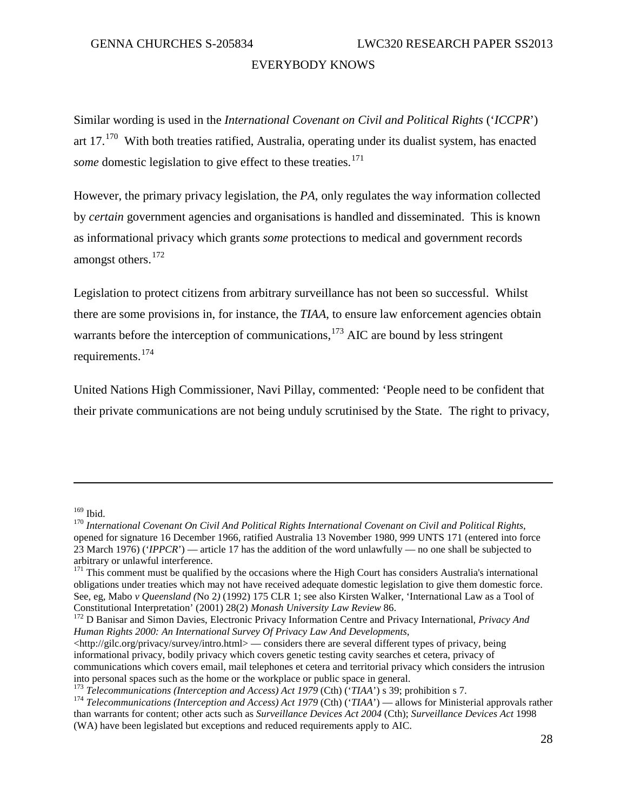Similar wording is used in the *International Covenant on Civil and Political Rights* ('*ICCPR*') art  $17$ .<sup>[170](#page-31-0)</sup> With both treaties ratified, Australia, operating under its dualist system, has enacted *some* domestic legislation to give effect to these treaties. [171](#page-31-1)

However, the primary privacy legislation, the *PA*, only regulates the way information collected by *certain* government agencies and organisations is handled and disseminated. This is known as informational privacy which grants *some* protections to medical and government records amongst others.<sup>[172](#page-31-2)</sup>

Legislation to protect citizens from arbitrary surveillance has not been so successful. Whilst there are some provisions in, for instance, the *TIAA*, to ensure law enforcement agencies obtain warrants before the interception of communications, <sup>[173](#page-31-3)</sup> AIC are bound by less stringent requirements.[174](#page-31-4)

United Nations High Commissioner, Navi Pillay, commented: 'People need to be confident that their private communications are not being unduly scrutinised by the State. The right to privacy,

<span id="page-31-0"></span><sup>&</sup>lt;sup>169</sup> Ibid.<br><sup>170</sup> International Covenant On Civil And Political Rights International Covenant on Civil and Political Rights, opened for signature 16 December 1966, ratified Australia 13 November 1980, 999 UNTS 171 (entered into force 23 March 1976) ('*IPPCR*') — article 17 has the addition of the word unlawfully — no one shall be subjected to arbitrary or unlawful interference.

<span id="page-31-1"></span> $171$  This comment must be qualified by the occasions where the High Court has considers Australia's international obligations under treaties which may not have received adequate domestic legislation to give them domestic force. See, eg, Mabo *v Queensland* (No 2) (1992) 175 CLR 1; see also Kirsten Walker, 'International Law as a Tool of Constitutional Interpretation' (2001) 28(2) *Monash University Law Review* 86.

<span id="page-31-2"></span>Constitutional Interpretation' (2001) 28(2) *Monash University Law Review* 86. <sup>172</sup> D Banisar and Simon Davies, Electronic Privacy Information Centre and Privacy International, *Privacy And Human Rights 2000: An International Survey Of Privacy Law And Developments*,

<sup>&</sup>lt;http://gilc.org/privacy/survey/intro.html> — considers there are several different types of privacy, being informational privacy, bodily privacy which covers genetic testing cavity searches et cetera, privacy of communications which covers email, mail telephones et cetera and territorial privacy which considers the intrusion into personal spaces such as the home or the workplace or public space in general.<br><sup>173</sup> Telecommunications (Interception and Access) Act 1979 (Cth) ('TIAA') s 39; prohibition s 7.<br><sup>174</sup> Telecommunications (Interception an

<span id="page-31-3"></span>

<span id="page-31-4"></span>than warrants for content; other acts such as *Surveillance Devices Act 2004* (Cth); *Surveillance Devices Act* 1998 (WA) have been legislated but exceptions and reduced requirements apply to AIC.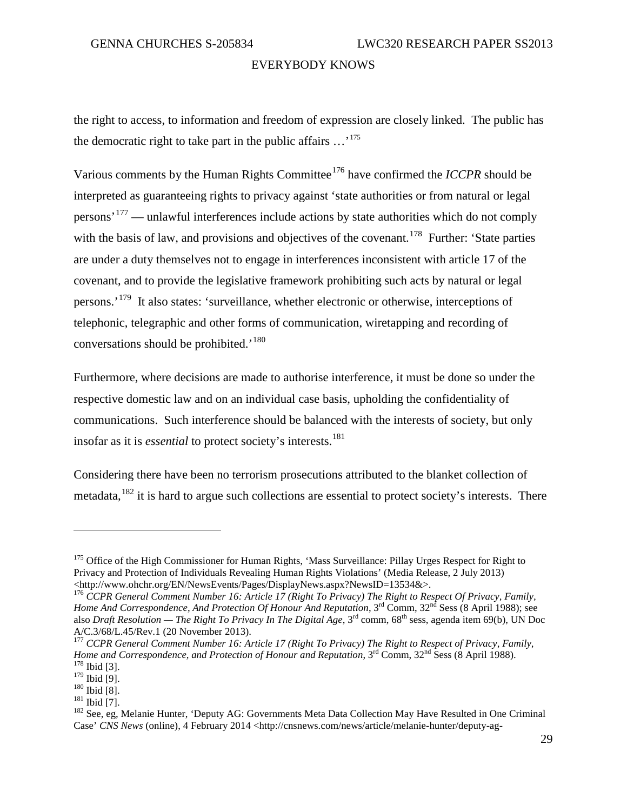the right to access, to information and freedom of expression are closely linked. The public has the democratic right to take part in the public affairs  $\ldots$ <sup>[175](#page-32-0)</sup>

Various comments by the Human Rights Committee<sup>[176](#page-32-1)</sup> have confirmed the *ICCPR* should be interpreted as guaranteeing rights to privacy against 'state authorities or from natural or legal persons<sup>'[177](#page-32-2)</sup> — unlawful interferences include actions by state authorities which do not comply with the basis of law, and provisions and objectives of the covenant.<sup>[178](#page-32-3)</sup> Further: 'State parties are under a duty themselves not to engage in interferences inconsistent with article 17 of the covenant, and to provide the legislative framework prohibiting such acts by natural or legal persons.<sup>'[179](#page-32-4)</sup> It also states: 'surveillance, whether electronic or otherwise, interceptions of telephonic, telegraphic and other forms of communication, wiretapping and recording of conversations should be prohibited.<sup>'[180](#page-32-5)</sup>

Furthermore, where decisions are made to authorise interference, it must be done so under the respective domestic law and on an individual case basis, upholding the confidentiality of communications. Such interference should be balanced with the interests of society, but only insofar as it is *essential* to protect society's interests.<sup>[181](#page-32-6)</sup>

Considering there have been no terrorism prosecutions attributed to the blanket collection of metadata,<sup>[182](#page-32-7)</sup> it is hard to argue such collections are essential to protect society's interests. There

<span id="page-32-0"></span><sup>&</sup>lt;sup>175</sup> Office of the High Commissioner for Human Rights, 'Mass Surveillance: Pillay Urges Respect for Right to Privacy and Protection of Individuals Revealing Human Rights Violations' (Media Release, 2 July 2013) <http://www.ohchr.org/EN/NewsEvents/Pages/DisplayNews.aspx?NewsID=13534&>.

<span id="page-32-1"></span><sup>176</sup> *CCPR General Comment Number 16: Article 17 (Right To Privacy) The Right to Respect Of Privacy, Family, Home And Correspondence, And Protection Of Honour And Reputation*, 3<sup>rd</sup> Comm, 32<sup>nd</sup> Sess (8 April 1988); see also *Draft Resolution — The Right To Privacy In The Digital Age*, 3rd comm, 68th sess, agenda item 69(b), UN Doc A/C.3/68/L.45/Rev.1 (20 November 2013).

<span id="page-32-2"></span><sup>177</sup> *CCPR General Comment Number 16: Article 17 (Right To Privacy) The Right to Respect of Privacy, Family, Home and Correspondence, and Protection of Honour and Reputation*, 3<sup>rd</sup> Comm, 32<sup>nd</sup> Sess (8 April 1988).<br><sup>178</sup> Ibid [3].<br><sup>179</sup> Ibid [9].

<span id="page-32-7"></span><span id="page-32-6"></span>

<span id="page-32-5"></span><span id="page-32-4"></span><span id="page-32-3"></span><sup>&</sup>lt;sup>180</sup> Ibid [9].<br><sup>180</sup> Ibid [8].<br><sup>181</sup> Ibid [7].<br><sup>182</sup> See, eg, Melanie Hunter, 'Deputy AG: Governments Meta Data Collection May Have Resulted in One Criminal Case' *CNS News* (online), 4 February 2014 <http://cnsnews.com/news/article/melanie-hunter/deputy-ag-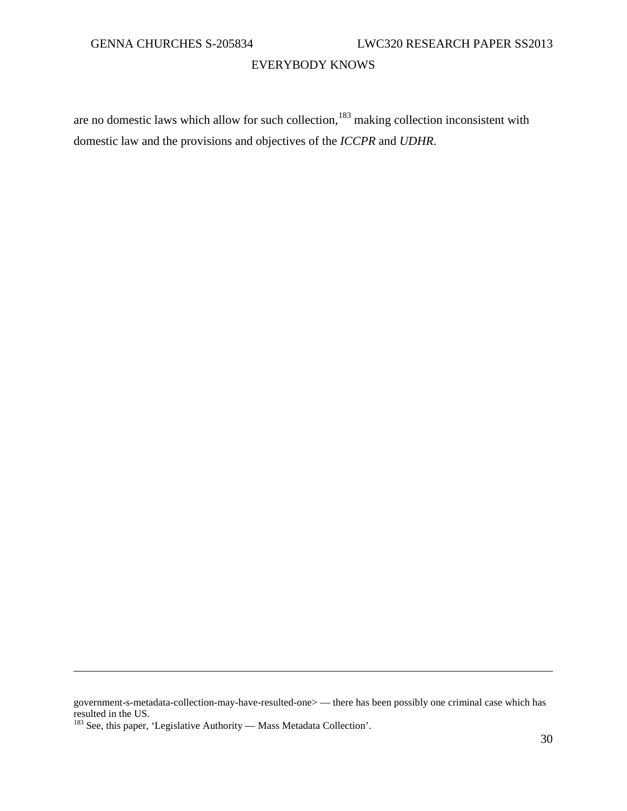are no domestic laws which allow for such collection, $183$  making collection inconsistent with domestic law and the provisions and objectives of the *ICCPR* and *UDHR*.

government-s-metadata-collection-may-have-resulted-one> — there has been possibly one criminal case which has resulted in the US.

<span id="page-33-0"></span><sup>&</sup>lt;sup>183</sup> See, this paper, 'Legislative Authority — Mass Metadata Collection'.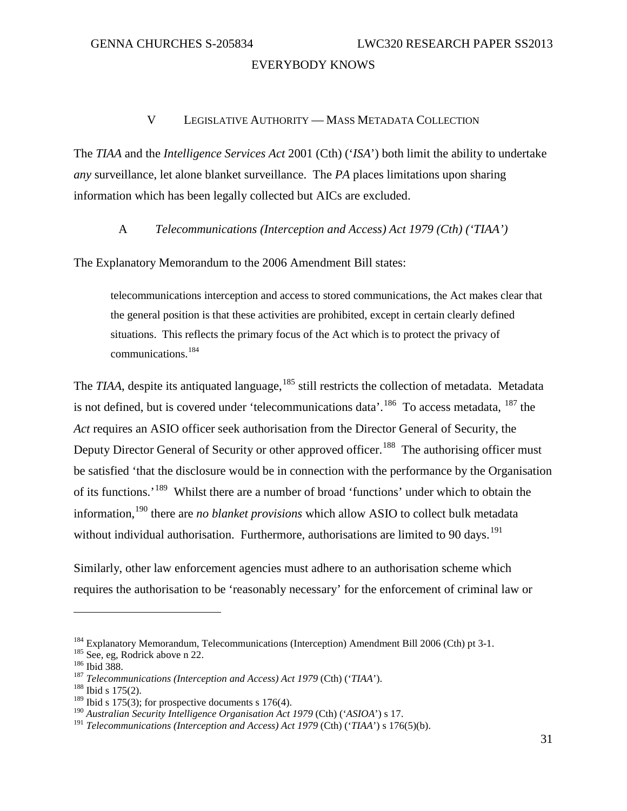#### V LEGISLATIVE AUTHORITY — MASS METADATA COLLECTION

<span id="page-34-0"></span>The *TIAA* and the *Intelligence Services Act* 2001 (Cth) ('*ISA*') both limit the ability to undertake *any* surveillance, let alone blanket surveillance. The *PA* places limitations upon sharing information which has been legally collected but AICs are excluded.

A *Telecommunications (Interception and Access) Act 1979 (Cth) ('TIAA')*

<span id="page-34-1"></span>The Explanatory Memorandum to the 2006 Amendment Bill states:

telecommunications interception and access to stored communications, the Act makes clear that the general position is that these activities are prohibited, except in certain clearly defined situations. This reflects the primary focus of the Act which is to protect the privacy of communications.[184](#page-34-2)

The *TIAA*, despite its antiquated language, <sup>[185](#page-34-3)</sup> still restricts the collection of metadata. Metadata is not defined, but is covered under 'telecommunications data'.<sup>[186](#page-34-4)</sup> To access metadata,  $^{187}$  $^{187}$  $^{187}$  the *Act* requires an ASIO officer seek authorisation from the Director General of Security, the Deputy Director General of Security or other approved officer.<sup>[188](#page-34-6)</sup> The authorising officer must be satisfied 'that the disclosure would be in connection with the performance by the Organisation of its functions.'[189](#page-34-7) Whilst there are a number of broad 'functions' under which to obtain the information,[190](#page-34-8) there are *no blanket provisions* which allow ASIO to collect bulk metadata without individual authorisation. Furthermore, authorisations are limited to 90 days.<sup>[191](#page-34-9)</sup>

Similarly, other law enforcement agencies must adhere to an authorisation scheme which requires the authorisation to be 'reasonably necessary' for the enforcement of criminal law or

<span id="page-34-3"></span><span id="page-34-2"></span><sup>&</sup>lt;sup>184</sup> Explanatory Memorandum, Telecommunications (Interception) Amendment Bill 2006 (Cth) pt 3-1.<br><sup>185</sup> See, eg, Rodrick above n 22.<br><sup>186</sup> Ibid 388.<br><sup>187</sup> *Telecommunications (Interception and Access) Act 1979* (Cth) (*'T* 

<span id="page-34-4"></span>

<span id="page-34-5"></span>

<span id="page-34-7"></span><span id="page-34-6"></span><sup>&</sup>lt;sup>189</sup> Ibid s 175(3); for prospective documents s 176(4).

<span id="page-34-8"></span><sup>190</sup> *Australian Security Intelligence Organisation Act 1979* (Cth) ('*ASIOA*') s 17.

<span id="page-34-9"></span><sup>191</sup> *Telecommunications (Interception and Access) Act 1979* (Cth) ('*TIAA*') s 176(5)(b).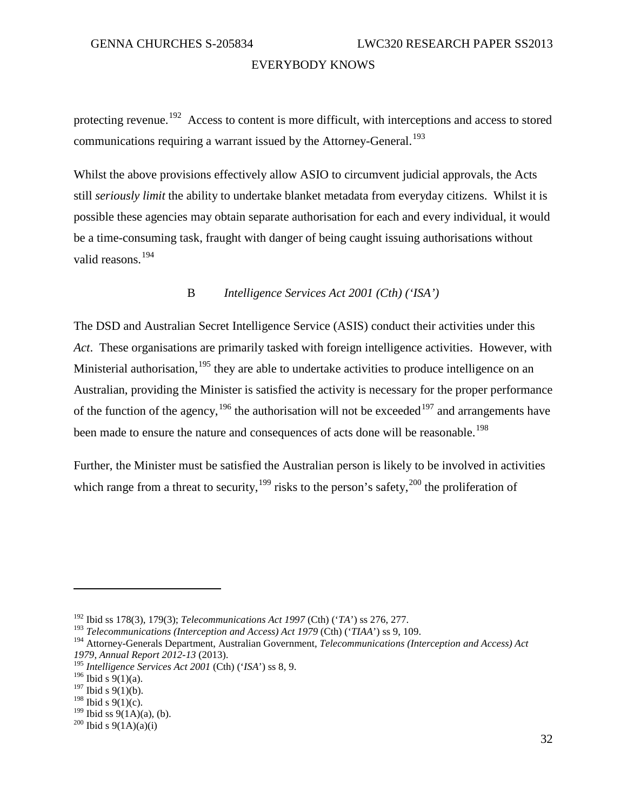protecting revenue.<sup>[192](#page-35-1)</sup> Access to content is more difficult, with interceptions and access to stored communications requiring a warrant issued by the Attorney-General.<sup>[193](#page-35-2)</sup>

Whilst the above provisions effectively allow ASIO to circumvent judicial approvals, the Acts still *seriously limit* the ability to undertake blanket metadata from everyday citizens. Whilst it is possible these agencies may obtain separate authorisation for each and every individual, it would be a time-consuming task, fraught with danger of being caught issuing authorisations without valid reasons. [194](#page-35-3)

#### B *Intelligence Services Act 2001 (Cth) ('ISA')*

<span id="page-35-0"></span>The DSD and Australian Secret Intelligence Service (ASIS) conduct their activities under this *Act*. These organisations are primarily tasked with foreign intelligence activities. However, with Ministerial authorisation, <sup>[195](#page-35-4)</sup> they are able to undertake activities to produce intelligence on an Australian, providing the Minister is satisfied the activity is necessary for the proper performance of the function of the agency,  $196$  the authorisation will not be exceeded  $197$  and arrangements have been made to ensure the nature and consequences of acts done will be reasonable.<sup>[198](#page-35-7)</sup>

Further, the Minister must be satisfied the Australian person is likely to be involved in activities which range from a threat to security,<sup>[199](#page-35-8)</sup> risks to the person's safety,<sup>[200](#page-35-9)</sup> the proliferation of

<span id="page-35-1"></span><sup>192</sup> Ibid ss 178(3), 179(3); *Telecommunications Act 1997* (Cth) ('*TA*') ss 276, 277.

<span id="page-35-2"></span><sup>193</sup> *Telecommunications (Interception and Access) Act 1979* (Cth) ('*TIAA*') ss 9, 109.

<span id="page-35-3"></span><sup>&</sup>lt;sup>194</sup> Attorney-Generals Department, Australian Government, *Telecommunications (Interception and Access) Act 1979, Annual Report 2012-13 (2013).* 

<span id="page-35-4"></span><sup>&</sup>lt;sup>195</sup> Intelligence Services Act 2001 (Cth) ('ISA') ss 8, 9.

<span id="page-35-5"></span> $196$  Ibid s  $9(1)(a)$ .

<span id="page-35-6"></span> $197$  Ibid s 9(1)(b).

 $198$  Ibid s 9(1)(c).

<span id="page-35-9"></span><span id="page-35-8"></span><span id="page-35-7"></span><sup>&</sup>lt;sup>199</sup> Ibid ss 9(1A)(a), (b).<br><sup>200</sup> Ibid s 9(1A)(a)(i)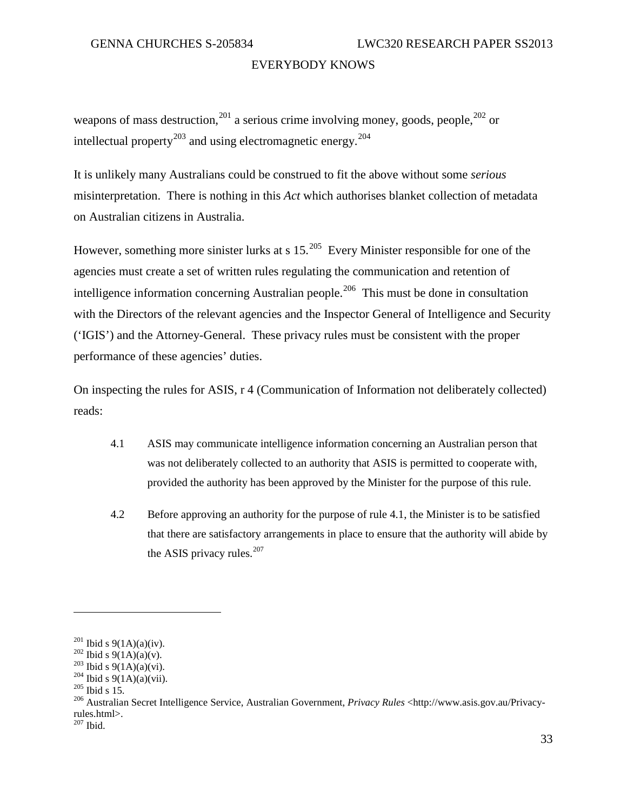weapons of mass destruction,  $201$  a serious crime involving money, goods, people,  $202$  or intellectual property<sup>[203](#page-36-2)</sup> and using electromagnetic energy.<sup>[204](#page-36-3)</sup>

It is unlikely many Australians could be construed to fit the above without some *serious* misinterpretation. There is nothing in this *Act* which authorises blanket collection of metadata on Australian citizens in Australia.

However, something more sinister lurks at s  $15^{205}$  $15^{205}$  $15^{205}$  Every Minister responsible for one of the agencies must create a set of written rules regulating the communication and retention of intelligence information concerning Australian people.<sup>206</sup> This must be done in consultation with the Directors of the relevant agencies and the Inspector General of Intelligence and Security ('IGIS') and the Attorney-General. These privacy rules must be consistent with the proper performance of these agencies' duties.

On inspecting the rules for ASIS, r 4 (Communication of Information not deliberately collected) reads:

- 4.1 ASIS may communicate intelligence information concerning an Australian person that was not deliberately collected to an authority that ASIS is permitted to cooperate with, provided the authority has been approved by the Minister for the purpose of this rule.
- 4.2 Before approving an authority for the purpose of rule 4.1, the Minister is to be satisfied that there are satisfactory arrangements in place to ensure that the authority will abide by the ASIS privacy rules. $207$

<span id="page-36-2"></span>

<span id="page-36-3"></span>

<span id="page-36-5"></span><span id="page-36-4"></span>

<span id="page-36-1"></span><span id="page-36-0"></span><sup>&</sup>lt;sup>201</sup> Ibid s 9(1A)(a)(iv).<br>
<sup>202</sup> Ibid s 9(1A)(a)(v).<br>
<sup>203</sup> Ibid s 9(1A)(a)(vi).<br>
<sup>203</sup> Ibid s 9(1A)(a)(vii).<br>
<sup>204</sup> Ibid s 15.<br>
<sup>206</sup> Australian Secret Intelligence Service, Australian Government, *Privacy Rules* <http: rules.html>.

<span id="page-36-6"></span> $207$  Ibid.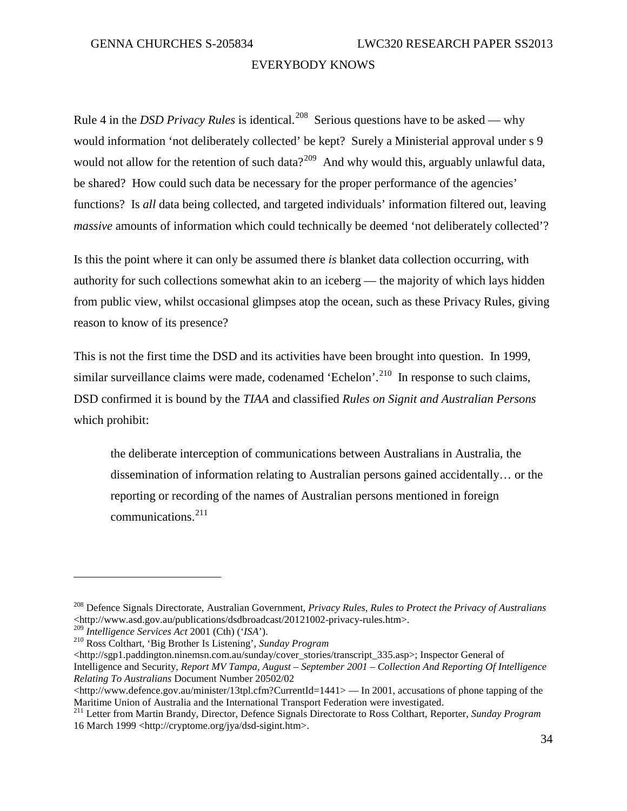Rule 4 in the *DSD Privacy Rules* is identical.<sup>208</sup> Serious questions have to be asked — why would information 'not deliberately collected' be kept? Surely a Ministerial approval under s 9 would not allow for the retention of such data?<sup>[209](#page-37-1)</sup> And why would this, arguably unlawful data, be shared? How could such data be necessary for the proper performance of the agencies' functions? Is *all* data being collected, and targeted individuals' information filtered out, leaving *massive* amounts of information which could technically be deemed 'not deliberately collected'?

Is this the point where it can only be assumed there *is* blanket data collection occurring, with authority for such collections somewhat akin to an iceberg — the majority of which lays hidden from public view, whilst occasional glimpses atop the ocean, such as these Privacy Rules, giving reason to know of its presence?

This is not the first time the DSD and its activities have been brought into question. In 1999, similar surveillance claims were made, codenamed 'Echelon'.<sup>[210](#page-37-2)</sup> In response to such claims, DSD confirmed it is bound by the *TIAA* and classified *Rules on Signit and Australian Persons* which prohibit:

the deliberate interception of communications between Australians in Australia, the dissemination of information relating to Australian persons gained accidentally… or the reporting or recording of the names of Australian persons mentioned in foreign communications.<sup>[211](#page-37-3)</sup>

 $\overline{a}$ 

 $\langle$ http://sgp1.paddington.ninemsn.com.au/sunday/cover\_stories/transcript\_335.asp>; Inspector General of Intelligence and Security, *Report MV Tampa, August – September 2001 – Collection And Reporting Of Intelligence Relating To Australians* Document Number 20502/02

<span id="page-37-0"></span><sup>208</sup> Defence Signals Directorate, Australian Government, *Privacy Rules, Rules to Protect the Privacy of Australians* <http://www.asd.gov.au/publications/dsdbroadcast/20121002-privacy-rules.htm>.<br><sup>209</sup> Intelligence Services Act 2001 (Cth) ('ISA').

<span id="page-37-1"></span>

<span id="page-37-2"></span><sup>&</sup>lt;sup>210</sup> Ross Colthart, 'Big Brother Is Listening', *Sunday Program* 

 $\langle$ http://www.defence.gov.au/minister/13tpl.cfm?CurrentId=1441> — In 2001, accusations of phone tapping of the Maritime Union of Australia and the International Transport Federation were investigated.

<span id="page-37-3"></span><sup>211</sup> Letter from Martin Brandy, Director, Defence Signals Directorate to Ross Colthart, Reporter, *Sunday Program* 16 March 1999 <http://cryptome.org/jya/dsd-sigint.htm>.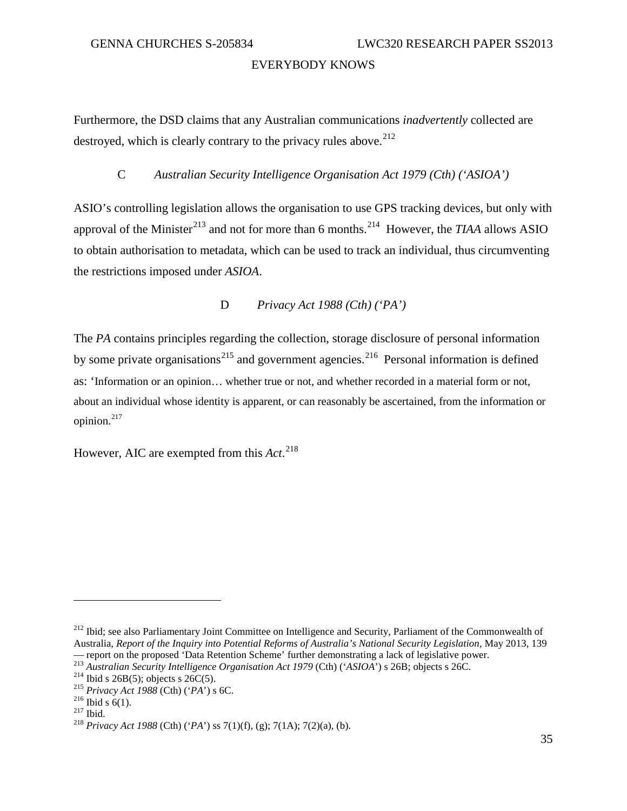Furthermore, the DSD claims that any Australian communications *inadvertently* collected are destroyed, which is clearly contrary to the privacy rules above. $212$ 

# C *Australian Security Intelligence Organisation Act 1979 (Cth) ('ASIOA')*

ASIO's controlling legislation allows the organisation to use GPS tracking devices, but only with approval of the Minister<sup>[213](#page-38-1)</sup> and not for more than 6 months.<sup>[214](#page-38-2)</sup> However, the *TIAA* allows ASIO to obtain authorisation to metadata, which can be used to track an individual, thus circumventing the restrictions imposed under *ASIOA*.

## D *Privacy Act 1988 (Cth) ('PA')*

The *PA* contains principles regarding the collection, storage disclosure of personal information by some private organisations<sup>[215](#page-38-3)</sup> and government agencies.<sup>[216](#page-38-4)</sup> Personal information is defined as: 'Information or an opinion… whether true or not, and whether recorded in a material form or not, about an individual whose identity is apparent, or can reasonably be ascertained, from the information or opinion. $217$ 

However, AIC are exempted from this *Act*. [218](#page-38-6)

<span id="page-38-0"></span><sup>&</sup>lt;sup>212</sup> Ibid; see also Parliamentary Joint Committee on Intelligence and Security, Parliament of the Commonwealth of Australia, *Report of the Inquiry into Potential Reforms of Australia's National Security Legislation*, May 2013, 139<br>— report on the proposed 'Data Retention Scheme' further demonstrating a lack of legislative power.

<span id="page-38-1"></span><sup>&</sup>lt;sup>213</sup> Australian Security Intelligence Organisation Act 1979 (Cth) ('ASIOA') s 26B; objects s 26C.<br><sup>214</sup> Ibid s 26B(5); objects s 26C(5).<br><sup>215</sup> Privacy Act 1988 (Cth) ('PA') s 6C.<br><sup>216</sup> Ibid s 6(1).<br><sup>217</sup> Ibid.<br><sup>217</sup> Ibid

<span id="page-38-2"></span>

<span id="page-38-3"></span>

<span id="page-38-4"></span>

<span id="page-38-5"></span>

<span id="page-38-6"></span>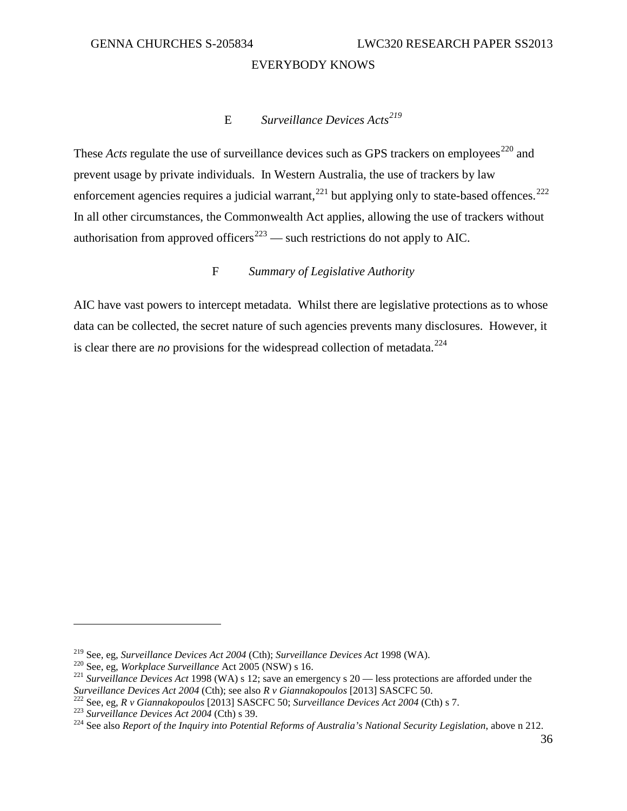# E *Surveillance Devices Acts[219](#page-39-0)*

These *Acts* regulate the use of surveillance devices such as GPS trackers on employees<sup>[220](#page-39-1)</sup> and prevent usage by private individuals. In Western Australia, the use of trackers by law enforcement agencies requires a judicial warrant,  $^{221}$  $^{221}$  $^{221}$  but applying only to state-based offences.  $^{222}$  $^{222}$  $^{222}$ In all other circumstances, the Commonwealth Act applies, allowing the use of trackers without authorisation from approved officers<sup>[223](#page-39-4)</sup> — such restrictions do not apply to AIC.

# F *Summary of Legislative Authority*

AIC have vast powers to intercept metadata. Whilst there are legislative protections as to whose data can be collected, the secret nature of such agencies prevents many disclosures. However, it is clear there are *no* provisions for the widespread collection of metadata.<sup>224</sup>

<span id="page-39-2"></span>

<span id="page-39-1"></span><span id="page-39-0"></span><sup>&</sup>lt;sup>219</sup> See, eg, *Surveillance Devices Act 2004* (Cth); *Surveillance Devices Act* 1998 (WA).<br><sup>220</sup> See, eg, *Workplace Surveillance* Act 2005 (NSW) s 16.<br><sup>221</sup> Surveillance Devices Act 1998 (WA) s 12; save an emergency s 2 Surveillance Devices Act 2004 (Cth); see also R v Giannakopoulos [2013] SASCFC 50.<br><sup>222</sup> See, eg, R v Giannakopoulos [2013] SASCFC 50; Surveillance Devices Act 2004 (Cth) s 7.<br><sup>223</sup> Surveillance Devices Act 2004 (Cth) s 3

<span id="page-39-4"></span><span id="page-39-3"></span>

<span id="page-39-5"></span>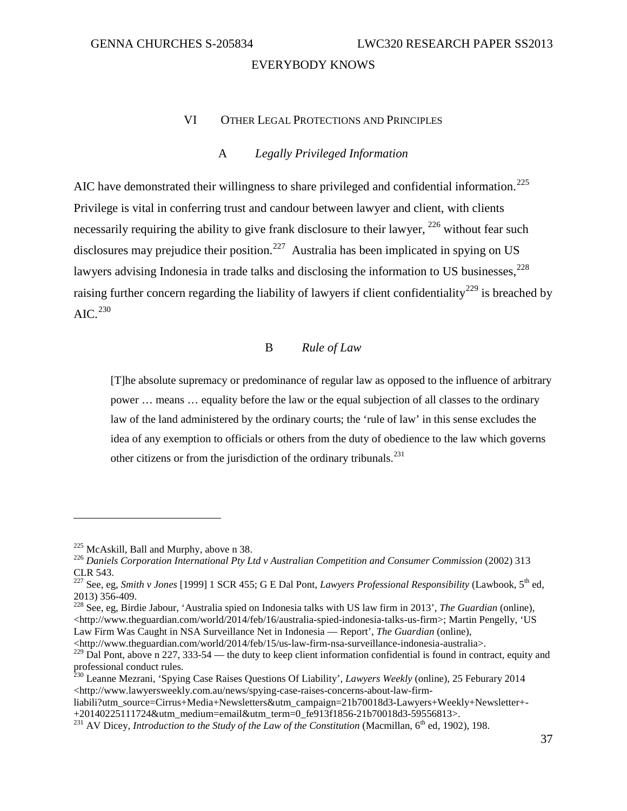# VI OTHER LEGAL PROTECTIONS AND PRINCIPLES

# A *Legally Privileged Information*

AIC have demonstrated their willingness to share privileged and confidential information.<sup>[225](#page-40-0)</sup> Privilege is vital in conferring trust and candour between lawyer and client, with clients necessarily requiring the ability to give frank disclosure to their lawyer, <sup>[226](#page-40-1)</sup> without fear such disclosures may prejudice their position.<sup>[227](#page-40-2)</sup> Australia has been implicated in spying on US lawyers advising Indonesia in trade talks and disclosing the information to US businesses,<sup>[228](#page-40-3)</sup> raising further concern regarding the liability of lawyers if client confidentiality<sup>[229](#page-40-4)</sup> is breached by  $AIC.<sup>230</sup>$  $AIC.<sup>230</sup>$  $AIC.<sup>230</sup>$ 

# B *Rule of Law*

[T]he absolute supremacy or predominance of regular law as opposed to the influence of arbitrary power … means … equality before the law or the equal subjection of all classes to the ordinary law of the land administered by the ordinary courts; the 'rule of law' in this sense excludes the idea of any exemption to officials or others from the duty of obedience to the law which governs other citizens or from the jurisdiction of the ordinary tribunals. $^{231}$  $^{231}$  $^{231}$ 

 $\overline{a}$ 

<http://www.theguardian.com/world/2014/feb/15/us-law-firm-nsa-surveillance-indonesia-australia>.

<span id="page-40-1"></span><span id="page-40-0"></span><sup>&</sup>lt;sup>225</sup> McAskill, Ball and Murphy, above n 38.<br><sup>226</sup> Daniels Corporation International Pty Ltd v Australian Competition and Consumer Commission (2002) 313 CLR 543.

<span id="page-40-2"></span><sup>&</sup>lt;sup>227</sup> See, eg, *Smith v Jones* [1999] 1 SCR 455; G E Dal Pont, *Lawyers Professional Responsibility* (Lawbook, 5<sup>th</sup> ed, 2013) 356-409.

<span id="page-40-3"></span><sup>&</sup>lt;sup>228</sup> See, eg, Birdie Jabour, 'Australia spied on Indonesia talks with US law firm in 2013', *The Guardian* (online), <http://www.theguardian.com/world/2014/feb/16/australia-spied-indonesia-talks-us-firm>; Martin Pengelly, 'US Law Firm Was Caught in NSA Surveillance Net in Indonesia — Report', *The Guardian* (online),

<span id="page-40-4"></span> $229$  Dal Pont, above n 227, 333-54 — the duty to keep client information confidential is found in contract, equity and professional conduct rules.

<span id="page-40-5"></span><sup>230</sup> Leanne Mezrani, 'Spying Case Raises Questions Of Liability', *Lawyers Weekly* (online), 25 Feburary 2014 <http://www.lawyersweekly.com.au/news/spying-case-raises-concerns-about-law-firm-

liabili?utm\_source=Cirrus+Media+Newsletters&utm\_campaign=21b70018d3-Lawyers+Weekly+Newsletter+-+20140225111724&utm\_medium=email&utm\_term=0\_fe913f1856-21b70018d3-59556813>.<br><sup>231</sup> AV Dicey, *Introduction to the Study of the Law of the Constitution* (Macmillan, 6<sup>th</sup> ed, 1902), 198.

<span id="page-40-6"></span>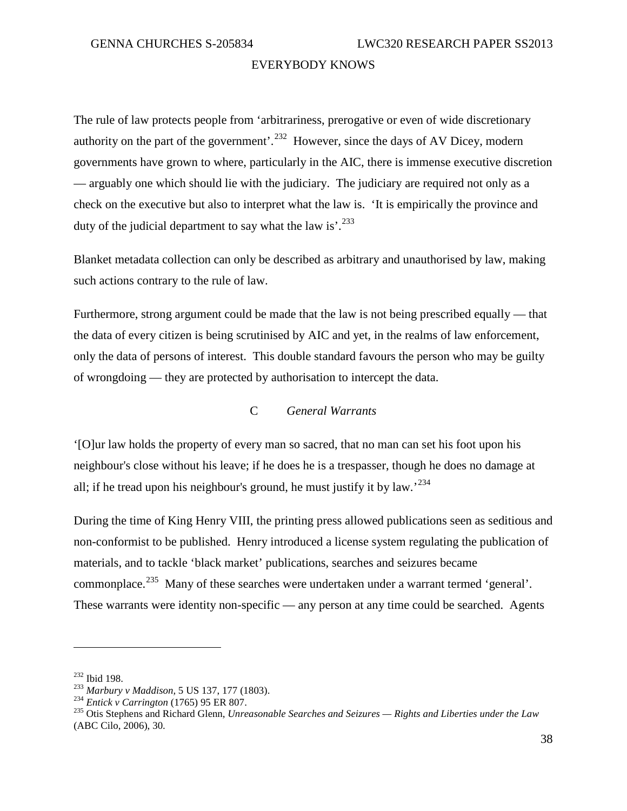The rule of law protects people from 'arbitrariness, prerogative or even of wide discretionary authority on the part of the government'.<sup>[232](#page-41-0)</sup> However, since the days of AV Dicey, modern governments have grown to where, particularly in the AIC, there is immense executive discretion — arguably one which should lie with the judiciary. The judiciary are required not only as a check on the executive but also to interpret what the law is. 'It is empirically the province and duty of the judicial department to say what the law is'.<sup>[233](#page-41-1)</sup>

Blanket metadata collection can only be described as arbitrary and unauthorised by law, making such actions contrary to the rule of law.

Furthermore, strong argument could be made that the law is not being prescribed equally — that the data of every citizen is being scrutinised by AIC and yet, in the realms of law enforcement, only the data of persons of interest. This double standard favours the person who may be guilty of wrongdoing — they are protected by authorisation to intercept the data.

# C *General Warrants*

'[O]ur law holds the property of every man so sacred, that no man can set his foot upon his neighbour's close without his leave; if he does he is a trespasser, though he does no damage at all; if he tread upon his neighbour's ground, he must justify it by law.<sup>[234](#page-41-2)</sup>

During the time of King Henry VIII, the printing press allowed publications seen as seditious and non-conformist to be published. Henry introduced a license system regulating the publication of materials, and to tackle 'black market' publications, searches and seizures became commonplace.<sup>[235](#page-41-3)</sup> Many of these searches were undertaken under a warrant termed 'general'. These warrants were identity non-specific — any person at any time could be searched. Agents

<span id="page-41-1"></span>

<span id="page-41-3"></span><span id="page-41-2"></span>

<span id="page-41-0"></span><sup>&</sup>lt;sup>232</sup> Ibid 198.<br><sup>233</sup> Marbury v Maddison, 5 US 137, 177 (1803).<br><sup>234</sup> Entick v Carrington (1765) 95 ER 807.<br><sup>234</sup> Otis Stephens and Richard Glenn, *Unreasonable Searches and Seizures* — Rights and Liberties under the Law (ABC Cilo, 2006), 30.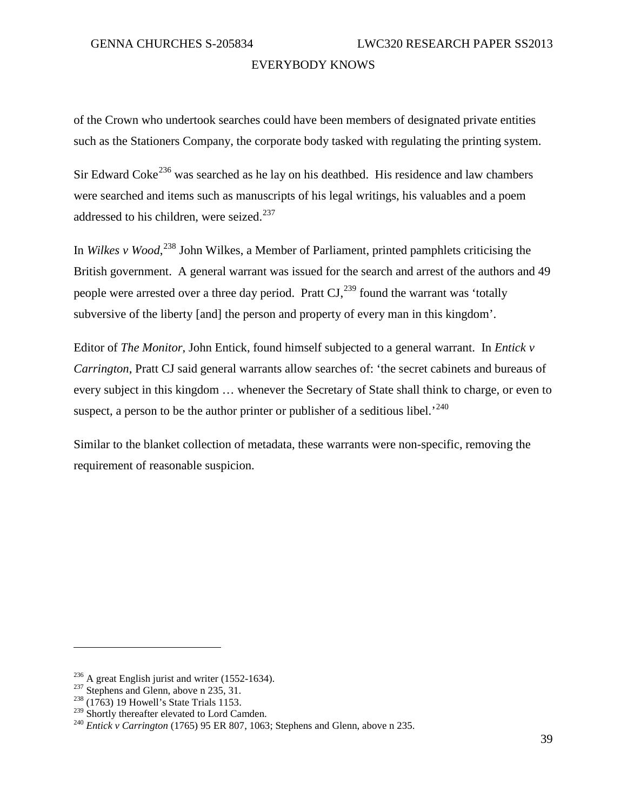of the Crown who undertook searches could have been members of designated private entities such as the Stationers Company, the corporate body tasked with regulating the printing system.

Sir Edward Coke<sup>[236](#page-42-0)</sup> was searched as he lay on his deathbed. His residence and law chambers were searched and items such as manuscripts of his legal writings, his valuables and a poem addressed to his children, were seized.<sup>[237](#page-42-1)</sup>

In *Wilkes v Wood*, [238](#page-42-2) John Wilkes, a Member of Parliament, printed pamphlets criticising the British government. A general warrant was issued for the search and arrest of the authors and 49 people were arrested over a three day period. Pratt  $CI$ ,<sup>[239](#page-42-3)</sup> found the warrant was 'totally subversive of the liberty [and] the person and property of every man in this kingdom'.

Editor of *The Monitor*, John Entick, found himself subjected to a general warrant. In *Entick v Carrington*, Pratt CJ said general warrants allow searches of: 'the secret cabinets and bureaus of every subject in this kingdom … whenever the Secretary of State shall think to charge, or even to suspect, a person to be the author printer or publisher of a seditious libel.<sup>[240](#page-42-4)</sup>

Similar to the blanket collection of metadata, these warrants were non-specific, removing the requirement of reasonable suspicion.

<span id="page-42-1"></span><span id="page-42-0"></span><sup>&</sup>lt;sup>236</sup> A great English jurist and writer (1552-1634).<br><sup>237</sup> Stephens and Glenn, above n 235, 31.<br><sup>238</sup> (1763) 19 Howell's State Trials 1153.<br><sup>239</sup> Shortly thereafter elevated to Lord Camden.

<span id="page-42-2"></span>

<span id="page-42-3"></span>

<span id="page-42-4"></span><sup>&</sup>lt;sup>240</sup> Entick v Carrington (1765) 95 ER 807, 1063; Stephens and Glenn, above n 235.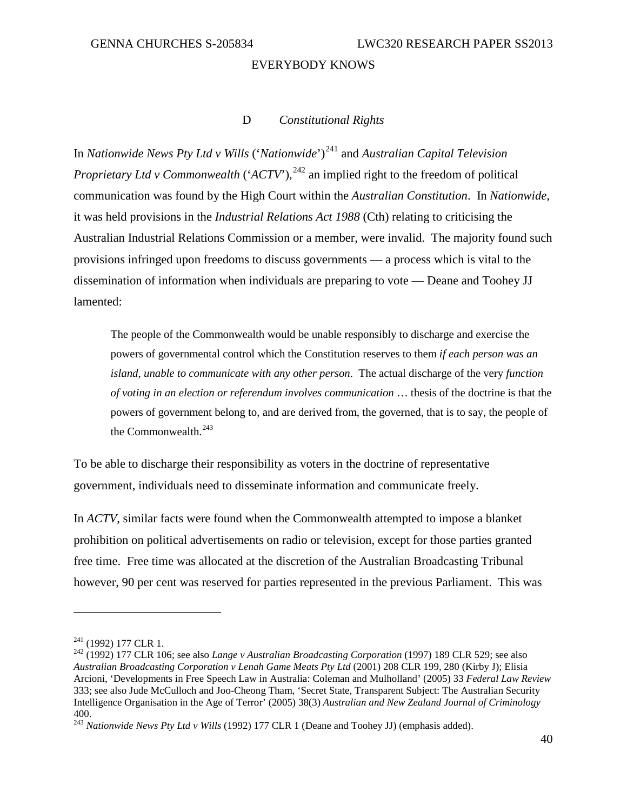### D *Constitutional Rights*

In *Nationwide News Pty Ltd v Wills* ('*Nationwide*')<sup>[241](#page-43-0)</sup> and *Australian Capital Television Proprietary Ltd v Commonwealth* ('*ACTV*'),<sup>[242](#page-43-1)</sup> an implied right to the freedom of political communication was found by the High Court within the *Australian Constitution*. In *Nationwide*, it was held provisions in the *Industrial Relations Act 1988* (Cth) relating to criticising the Australian Industrial Relations Commission or a member, were invalid. The majority found such provisions infringed upon freedoms to discuss governments — a process which is vital to the dissemination of information when individuals are preparing to vote — Deane and Toohey JJ lamented:

The people of the Commonwealth would be unable responsibly to discharge and exercise the powers of governmental control which the Constitution reserves to them *if each person was an island, unable to communicate with any other person*. The actual discharge of the very *function of voting in an election or referendum involves communication* … thesis of the doctrine is that the powers of government belong to, and are derived from, the governed, that is to say, the people of the Commonwealth. $^{243}$  $^{243}$  $^{243}$ 

To be able to discharge their responsibility as voters in the doctrine of representative government, individuals need to disseminate information and communicate freely.

In *ACTV*, similar facts were found when the Commonwealth attempted to impose a blanket prohibition on political advertisements on radio or television, except for those parties granted free time. Free time was allocated at the discretion of the Australian Broadcasting Tribunal however, 90 per cent was reserved for parties represented in the previous Parliament. This was

<span id="page-43-1"></span><span id="page-43-0"></span><sup>&</sup>lt;sup>241</sup> (1992) 177 CLR 1.<br><sup>242</sup> (1992) 177 CLR 106; see also *Lange v Australian Broadcasting Corporation* (1997) 189 CLR 529; see also *Australian Broadcasting Corporation v Lenah Game Meats Pty Ltd* (2001) 208 CLR 199, 280 (Kirby J); Elisia Arcioni, 'Developments in Free Speech Law in Australia: Coleman and Mulholland' (2005) 33 *Federal Law Review* 333; see also Jude McCulloch and Joo-Cheong Tham, 'Secret State, Transparent Subject: The Australian Security Intelligence Organisation in the Age of Terror' (2005) 38(3) *Australian and New Zealand Journal of Criminology* 400.

<span id="page-43-2"></span><sup>&</sup>lt;sup>243</sup> *Nationwide News Ptv Ltd v Wills* (1992) 177 CLR 1 (Deane and Toohey JJ) (emphasis added).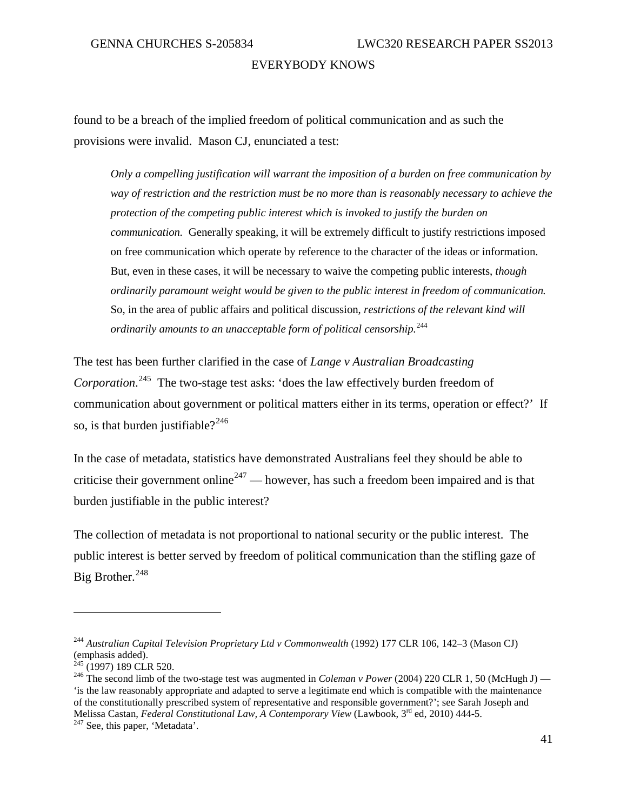found to be a breach of the implied freedom of political communication and as such the provisions were invalid. Mason CJ, enunciated a test:

*Only a compelling justification will warrant the imposition of a burden on free communication by way of restriction and the restriction must be no more than is reasonably necessary to achieve the protection of the competing public interest which is invoked to justify the burden on communication.* Generally speaking, it will be extremely difficult to justify restrictions imposed on free communication which operate by reference to the character of the ideas or information. But, even in these cases, it will be necessary to waive the competing public interests, *though ordinarily paramount weight would be given to the public interest in freedom of communication.* So, in the area of public affairs and political discussion, *restrictions of the relevant kind will ordinarily amounts to an unacceptable form of political censorship.*[244](#page-44-0)

The test has been further clarified in the case of *Lange v Australian Broadcasting Corporation*. [245](#page-44-1) The two-stage test asks: 'does the law effectively burden freedom of communication about government or political matters either in its terms, operation or effect?' If so, is that burden justifiable? $^{246}$  $^{246}$  $^{246}$ 

In the case of metadata, statistics have demonstrated Australians feel they should be able to criticise their government online<sup>[247](#page-44-3)</sup> — however, has such a freedom been impaired and is that burden justifiable in the public interest?

The collection of metadata is not proportional to national security or the public interest. The public interest is better served by freedom of political communication than the stifling gaze of Big Brother. [248](#page-44-0)

<span id="page-44-0"></span><sup>244</sup> *Australian Capital Television Proprietary Ltd v Commonwealth* (1992) 177 CLR 106, 142–3 (Mason CJ) (emphasis added).<br> $245$  (1997) 189 CLR 520.

<span id="page-44-2"></span><span id="page-44-1"></span><sup>&</sup>lt;sup>246</sup> The second limb of the two-stage test was augmented in *Coleman v Power* (2004) 220 CLR 1, 50 (McHugh J) — 'is the law reasonably appropriate and adapted to serve a legitimate end which is compatible with the maintenance of the constitutionally prescribed system of representative and responsible government?'; see Sarah Joseph and Melissa Castan, *Federal Constitutional Law, A Contemporary View* (Lawbook, 3<sup>rd</sup> ed, 2010) 444-5. <sup>247</sup> See, this paper, 'Metadata'.

<span id="page-44-3"></span>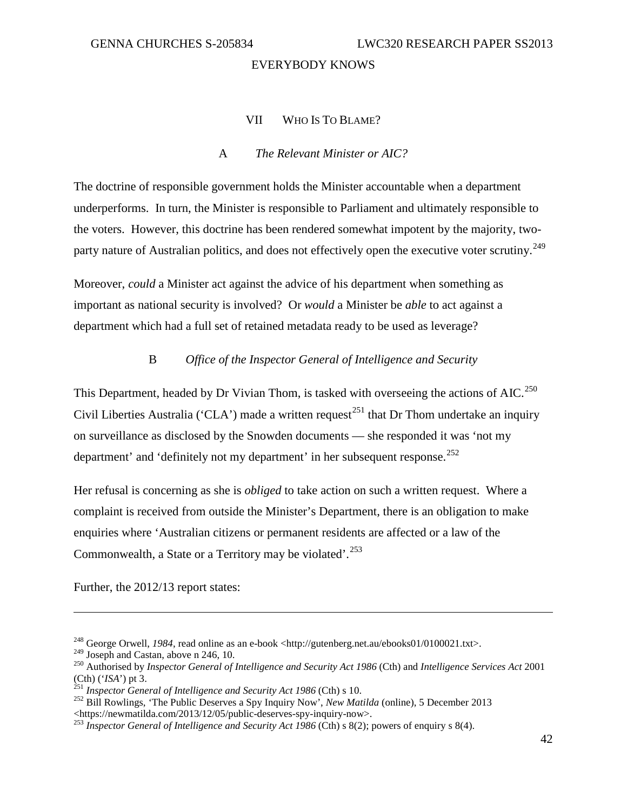# VII WHO IS TO BLAME?

# A *The Relevant Minister or AIC?*

The doctrine of responsible government holds the Minister accountable when a department underperforms. In turn, the Minister is responsible to Parliament and ultimately responsible to the voters. However, this doctrine has been rendered somewhat impotent by the majority, twoparty nature of Australian politics, and does not effectively open the executive voter scrutiny.<sup>249</sup>

Moreover, *could* a Minister act against the advice of his department when something as important as national security is involved? Or *would* a Minister be *able* to act against a department which had a full set of retained metadata ready to be used as leverage?

# B *Office of the Inspector General of Intelligence and Security*

This Department, headed by Dr Vivian Thom, is tasked with overseeing the actions of AIC.<sup>[250](#page-45-1)</sup> Civil Liberties Australia ('CLA') made a written request<sup>[251](#page-45-2)</sup> that Dr Thom undertake an inquiry on surveillance as disclosed by the Snowden documents — she responded it was 'not my department' and 'definitely not my department' in her subsequent response.<sup>[252](#page-45-3)</sup>

Her refusal is concerning as she is *obliged* to take action on such a written request. Where a complaint is received from outside the Minister's Department, there is an obligation to make enquiries where 'Australian citizens or permanent residents are affected or a law of the Commonwealth, a State or a Territory may be violated'.<sup>[253](#page-45-4)</sup>

Further, the 2012/13 report states:

<sup>&</sup>lt;sup>248</sup> George Orwell, *1984*, read online as an e-book <http://gutenberg.net.au/ebooks01/0100021.txt>.<br><sup>249</sup> Joseph and Castan, above n 246, 10.

<span id="page-45-1"></span><span id="page-45-0"></span><sup>&</sup>lt;sup>250</sup> Authorised by *Inspector General of Intelligence and Security Act 1986* (Cth) and *Intelligence Services Act* 2001

<span id="page-45-3"></span><span id="page-45-2"></span>

<sup>(</sup>Cth) ('*ISA*') pt 3.<br><sup>251</sup> *Inspector General of Intelligence and Security Act 1986* (Cth) s 10.<br><sup>252</sup> Bill Rowlings, 'The Public Deserves a Spy Inquiry Now', *New Matilda* (online), 5 December 2013<br><https://newmatilda.co

<span id="page-45-4"></span><sup>253</sup> *Inspector General of Intelligence and Security Act 1986* (Cth) s 8(2); powers of enquiry s 8(4).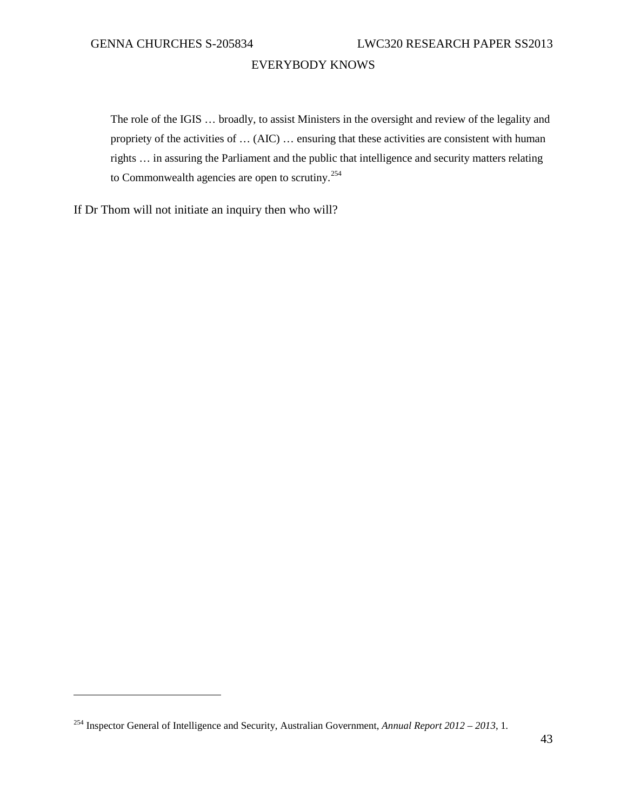The role of the IGIS … broadly, to assist Ministers in the oversight and review of the legality and propriety of the activities of … (AIC) … ensuring that these activities are consistent with human rights … in assuring the Parliament and the public that intelligence and security matters relating to Commonwealth agencies are open to scrutiny.<sup>[254](#page-46-0)</sup>

If Dr Thom will not initiate an inquiry then who will?

<span id="page-46-0"></span><sup>254</sup> Inspector General of Intelligence and Security, Australian Government, *Annual Report 2012 – 2013*, 1*.*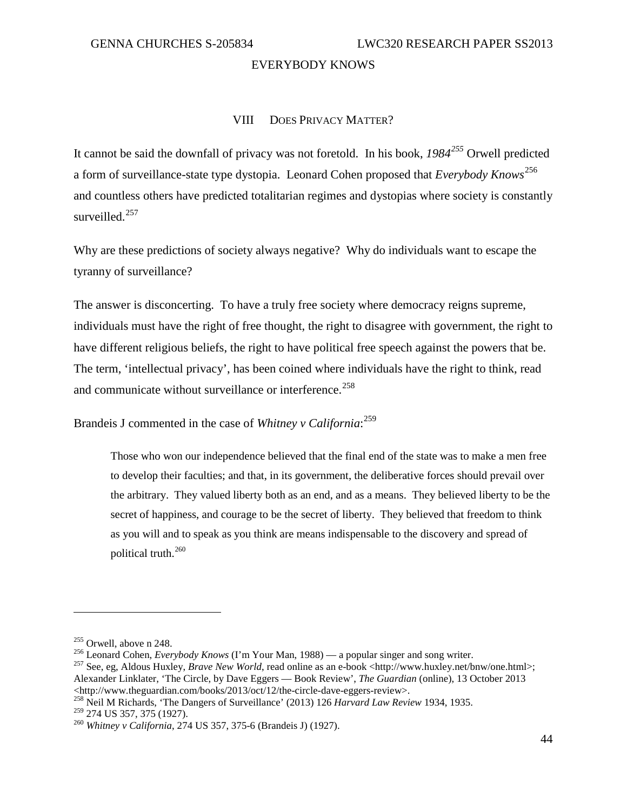#### VIII DOES PRIVACY MATTER?

It cannot be said the downfall of privacy was not foretold. In his book, *1984[255](#page-47-0)* Orwell predicted a form of surveillance-state type dystopia. Leonard Cohen proposed that *Everybody Knows* [256](#page-47-1) and countless others have predicted totalitarian regimes and dystopias where society is constantly surveilled.<sup>[257](#page-47-2)</sup>

Why are these predictions of society always negative? Why do individuals want to escape the tyranny of surveillance?

The answer is disconcerting. To have a truly free society where democracy reigns supreme, individuals must have the right of free thought, the right to disagree with government, the right to have different religious beliefs, the right to have political free speech against the powers that be. The term, 'intellectual privacy', has been coined where individuals have the right to think, read and communicate without surveillance or interference.<sup>258</sup>

Brandeis J commented in the case of *Whitney v California*: [259](#page-47-4)

Those who won our independence believed that the final end of the state was to make a men free to develop their faculties; and that, in its government, the deliberative forces should prevail over the arbitrary. They valued liberty both as an end, and as a means. They believed liberty to be the secret of happiness, and courage to be the secret of liberty. They believed that freedom to think as you will and to speak as you think are means indispensable to the discovery and spread of political truth. $^{260}$  $^{260}$  $^{260}$ 

<span id="page-47-3"></span>

<span id="page-47-2"></span>

<span id="page-47-1"></span><span id="page-47-0"></span><sup>&</sup>lt;sup>255</sup> Orwell, above n 248.<br><sup>256</sup> Leonard Cohen, *Everybody Knows* (I'm Your Man, 1988) — a popular singer and song writer.<br><sup>257</sup> See, eg, Aldous Huxley, *Brave New World*, read online as an e-book <http://www.huxley.net/b Alexander Linklater, 'The Circle, by Dave Eggers — Book Review', *The Guardian* (online), 13 October 2013 <http://www.theguardian.com/books/2013/oct/12/the-circle-dave-eggers-review>. <sup>258</sup> Neil M Richards, 'The Dangers of Surveillance' (2013) 126 *Harvard Law Review* 1934, 1935.

<span id="page-47-5"></span><span id="page-47-4"></span><sup>&</sup>lt;sup>260</sup> Whitney v California, 274 US 357, 375-6 (Brandeis J) (1927).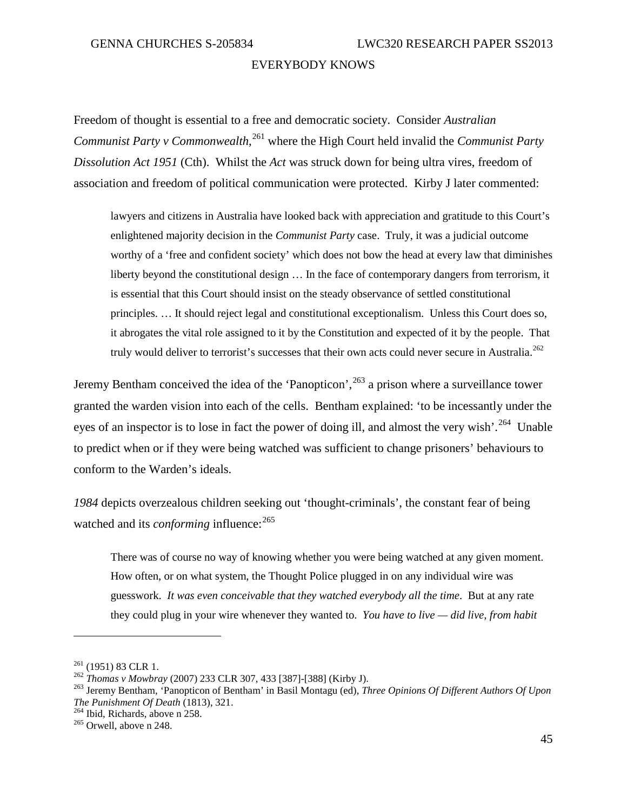Freedom of thought is essential to a free and democratic society. Consider *Australian Communist Party v Commonwealth*, [261](#page-48-0) where the High Court held invalid the *Communist Party Dissolution Act 1951* (Cth). Whilst the *Act* was struck down for being ultra vires, freedom of association and freedom of political communication were protected. Kirby J later commented:

lawyers and citizens in Australia have looked back with appreciation and gratitude to this Court's enlightened majority decision in the *Communist Party* case. Truly, it was a judicial outcome worthy of a 'free and confident society' which does not bow the head at every law that diminishes liberty beyond the constitutional design … In the face of contemporary dangers from terrorism, it is essential that this Court should insist on the steady observance of settled constitutional principles. … It should reject legal and constitutional exceptionalism. Unless this Court does so, it abrogates the vital role assigned to it by the Constitution and expected of it by the people. That truly would deliver to terrorist's successes that their own acts could never secure in Australia.<sup>[262](#page-48-1)</sup>

Jeremy Bentham conceived the idea of the 'Panopticon',<sup>[263](#page-48-2)</sup> a prison where a surveillance tower granted the warden vision into each of the cells. Bentham explained: 'to be incessantly under the eyes of an inspector is to lose in fact the power of doing ill, and almost the very wish'.<sup>[264](#page-48-3)</sup> Unable to predict when or if they were being watched was sufficient to change prisoners' behaviours to conform to the Warden's ideals.

*1984* depicts overzealous children seeking out 'thought-criminals', the constant fear of being watched and its *conforming* influence:<sup>[265](#page-48-4)</sup>

There was of course no way of knowing whether you were being watched at any given moment. How often, or on what system, the Thought Police plugged in on any individual wire was guesswork. *It was even conceivable that they watched everybody all the time*. But at any rate they could plug in your wire whenever they wanted to. *You have to live — did live, from habit* 

<span id="page-48-2"></span><span id="page-48-1"></span>

<span id="page-48-0"></span><sup>&</sup>lt;sup>261</sup> (1951) 83 CLR 1.<br><sup>262</sup> *Thomas v Mowbray* (2007) 233 CLR 307, 433 [387]-[388] (Kirby J).<br><sup>263</sup> Jeremy Bentham, 'Panopticon of Bentham' in Basil Montagu (ed), *Three Opinions Of Different Authors Of Upon The Punishment Of Death* (1813), 321.<br><sup>264</sup> Ibid, Richards, above n 258.<br><sup>265</sup> Orwell, above n 248.

<span id="page-48-4"></span><span id="page-48-3"></span>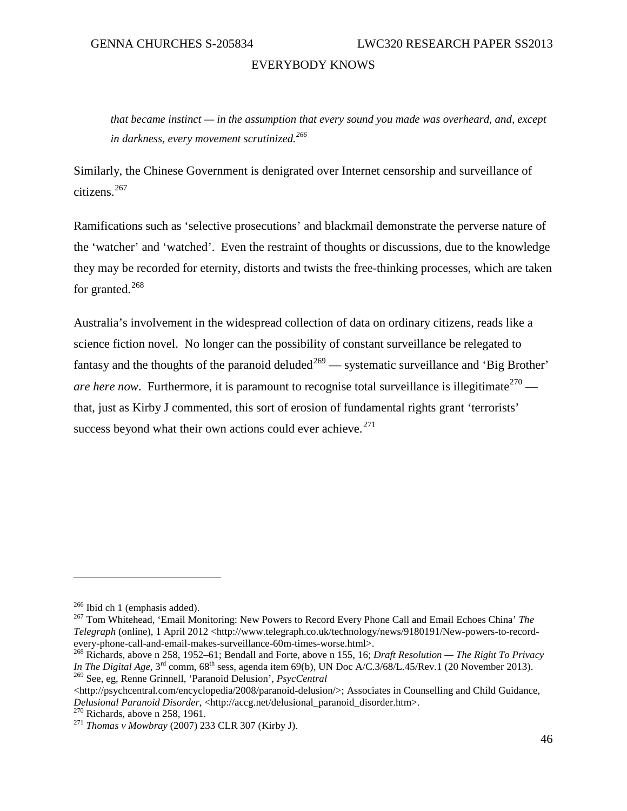*that became instinct — in the assumption that every sound you made was overheard, and, except in darkness, every movement scrutinized.[266](#page-49-0)*

Similarly, the Chinese Government is denigrated over Internet censorship and surveillance of citizens. [267](#page-49-1)

Ramifications such as 'selective prosecutions' and blackmail demonstrate the perverse nature of the 'watcher' and 'watched'. Even the restraint of thoughts or discussions, due to the knowledge they may be recorded for eternity, distorts and twists the free-thinking processes, which are taken for granted. $^{268}$  $^{268}$  $^{268}$ 

Australia's involvement in the widespread collection of data on ordinary citizens, reads like a science fiction novel. No longer can the possibility of constant surveillance be relegated to fantasy and the thoughts of the paranoid deluded<sup>[269](#page-49-3)</sup> — systematic surveillance and 'Big Brother' *are here now.* Furthermore, it is paramount to recognise total surveillance is illegitimate  $270$  that, just as Kirby J commented, this sort of erosion of fundamental rights grant 'terrorists' success beyond what their own actions could ever achieve. $271$ 

<span id="page-49-1"></span><span id="page-49-0"></span><sup>266</sup> Ibid ch 1 (emphasis added). <sup>267</sup> Tom Whitehead, 'Email Monitoring: New Powers to Record Every Phone Call and Email Echoes China' *The Telegraph* (online), 1 April 2012 <http://www.telegraph.co.uk/technology/news/9180191/New-powers-to-recordevery-phone-call-and-email-makes-surveillance-60m-times-worse.html>. <sup>268</sup> Richards, above n 258, 1952–61; Bendall and Forte, above n 155, 16; *Draft Resolution — The Right To Privacy* 

<span id="page-49-2"></span>*In The Digital Age*, 3<sup>rd</sup> comm, 68<sup>th</sup> sess, agenda item 69(b), UN Doc A/C.3/68/L.45/Rev.1 (20 November 2013). <sup>269</sup> See, eg, Renne Grinnell, 'Paranoid Delusion', *PsycCentral*

<span id="page-49-3"></span><sup>&</sup>lt;http://psychcentral.com/encyclopedia/2008/paranoid-delusion/>; Associates in Counselling and Child Guidance, *Delusional Paranoid Disorder*, <http://accg.net/delusional\_paranoid\_disorder.htm>.<br><sup>270</sup> Richards, above n 258, 1961.<br><sup>271</sup> *Thomas v Mowbray* (2007) 233 CLR 307 (Kirby J).

<span id="page-49-4"></span>

<span id="page-49-5"></span>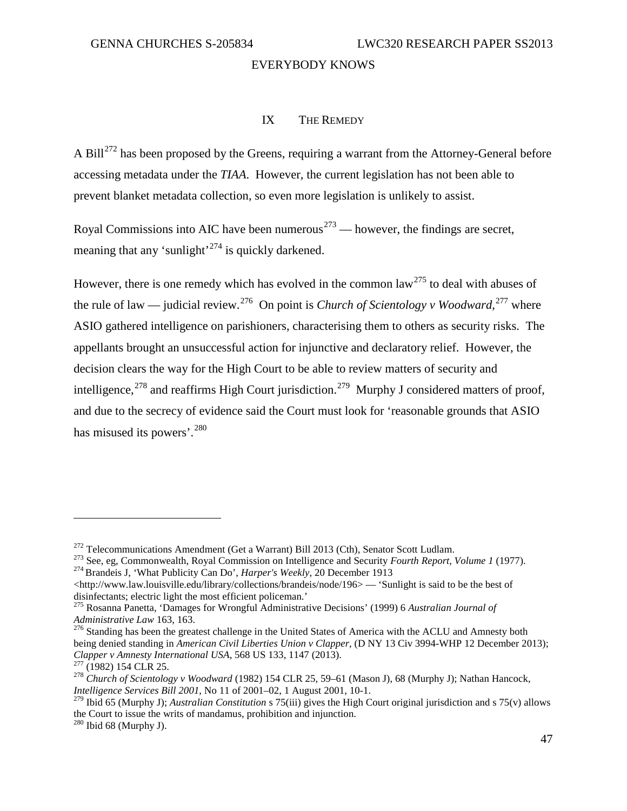#### IX THE REMEDY

A Bill<sup>[272](#page-50-0)</sup> has been proposed by the Greens, requiring a warrant from the Attorney-General before accessing metadata under the *TIAA*. However, the current legislation has not been able to prevent blanket metadata collection, so even more legislation is unlikely to assist.

Royal Commissions into AIC have been numerous<sup> $273$ </sup> — however, the findings are secret, meaning that any 'sunlight'<sup>[274](#page-50-2)</sup> is quickly darkened.

However, there is one remedy which has evolved in the common law<sup>[275](#page-50-3)</sup> to deal with abuses of the rule of law — judicial review.<sup>[276](#page-50-4)</sup> On point is *Church of Scientology v Woodward*,<sup>[277](#page-50-5)</sup> where ASIO gathered intelligence on parishioners, characterising them to others as security risks. The appellants brought an unsuccessful action for injunctive and declaratory relief. However, the decision clears the way for the High Court to be able to review matters of security and intelligence,<sup>[278](#page-50-6)</sup> and reaffirms High Court jurisdiction.<sup>[279](#page-50-7)</sup> Murphy J considered matters of proof, and due to the secrecy of evidence said the Court must look for 'reasonable grounds that ASIO has misused its powers'.<sup>[280](#page-50-8)</sup>

<span id="page-50-1"></span><span id="page-50-0"></span><sup>&</sup>lt;sup>272</sup> Telecommunications Amendment (Get a Warrant) Bill 2013 (Cth), Senator Scott Ludlam.<br><sup>273</sup> See, eg, Commonwealth, Royal Commission on Intelligence and Security *Fourth Report, Volume 1* (1977).<br><sup>274</sup> Brandeis J, 'Wha

<span id="page-50-2"></span> $\langle$ http://www.law.louisville.edu/library/collections/brandeis/node/196> — 'Sunlight is said to be the best of disinfectants; electric light the most efficient policeman.'

<sup>275</sup> Rosanna Panetta, 'Damages for Wrongful Administrative Decisions' (1999) 6 *Australian Journal of* 

<span id="page-50-4"></span><span id="page-50-3"></span>*Administrative Law* 163, 163.<br><sup>276</sup> Standing has been the greatest challenge in the United States of America with the ACLU and Amnesty both being denied standing in *American Civil Liberties Union v Clapper*, (D NY 13 Civ 3994-WHP 12 December 2013); *Clapper v Amnesty International USA*, 568 US 133, 1147 (2013).

<span id="page-50-6"></span><span id="page-50-5"></span><sup>&</sup>lt;sup>277</sup> (1982) 154 CLR 25.<br><sup>278</sup> Church of Scientology v Woodward (1982) 154 CLR 25, 59–61 (Mason J), 68 (Murphy J); Nathan Hancock, *Intelligence Services Bill 2001*, No 11 of 2001–02, 1 August 2001, 10-1.

<span id="page-50-7"></span><sup>279</sup> Ibid 65 (Murphy J); *Australian Constitution* s 75(iii) gives the High Court original jurisdiction and s 75(v) allows the Court to issue the writs of mandamus, prohibition and injunction. <sup>280</sup> Ibid 68 (Murphy J).

<span id="page-50-8"></span>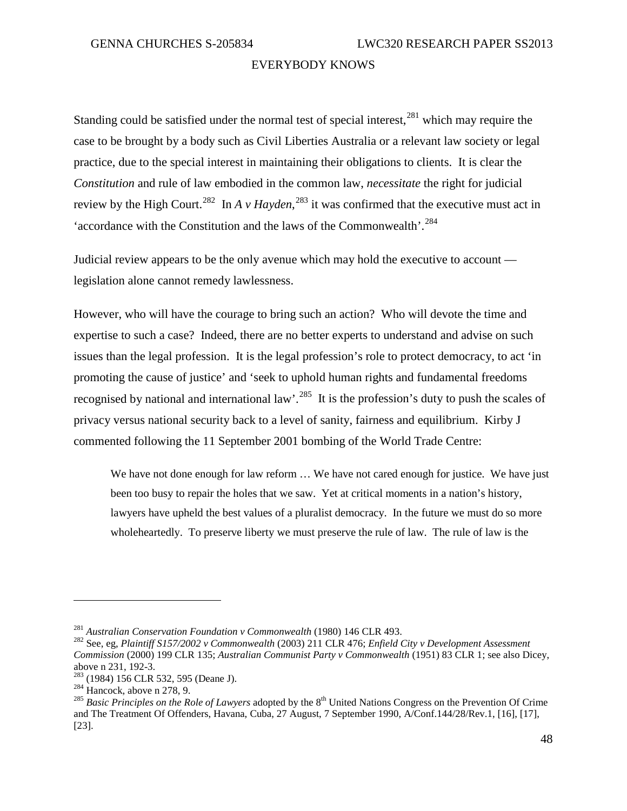Standing could be satisfied under the normal test of special interest, <sup>[281](#page-51-0)</sup> which may require the case to be brought by a body such as Civil Liberties Australia or a relevant law society or legal practice, due to the special interest in maintaining their obligations to clients. It is clear the *Constitution* and rule of law embodied in the common law, *necessitate* the right for judicial review by the High Court.<sup>[282](#page-51-1)</sup> In *A v Hayden*,<sup>[283](#page-51-2)</sup> it was confirmed that the executive must act in 'accordance with the Constitution and the laws of the Commonwealth'. [284](#page-51-3)

Judicial review appears to be the only avenue which may hold the executive to account legislation alone cannot remedy lawlessness.

However, who will have the courage to bring such an action? Who will devote the time and expertise to such a case? Indeed, there are no better experts to understand and advise on such issues than the legal profession. It is the legal profession's role to protect democracy, to act 'in promoting the cause of justice' and 'seek to uphold human rights and fundamental freedoms recognised by national and international law'.<sup>285</sup> It is the profession's duty to push the scales of privacy versus national security back to a level of sanity, fairness and equilibrium. Kirby J commented following the 11 September 2001 bombing of the World Trade Centre:

We have not done enough for law reform  $\ldots$  We have not cared enough for justice. We have just been too busy to repair the holes that we saw. Yet at critical moments in a nation's history, lawyers have upheld the best values of a pluralist democracy. In the future we must do so more wholeheartedly. To preserve liberty we must preserve the rule of law. The rule of law is the

<span id="page-51-1"></span><span id="page-51-0"></span><sup>281</sup> *Australian Conservation Foundation v Commonwealth* (1980) 146 CLR 493. <sup>282</sup> See, eg, *Plaintiff S157/2002 v Commonwealth* (2003) 211 CLR 476; *Enfield City v Development Assessment Commission* (2000) 199 CLR 135; *Australian Communist Party v Commonwealth* (1951) 83 CLR 1; see also Dicey,

<span id="page-51-4"></span>

<span id="page-51-3"></span><span id="page-51-2"></span><sup>&</sup>lt;sup>283</sup> (1984) 156 CLR 532, 595 (Deane J).<br><sup>284</sup> Hancock, above n 278, 9.<br><sup>285</sup> *Basic Principles on the Role of Lawyers* adopted by the 8<sup>th</sup> United Nations Congress on the Prevention Of Crime and The Treatment Of Offenders, Havana, Cuba, 27 August, 7 September 1990, A/Conf.144/28/Rev.1, [16], [17], [23].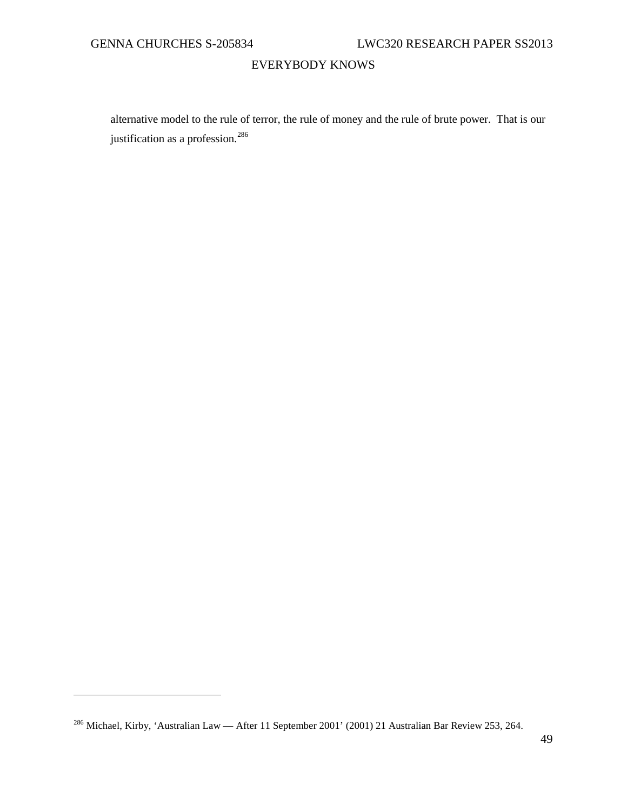$\overline{a}$ 

# EVERYBODY KNOWS

alternative model to the rule of terror, the rule of money and the rule of brute power. That is our justification as a profession.<sup>[286](#page-52-0)</sup>

<span id="page-52-0"></span><sup>286</sup> Michael, Kirby, 'Australian Law — After 11 September 2001' (2001) 21 Australian Bar Review 253, 264.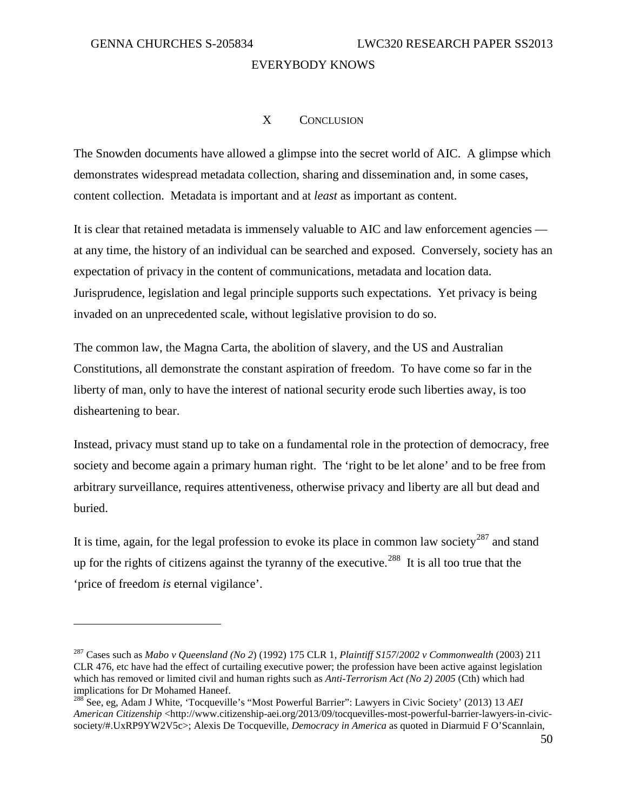$\overline{a}$ 

# EVERYBODY KNOWS

# X CONCLUSION

The Snowden documents have allowed a glimpse into the secret world of AIC. A glimpse which demonstrates widespread metadata collection, sharing and dissemination and, in some cases, content collection. Metadata is important and at *least* as important as content.

It is clear that retained metadata is immensely valuable to AIC and law enforcement agencies at any time, the history of an individual can be searched and exposed. Conversely, society has an expectation of privacy in the content of communications, metadata and location data. Jurisprudence, legislation and legal principle supports such expectations. Yet privacy is being invaded on an unprecedented scale, without legislative provision to do so.

The common law, the Magna Carta, the abolition of slavery, and the US and Australian Constitutions, all demonstrate the constant aspiration of freedom. To have come so far in the liberty of man, only to have the interest of national security erode such liberties away, is too disheartening to bear.

Instead, privacy must stand up to take on a fundamental role in the protection of democracy, free society and become again a primary human right. The 'right to be let alone' and to be free from arbitrary surveillance, requires attentiveness, otherwise privacy and liberty are all but dead and buried.

It is time, again, for the legal profession to evoke its place in common law society<sup>[287](#page-53-0)</sup> and stand up for the rights of citizens against the tyranny of the executive.<sup>[288](#page-53-1)</sup> It is all too true that the 'price of freedom *is* eternal vigilance'.

<span id="page-53-0"></span><sup>287</sup> Cases such as *Mabo v Queensland (No 2*) (1992) 175 CLR 1, *Plaintiff S157*/*2002 v Commonwealth* (2003) 211 CLR 476, etc have had the effect of curtailing executive power; the profession have been active against legislation which has removed or limited civil and human rights such as *Anti-Terrorism Act (No 2) 2005* (Cth) which had implications for Dr Mohamed Haneef.

<span id="page-53-1"></span><sup>288</sup> See, eg, Adam J White, 'Tocqueville's "Most Powerful Barrier": Lawyers in Civic Society' (2013) 13 *AEI American Citizenship* <http://www.citizenship-aei.org/2013/09/tocquevilles-most-powerful-barrier-lawyers-in-civicsociety/#.UxRP9YW2V5c>; Alexis De Tocqueville, *Democracy in America* as quoted in Diarmuid F O'Scannlain,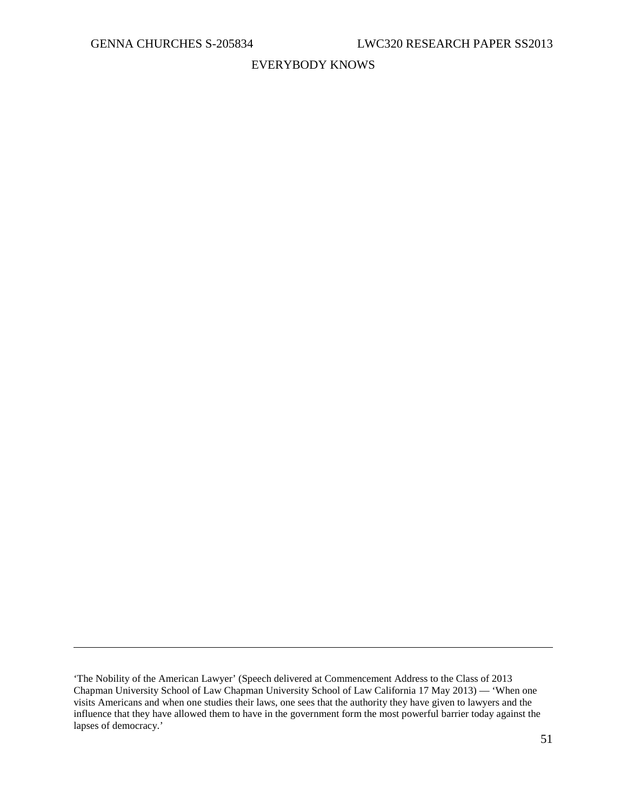$\overline{a}$ 

# EVERYBODY KNOWS

<sup>&#</sup>x27;The Nobility of the American Lawyer' (Speech delivered at Commencement Address to the Class of 2013 Chapman University School of Law Chapman University School of Law California 17 May 2013) — 'When one visits Americans and when one studies their laws, one sees that the authority they have given to lawyers and the influence that they have allowed them to have in the government form the most powerful barrier today against the lapses of democracy.'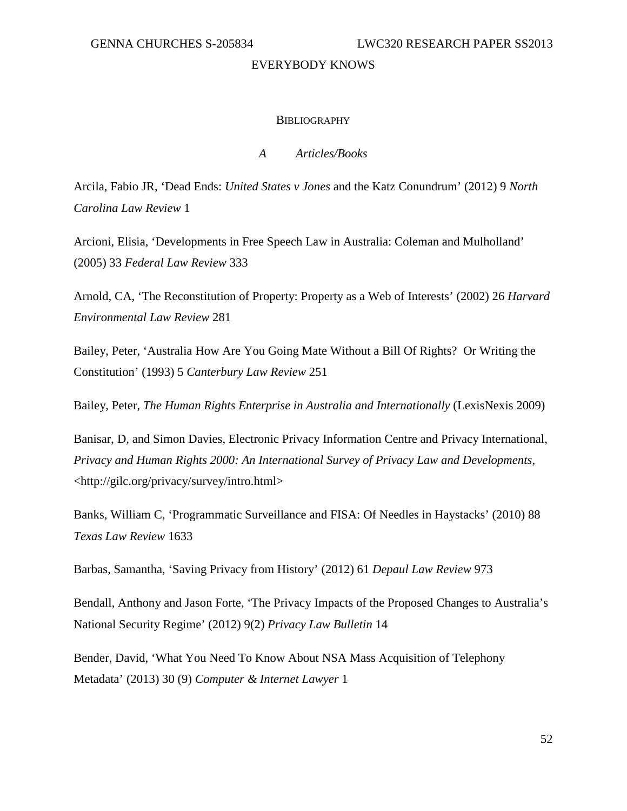#### **BIBLIOGRAPHY**

# *A Articles/Books*

Arcila, Fabio JR, 'Dead Ends: *United States v Jones* and the Katz Conundrum' (2012) 9 *North Carolina Law Review* 1

Arcioni, Elisia, 'Developments in Free Speech Law in Australia: Coleman and Mulholland' (2005) 33 *Federal Law Review* 333

Arnold, CA, 'The Reconstitution of Property: Property as a Web of Interests' (2002) 26 *Harvard Environmental Law Review* 281

Bailey, Peter, 'Australia How Are You Going Mate Without a Bill Of Rights? Or Writing the Constitution' (1993) 5 *Canterbury Law Review* 251

Bailey, Peter, *The Human Rights Enterprise in Australia and Internationally* (LexisNexis 2009)

Banisar, D, and Simon Davies, Electronic Privacy Information Centre and Privacy International, *Privacy and Human Rights 2000: An International Survey of Privacy Law and Developments*, <http://gilc.org/privacy/survey/intro.html>

Banks, William C, 'Programmatic Surveillance and FISA: Of Needles in Haystacks' (2010) 88 *Texas Law Review* 1633

Barbas, Samantha, 'Saving Privacy from History' (2012) 61 *Depaul Law Review* 973

Bendall, Anthony and Jason Forte, 'The Privacy Impacts of the Proposed Changes to Australia's National Security Regime' (2012) 9(2) *Privacy Law Bulletin* 14

Bender, David, 'What You Need To Know About NSA Mass Acquisition of Telephony Metadata' (2013) 30 (9) *Computer & Internet Lawyer* 1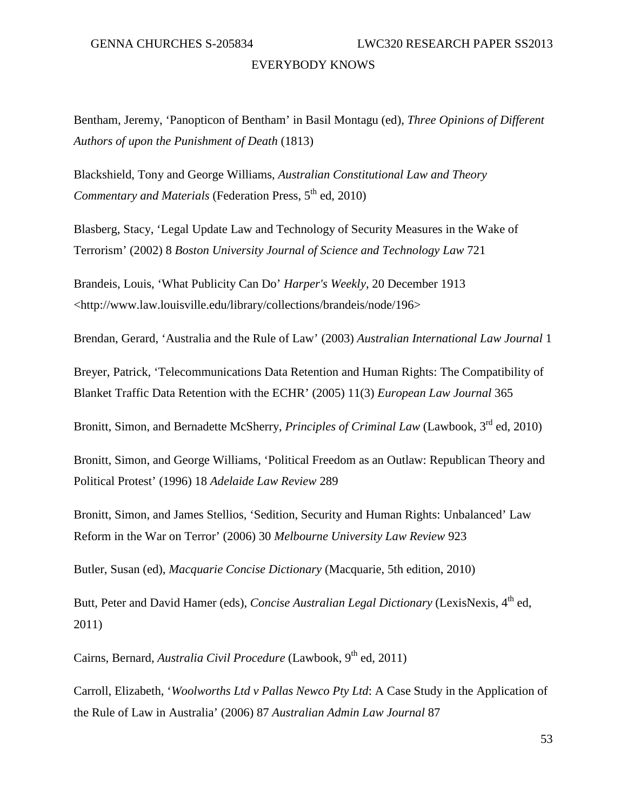Bentham, Jeremy, 'Panopticon of Bentham' in Basil Montagu (ed), *Three Opinions of Different Authors of upon the Punishment of Death* (1813)

Blackshield, Tony and George Williams, *Australian Constitutional Law and Theory Commentary and Materials* (Federation Press, 5<sup>th</sup> ed, 2010)

Blasberg, Stacy, 'Legal Update Law and Technology of Security Measures in the Wake of Terrorism' (2002) 8 *Boston University Journal of Science and Technology Law* 721

Brandeis, Louis, 'What Publicity Can Do' *Harper's Weekly*, 20 December 1913 <http://www.law.louisville.edu/library/collections/brandeis/node/196>

Brendan, Gerard, 'Australia and the Rule of Law' (2003) *Australian International Law Journal* 1

Breyer, Patrick, 'Telecommunications Data Retention and Human Rights: The Compatibility of Blanket Traffic Data Retention with the ECHR' (2005) 11(3) *European Law Journal* 365

Bronitt, Simon, and Bernadette McSherry, *Principles of Criminal Law* (Lawbook, 3<sup>rd</sup> ed, 2010)

Bronitt, Simon, and George Williams, 'Political Freedom as an Outlaw: Republican Theory and Political Protest' (1996) 18 *Adelaide Law Review* 289

Bronitt, Simon, and James Stellios, 'Sedition, Security and Human Rights: Unbalanced' Law Reform in the War on Terror' (2006) 30 *Melbourne University Law Review* 923

Butler, Susan (ed), *Macquarie Concise Dictionary* (Macquarie, 5th edition, 2010)

Butt, Peter and David Hamer (eds), *Concise Australian Legal Dictionary* (LexisNexis, 4<sup>th</sup> ed, 2011)

Cairns, Bernard, *Australia Civil Procedure* (Lawbook, 9<sup>th</sup> ed, 2011)

Carroll, Elizabeth, '*Woolworths Ltd v Pallas Newco Pty Ltd*: A Case Study in the Application of the Rule of Law in Australia' (2006) 87 *Australian Admin Law Journal* 87

53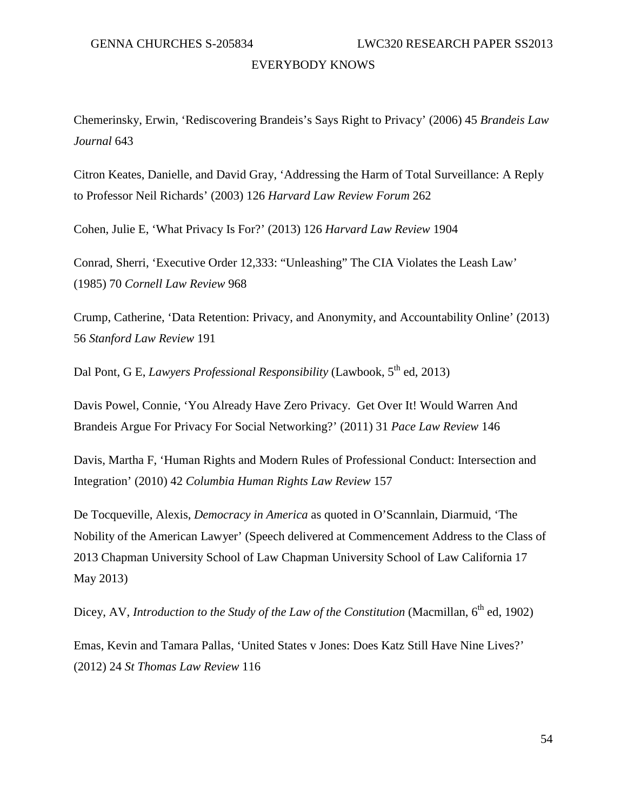Chemerinsky, Erwin, 'Rediscovering Brandeis's Says Right to Privacy' (2006) 45 *Brandeis Law Journal* 643

Citron Keates, Danielle, and David Gray, 'Addressing the Harm of Total Surveillance: A Reply to Professor Neil Richards' (2003) 126 *Harvard Law Review Forum* 262

Cohen, Julie E, 'What Privacy Is For?' (2013) 126 *Harvard Law Review* 1904

Conrad, Sherri, 'Executive Order 12,333: "Unleashing" The CIA Violates the Leash Law' (1985) 70 *Cornell Law Review* 968

Crump, Catherine, 'Data Retention: Privacy, and Anonymity, and Accountability Online' (2013) 56 *Stanford Law Review* 191

Dal Pont, G E, *Lawyers Professional Responsibility* (Lawbook, 5<sup>th</sup> ed, 2013)

Davis Powel, Connie, 'You Already Have Zero Privacy. Get Over It! Would Warren And Brandeis Argue For Privacy For Social Networking?' (2011) 31 *Pace Law Review* 146

Davis, Martha F, 'Human Rights and Modern Rules of Professional Conduct: Intersection and Integration' (2010) 42 *Columbia Human Rights Law Review* 157

De Tocqueville, Alexis, *Democracy in America* as quoted in O'Scannlain, Diarmuid, 'The Nobility of the American Lawyer' (Speech delivered at Commencement Address to the Class of 2013 Chapman University School of Law Chapman University School of Law California 17 May 2013)

Dicey, AV, *Introduction to the Study of the Law of the Constitution* (Macmillan, 6<sup>th</sup> ed, 1902)

Emas, Kevin and Tamara Pallas, 'United States v Jones: Does Katz Still Have Nine Lives?' (2012) 24 *St Thomas Law Review* 116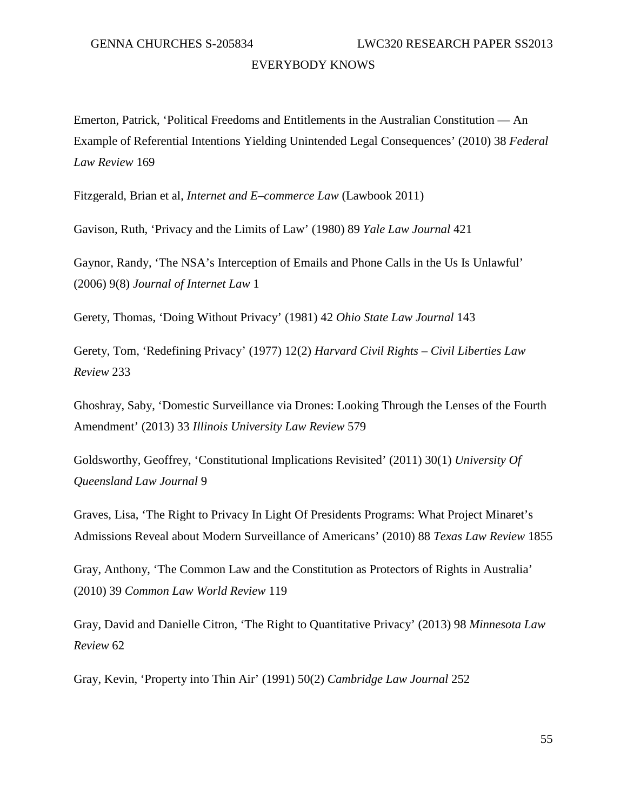Emerton, Patrick, 'Political Freedoms and Entitlements in the Australian Constitution — An Example of Referential Intentions Yielding Unintended Legal Consequences' (2010) 38 *Federal Law Review* 169

Fitzgerald, Brian et al, *Internet and E–commerce Law* (Lawbook 2011)

Gavison, Ruth, 'Privacy and the Limits of Law' (1980) 89 *Yale Law Journal* 421

Gaynor, Randy, 'The NSA's Interception of Emails and Phone Calls in the Us Is Unlawful' (2006) 9(8) *Journal of Internet Law* 1

Gerety, Thomas, 'Doing Without Privacy' (1981) 42 *Ohio State Law Journal* 143

Gerety, Tom, 'Redefining Privacy' (1977) 12(2) *Harvard Civil Rights – Civil Liberties Law Review* 233

Ghoshray, Saby, 'Domestic Surveillance via Drones: Looking Through the Lenses of the Fourth Amendment' (2013) 33 *Illinois University Law Review* 579

Goldsworthy, Geoffrey, 'Constitutional Implications Revisited' (2011) 30(1) *University Of Queensland Law Journal* 9

Graves, Lisa, 'The Right to Privacy In Light Of Presidents Programs: What Project Minaret's Admissions Reveal about Modern Surveillance of Americans' (2010) 88 *Texas Law Review* 1855

Gray, Anthony, 'The Common Law and the Constitution as Protectors of Rights in Australia' (2010) 39 *Common Law World Review* 119

Gray, David and Danielle Citron, 'The Right to Quantitative Privacy' (2013) 98 *Minnesota Law Review* 62

Gray, Kevin, 'Property into Thin Air' (1991) 50(2) *Cambridge Law Journal* 252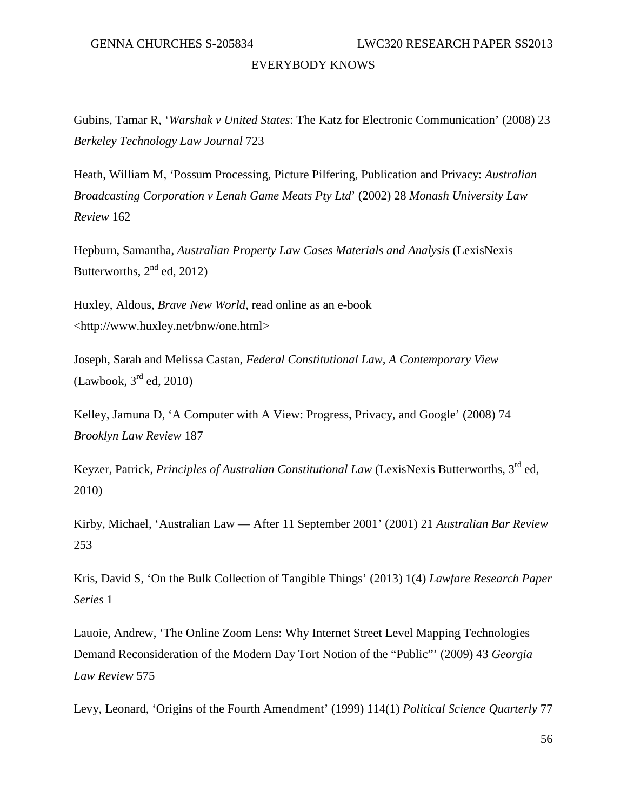Gubins, Tamar R, '*Warshak v United States*: The Katz for Electronic Communication' (2008) 23 *Berkeley Technology Law Journal* 723

Heath, William M, 'Possum Processing, Picture Pilfering, Publication and Privacy: *Australian Broadcasting Corporation v Lenah Game Meats Pty Ltd*' (2002) 28 *Monash University Law Review* 162

Hepburn, Samantha, *Australian Property Law Cases Materials and Analysis* (LexisNexis Butterworths,  $2<sup>nd</sup>$  ed, 2012)

Huxley, Aldous, *Brave New World*, read online as an e-book <http://www.huxley.net/bnw/one.html>

Joseph, Sarah and Melissa Castan, *Federal Constitutional Law, A Contemporary View*  $(Lawbook, 3<sup>rd</sup> ed, 2010)$ 

Kelley, Jamuna D, 'A Computer with A View: Progress, Privacy, and Google' (2008) 74 *Brooklyn Law Review* 187

Keyzer, Patrick, *Principles of Australian Constitutional Law* (LexisNexis Butterworths, 3rd ed, 2010)

Kirby, Michael, 'Australian Law — After 11 September 2001' (2001) 21 *Australian Bar Review* 253

Kris, David S, 'On the Bulk Collection of Tangible Things' (2013) 1(4) *Lawfare Research Paper Series* 1

Lauoie, Andrew, 'The Online Zoom Lens: Why Internet Street Level Mapping Technologies Demand Reconsideration of the Modern Day Tort Notion of the "Public"' (2009) 43 *Georgia Law Review* 575

Levy, Leonard, 'Origins of the Fourth Amendment' (1999) 114(1) *Political Science Quarterly* 77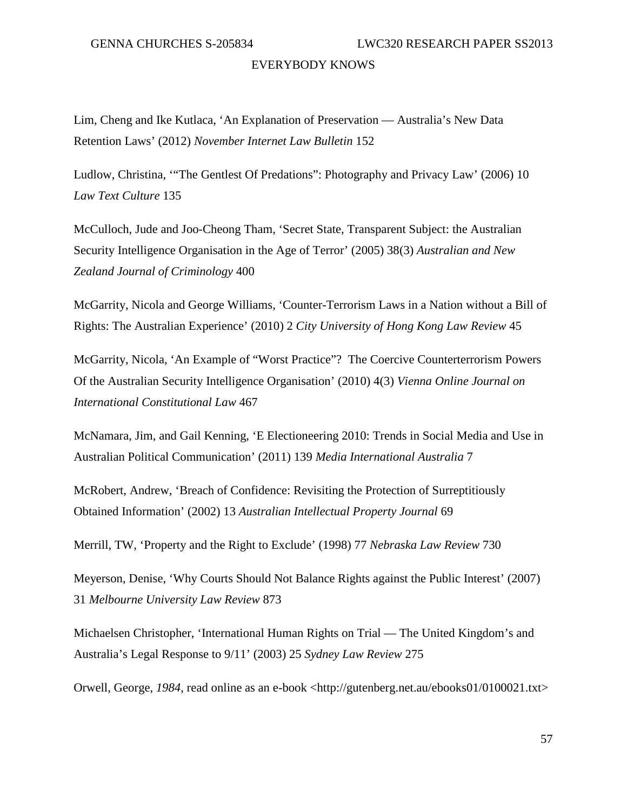Lim, Cheng and Ike Kutlaca, 'An Explanation of Preservation — Australia's New Data Retention Laws' (2012) *November Internet Law Bulletin* 152

Ludlow, Christina, '"The Gentlest Of Predations": Photography and Privacy Law' (2006) 10 *Law Text Culture* 135

McCulloch, Jude and Joo-Cheong Tham, 'Secret State, Transparent Subject: the Australian Security Intelligence Organisation in the Age of Terror' (2005) 38(3) *Australian and New Zealand Journal of Criminology* 400

McGarrity, Nicola and George Williams, 'Counter-Terrorism Laws in a Nation without a Bill of Rights: The Australian Experience' (2010) 2 *City University of Hong Kong Law Review* 45

McGarrity, Nicola, 'An Example of "Worst Practice"? The Coercive Counterterrorism Powers Of the Australian Security Intelligence Organisation' (2010) 4(3) *Vienna Online Journal on International Constitutional Law* 467

McNamara, Jim, and Gail Kenning, 'E Electioneering 2010: Trends in Social Media and Use in Australian Political Communication' (2011) 139 *Media International Australia* 7

McRobert, Andrew, 'Breach of Confidence: Revisiting the Protection of Surreptitiously Obtained Information' (2002) 13 *Australian Intellectual Property Journal* 69

Merrill, TW, 'Property and the Right to Exclude' (1998) 77 *Nebraska Law Review* 730

Meyerson, Denise, 'Why Courts Should Not Balance Rights against the Public Interest' (2007) 31 *Melbourne University Law Review* 873

Michaelsen Christopher, 'International Human Rights on Trial — The United Kingdom's and Australia's Legal Response to 9/11' (2003) 25 *Sydney Law Review* 275

Orwell, George, *1984*, read online as an e-book <http://gutenberg.net.au/ebooks01/0100021.txt>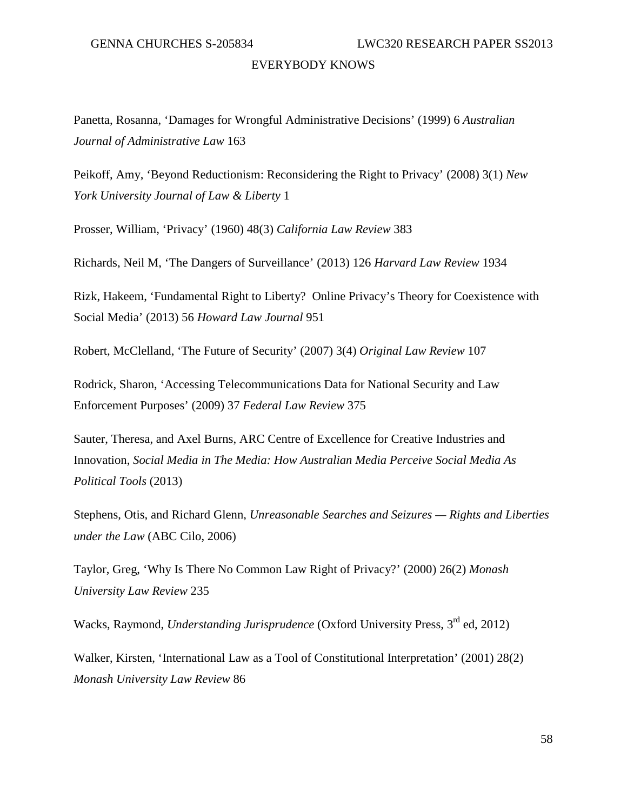Panetta, Rosanna, 'Damages for Wrongful Administrative Decisions' (1999) 6 *Australian Journal of Administrative Law* 163

Peikoff, Amy, 'Beyond Reductionism: Reconsidering the Right to Privacy' (2008) 3(1) *New York University Journal of Law & Liberty* 1

Prosser, William, 'Privacy' (1960) 48(3) *California Law Review* 383

Richards, Neil M, 'The Dangers of Surveillance' (2013) 126 *Harvard Law Review* 1934

Rizk, Hakeem, 'Fundamental Right to Liberty? Online Privacy's Theory for Coexistence with Social Media' (2013) 56 *Howard Law Journal* 951

Robert, McClelland, 'The Future of Security' (2007) 3(4) *Original Law Review* 107

Rodrick, Sharon, 'Accessing Telecommunications Data for National Security and Law Enforcement Purposes' (2009) 37 *Federal Law Review* 375

Sauter, Theresa, and Axel Burns, ARC Centre of Excellence for Creative Industries and Innovation, *Social Media in The Media: How Australian Media Perceive Social Media As Political Tools* (2013)

Stephens, Otis, and Richard Glenn, *Unreasonable Searches and Seizures — Rights and Liberties under the Law* (ABC Cilo, 2006)

Taylor, Greg, 'Why Is There No Common Law Right of Privacy?' (2000) 26(2) *Monash University Law Review* 235

Wacks, Raymond, *Understanding Jurisprudence* (Oxford University Press, 3<sup>rd</sup> ed, 2012)

Walker, Kirsten, 'International Law as a Tool of Constitutional Interpretation' (2001) 28(2) *Monash University Law Review* 86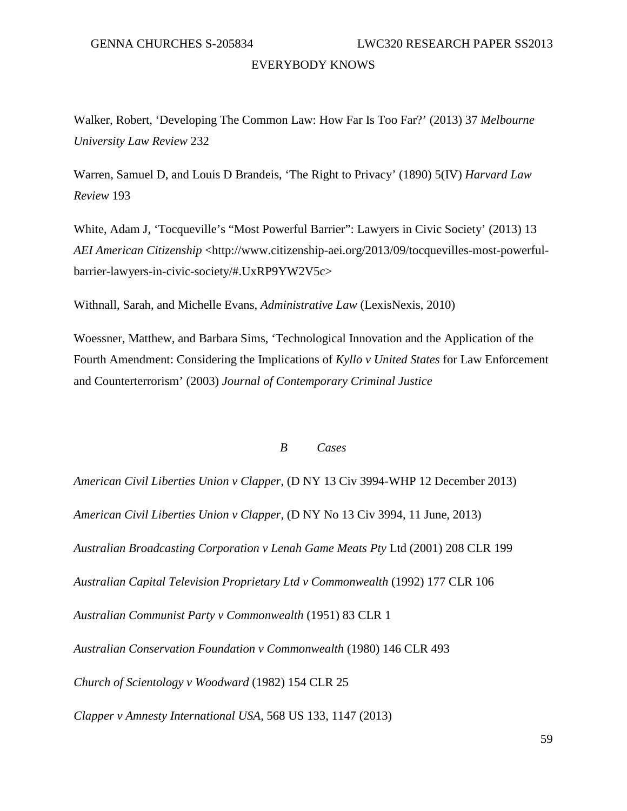Walker, Robert, 'Developing The Common Law: How Far Is Too Far?' (2013) 37 *Melbourne University Law Review* 232

Warren, Samuel D, and Louis D Brandeis, 'The Right to Privacy' (1890) 5(IV) *Harvard Law Review* 193

White, Adam J, 'Tocqueville's "Most Powerful Barrier": Lawyers in Civic Society' (2013) 13 *AEI American Citizenship* <http://www.citizenship-aei.org/2013/09/tocquevilles-most-powerfulbarrier-lawyers-in-civic-society/#.UxRP9YW2V5c>

Withnall, Sarah, and Michelle Evans, *Administrative Law* (LexisNexis, 2010)

Woessner, Matthew, and Barbara Sims, 'Technological Innovation and the Application of the Fourth Amendment: Considering the Implications of *Kyllo v United States* for Law Enforcement and Counterterrorism' (2003) *Journal of Contemporary Criminal Justice*

### *B Cases*

*American Civil Liberties Union v Clapper*, (D NY 13 Civ 3994-WHP 12 December 2013) *American Civil Liberties Union v Clapper,* (D NY No 13 Civ 3994, 11 June, 2013) *Australian Broadcasting Corporation v Lenah Game Meats Pty* Ltd (2001) 208 CLR 199 *Australian Capital Television Proprietary Ltd v Commonwealth* (1992) 177 CLR 106 *Australian Communist Party v Commonwealth* (1951) 83 CLR 1 *Australian Conservation Foundation v Commonwealth* (1980) 146 CLR 493 *Church of Scientology v Woodward* (1982) 154 CLR 25 *Clapper v Amnesty International USA*, 568 US 133, 1147 (2013)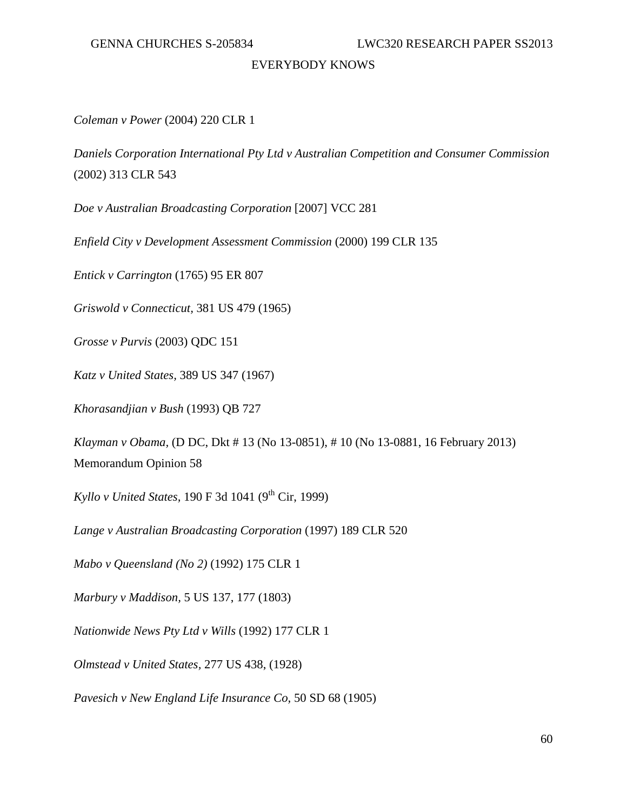# *Coleman v Power* (2004) 220 CLR 1

*Daniels Corporation International Pty Ltd v Australian Competition and Consumer Commission* (2002) 313 CLR 543

*Doe v Australian Broadcasting Corporation* [2007] VCC 281

*Enfield City v Development Assessment Commission* (2000) 199 CLR 135

*Entick v Carrington* (1765) 95 ER 807

*Griswold v Connecticut,* 381 US 479 (1965)

*Grosse v Purvis* (2003) QDC 151

*Katz v United States,* 389 US 347 (1967)

*Khorasandjian v Bush* (1993) QB 727

*Klayman v Obama,* (D DC, Dkt # 13 (No 13-0851), # 10 (No 13-0881, 16 February 2013) Memorandum Opinion 58

*Kyllo v United States,* 190 F 3d 1041 (9<sup>th</sup> Cir, 1999)

*Lange v Australian Broadcasting Corporation* (1997) 189 CLR 520

*Mabo v Queensland (No 2)* (1992) 175 CLR 1

*Marbury v Maddison,* 5 US 137, 177 (1803)

*Nationwide News Pty Ltd v Wills* (1992) 177 CLR 1

*Olmstead v United States,* 277 US 438, (1928)

*Pavesich v New England Life Insurance Co,* 50 SD 68 (1905)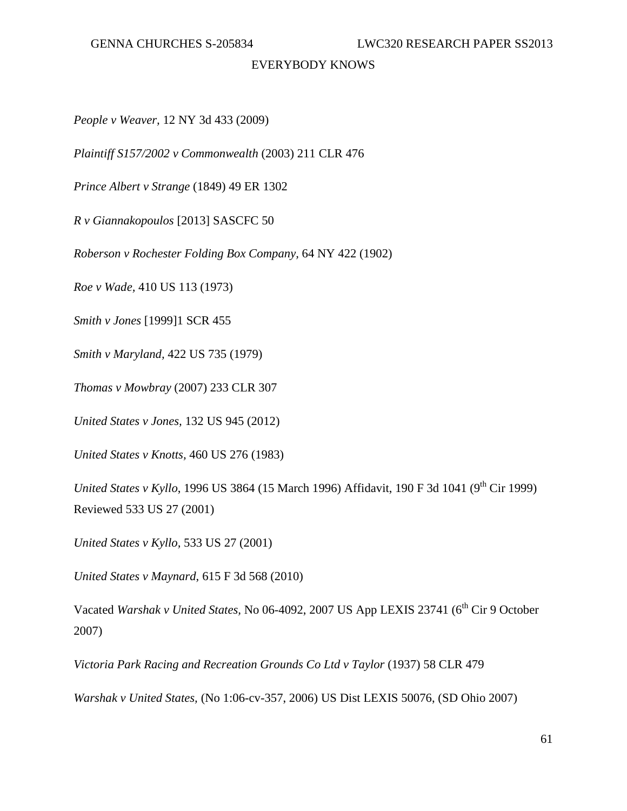*People v Weaver,* 12 NY 3d 433 (2009)

*Plaintiff S157/2002 v Commonwealth* (2003) 211 CLR 476

*Prince Albert v Strange* (1849) 49 ER 1302

*R v Giannakopoulos* [2013] SASCFC 50

*Roberson v Rochester Folding Box Company,* 64 NY 422 (1902)

*Roe v Wade,* 410 US 113 (1973)

*Smith v Jones* [1999]1 SCR 455

*Smith v Maryland,* 422 US 735 (1979)

*Thomas v Mowbray* (2007) 233 CLR 307

*United States v Jones,* 132 US 945 (2012)

*United States v Knotts,* 460 US 276 (1983)

*United States v Kyllo*, 1996 US 3864 (15 March 1996) Affidavit, 190 F 3d 1041 (9<sup>th</sup> Cir 1999) Reviewed 533 US 27 (2001)

*United States v Kyllo,* 533 US 27 (2001)

*United States v Maynard*, 615 F 3d 568 (2010)

Vacated *Warshak v United States, No 06-4092, 2007 US App LEXIS 23741* (6<sup>th</sup> Cir 9 October 2007)

*Victoria Park Racing and Recreation Grounds Co Ltd v Taylor* (1937) 58 CLR 479

*Warshak v United States,* (No 1:06-cv-357, 2006) US Dist LEXIS 50076, (SD Ohio 2007)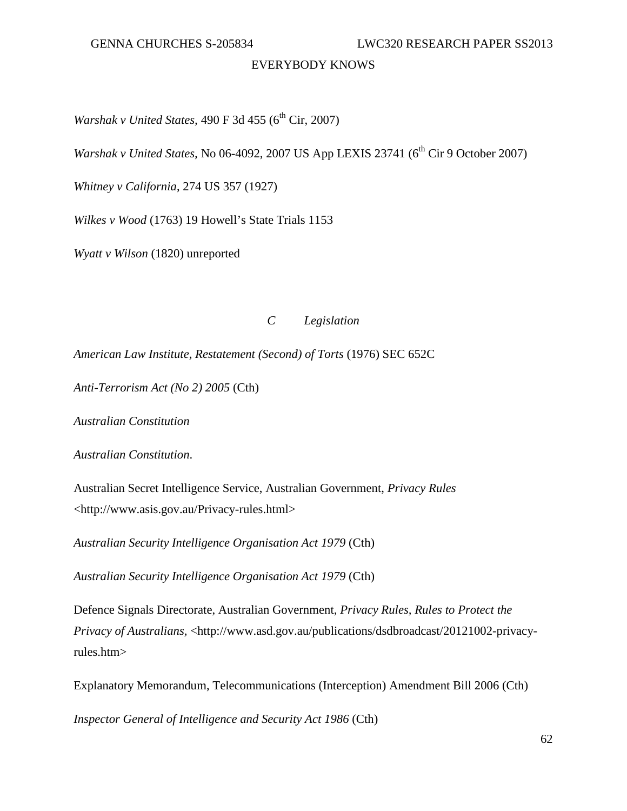GENNA CHURCHES S-205834 LWC320 RESEARCH PAPER SS2013

# EVERYBODY KNOWS

*Warshak v United States,* 490 F 3d 455 (6<sup>th</sup> Cir, 2007)

*Warshak v United States, No 06-4092, 2007 US App LEXIS 23741 (6<sup>th</sup> Cir 9 October 2007)* 

*Whitney v California*, 274 US 357 (1927)

*Wilkes v Wood* (1763) 19 Howell's State Trials 1153

*Wyatt v Wilson* (1820) unreported

# *C Legislation*

*American Law Institute, Restatement (Second) of Torts* (1976) SEC 652C

*Anti-Terrorism Act (No 2) 2005* (Cth)

*Australian Constitution*

*Australian Constitution*.

Australian Secret Intelligence Service, Australian Government, *Privacy Rules* <http://www.asis.gov.au/Privacy-rules.html>

*Australian Security Intelligence Organisation Act 1979* (Cth)

*Australian Security Intelligence Organisation Act 1979* (Cth)

Defence Signals Directorate, Australian Government, *Privacy Rules, Rules to Protect the Privacy of Australians, <http://www.asd.gov.au/publications/dsdbroadcast/20121002-privacy*rules.htm>

Explanatory Memorandum, Telecommunications (Interception) Amendment Bill 2006 (Cth)

*Inspector General of Intelligence and Security Act 1986* (Cth)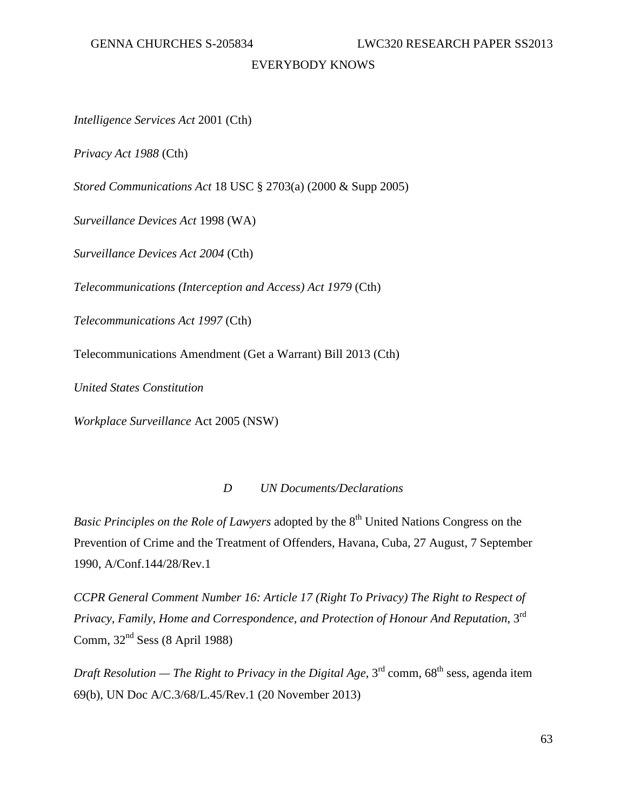*Intelligence Services Act* 2001 (Cth)

*Privacy Act 1988* (Cth)

*Stored Communications Act* 18 USC § 2703(a) (2000 & Supp 2005)

*Surveillance Devices Act* 1998 (WA)

*Surveillance Devices Act 2004* (Cth)

*Telecommunications (Interception and Access) Act 1979* (Cth)

*Telecommunications Act 1997* (Cth)

Telecommunications Amendment (Get a Warrant) Bill 2013 (Cth)

*United States Constitution*

*Workplace Surveillance* Act 2005 (NSW)

## *D UN Documents/Declarations*

*Basic Principles on the Role of Lawyers* adopted by the 8<sup>th</sup> United Nations Congress on the Prevention of Crime and the Treatment of Offenders, Havana, Cuba, 27 August, 7 September 1990, A/Conf.144/28/Rev.1

*CCPR General Comment Number 16: Article 17 (Right To Privacy) The Right to Respect of Privacy, Family, Home and Correspondence, and Protection of Honour And Reputation*, 3rd Comm,  $32<sup>nd</sup> Sess (8 April 1988)$ 

*Draft Resolution — The Right to Privacy in the Digital Age*,  $3<sup>rd</sup>$  comm,  $68<sup>th</sup>$  sess, agenda item 69(b), UN Doc A/C.3/68/L.45/Rev.1 (20 November 2013)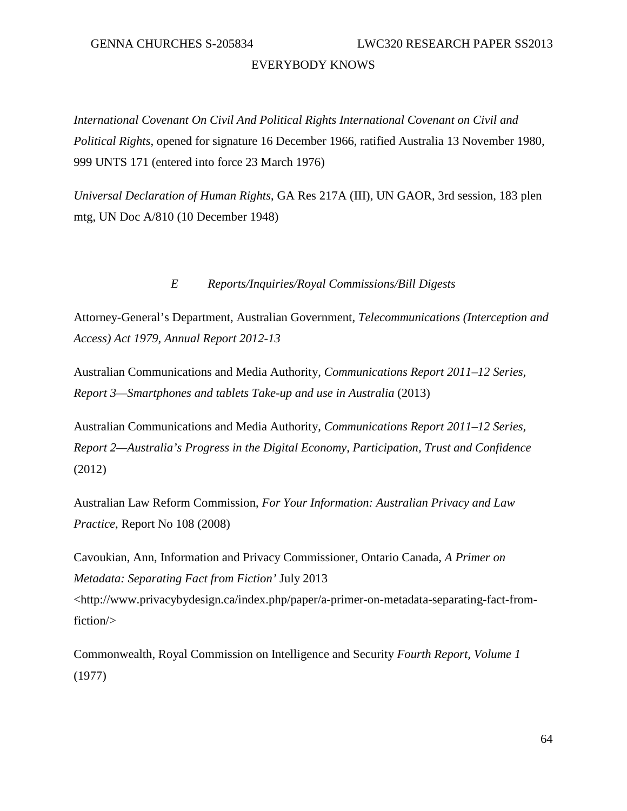*International Covenant On Civil And Political Rights International Covenant on Civil and Political Rights*, opened for signature 16 December 1966, ratified Australia 13 November 1980, 999 UNTS 171 (entered into force 23 March 1976)

*Universal Declaration of Human Rights*, GA Res 217A (III), UN GAOR, 3rd session, 183 plen mtg, UN Doc A/810 (10 December 1948)

# *E Reports/Inquiries/Royal Commissions/Bill Digests*

Attorney-General's Department, Australian Government, *Telecommunications (Interception and Access) Act 1979, Annual Report 2012-13*

Australian Communications and Media Authority, *Communications Report 2011–12 Series, Report 3—Smartphones and tablets Take-up and use in Australia* (2013)

Australian Communications and Media Authority, *Communications Report 2011–12 Series, Report 2—Australia's Progress in the Digital Economy, Participation, Trust and Confidence* (2012)

Australian Law Reform Commission, *For Your Information: Australian Privacy and Law Practice*, Report No 108 (2008)

Cavoukian, Ann, Information and Privacy Commissioner, Ontario Canada, *A Primer on Metadata: Separating Fact from Fiction'* July 2013 <http://www.privacybydesign.ca/index.php/paper/a-primer-on-metadata-separating-fact-fromfiction/>

Commonwealth, Royal Commission on Intelligence and Security *Fourth Report, Volume 1* (1977)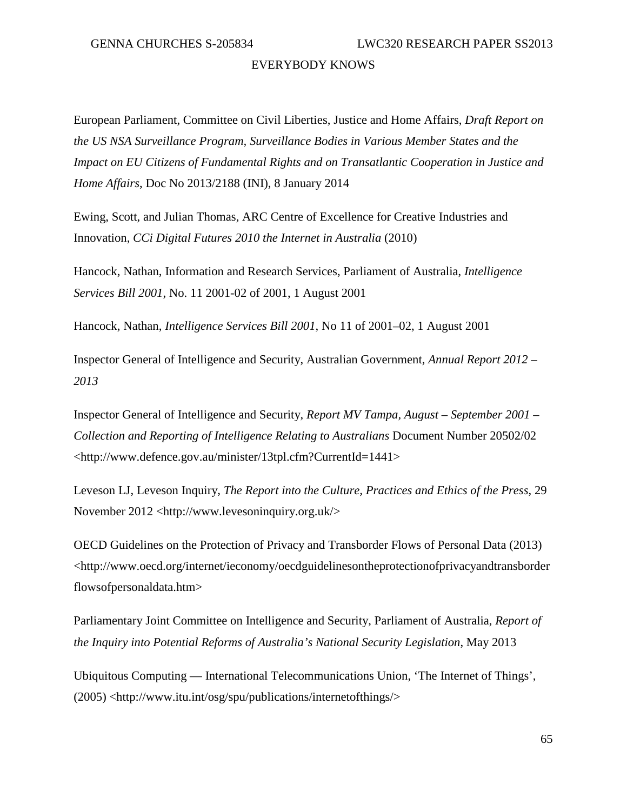European Parliament, Committee on Civil Liberties, Justice and Home Affairs, *Draft Report on the US NSA Surveillance Program, Surveillance Bodies in Various Member States and the Impact on EU Citizens of Fundamental Rights and on Transatlantic Cooperation in Justice and Home Affairs*, Doc No 2013/2188 (INI), 8 January 2014

Ewing, Scott, and Julian Thomas, ARC Centre of Excellence for Creative Industries and Innovation, *CCi Digital Futures 2010 the Internet in Australia* (2010)

Hancock, Nathan, Information and Research Services, Parliament of Australia, *Intelligence Services Bill 2001*, No. 11 2001-02 of 2001, 1 August 2001

Hancock, Nathan, *Intelligence Services Bill 2001*, No 11 of 2001–02, 1 August 2001

Inspector General of Intelligence and Security, Australian Government, *Annual Report 2012 – 2013*

Inspector General of Intelligence and Security, *Report MV Tampa, August – September 2001 – Collection and Reporting of Intelligence Relating to Australians* Document Number 20502/02 <http://www.defence.gov.au/minister/13tpl.cfm?CurrentId=1441>

Leveson LJ, Leveson Inquiry, *The Report into the Culture, Practices and Ethics of the Press*, 29 November 2012 <http://www.levesoninquiry.org.uk/>

OECD Guidelines on the Protection of Privacy and Transborder Flows of Personal Data (2013) <http://www.oecd.org/internet/ieconomy/oecdguidelinesontheprotectionofprivacyandtransborder flowsofpersonaldata.htm>

Parliamentary Joint Committee on Intelligence and Security, Parliament of Australia, *Report of the Inquiry into Potential Reforms of Australia's National Security Legislation*, May 2013

Ubiquitous Computing — International Telecommunications Union, 'The Internet of Things', (2005) <http://www.itu.int/osg/spu/publications/internetofthings/>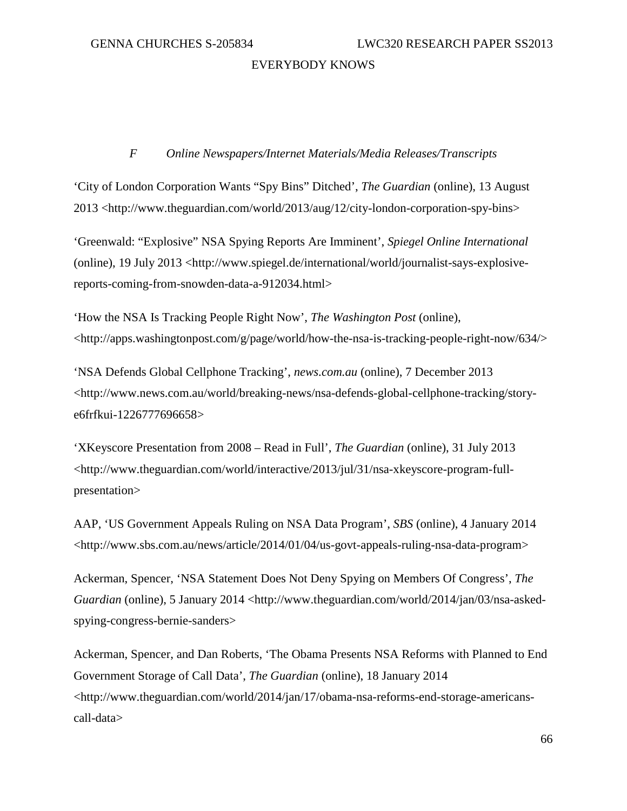# *F Online Newspapers/Internet Materials/Media Releases/Transcripts*

'City of London Corporation Wants "Spy Bins" Ditched', *The Guardian* (online), 13 August 2013 <http://www.theguardian.com/world/2013/aug/12/city-london-corporation-spy-bins>

'Greenwald: "Explosive" NSA Spying Reports Are Imminent', *Spiegel Online International* (online), 19 July 2013 <http://www.spiegel.de/international/world/journalist-says-explosivereports-coming-from-snowden-data-a-912034.html>

'How the NSA Is Tracking People Right Now', *The Washington Post* (online),  $\lt$ http://apps.washingtonpost.com/g/page/world/how-the-nsa-is-tracking-people-right-now/634/>

'NSA Defends Global Cellphone Tracking', *news.com.au* (online), 7 December 2013 <http://www.news.com.au/world/breaking-news/nsa-defends-global-cellphone-tracking/storye6frfkui-1226777696658>

'XKeyscore Presentation from 2008 – Read in Full', *The Guardian* (online), 31 July 2013 <http://www.theguardian.com/world/interactive/2013/jul/31/nsa-xkeyscore-program-fullpresentation>

AAP, 'US Government Appeals Ruling on NSA Data Program', *SBS* (online), 4 January 2014 <http://www.sbs.com.au/news/article/2014/01/04/us-govt-appeals-ruling-nsa-data-program>

Ackerman, Spencer, 'NSA Statement Does Not Deny Spying on Members Of Congress', *The Guardian* (online), 5 January 2014 <http://www.theguardian.com/world/2014/jan/03/nsa-askedspying-congress-bernie-sanders>

Ackerman, Spencer, and Dan Roberts, 'The Obama Presents NSA Reforms with Planned to End Government Storage of Call Data', *The Guardian* (online), 18 January 2014 <http://www.theguardian.com/world/2014/jan/17/obama-nsa-reforms-end-storage-americanscall-data>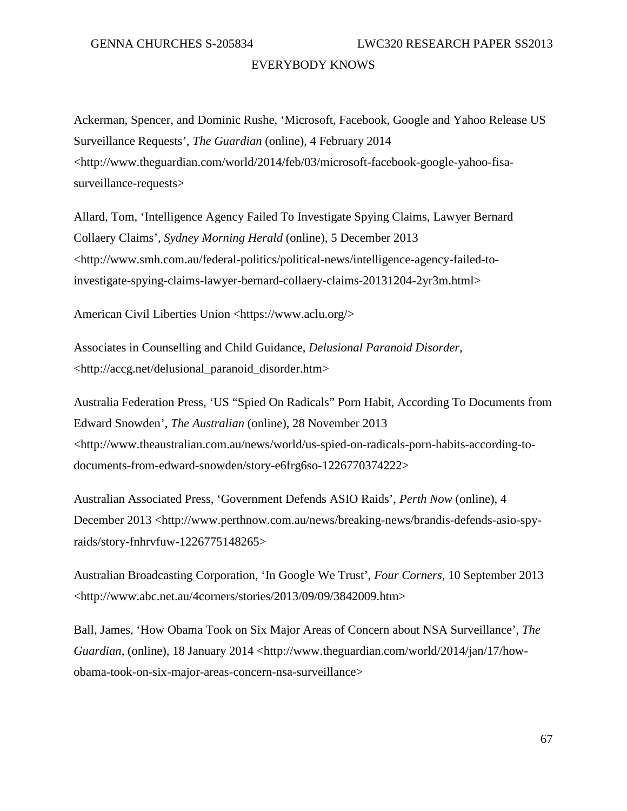Ackerman, Spencer, and Dominic Rushe, 'Microsoft, Facebook, Google and Yahoo Release US Surveillance Requests', *The Guardian* (online), 4 February 2014 <http://www.theguardian.com/world/2014/feb/03/microsoft-facebook-google-yahoo-fisasurveillance-requests>

Allard, Tom, 'Intelligence Agency Failed To Investigate Spying Claims, Lawyer Bernard Collaery Claims', *Sydney Morning Herald* (online), 5 December 2013 <http://www.smh.com.au/federal-politics/political-news/intelligence-agency-failed-toinvestigate-spying-claims-lawyer-bernard-collaery-claims-20131204-2yr3m.html>

American Civil Liberties Union <https://www.aclu.org/>

Associates in Counselling and Child Guidance, *Delusional Paranoid Disorder*, <http://accg.net/delusional\_paranoid\_disorder.htm>

Australia Federation Press, 'US "Spied On Radicals" Porn Habit, According To Documents from Edward Snowden', *The Australian* (online), 28 November 2013 <http://www.theaustralian.com.au/news/world/us-spied-on-radicals-porn-habits-according-todocuments-from-edward-snowden/story-e6frg6so-1226770374222>

Australian Associated Press, 'Government Defends ASIO Raids', *Perth Now* (online), 4 December 2013 <http://www.perthnow.com.au/news/breaking-news/brandis-defends-asio-spyraids/story-fnhrvfuw-1226775148265>

Australian Broadcasting Corporation, 'In Google We Trust', *Four Corners*, 10 September 2013 <http://www.abc.net.au/4corners/stories/2013/09/09/3842009.htm>

Ball, James, 'How Obama Took on Six Major Areas of Concern about NSA Surveillance', *The Guardian*, (online), 18 January 2014 <http://www.theguardian.com/world/2014/jan/17/howobama-took-on-six-major-areas-concern-nsa-surveillance>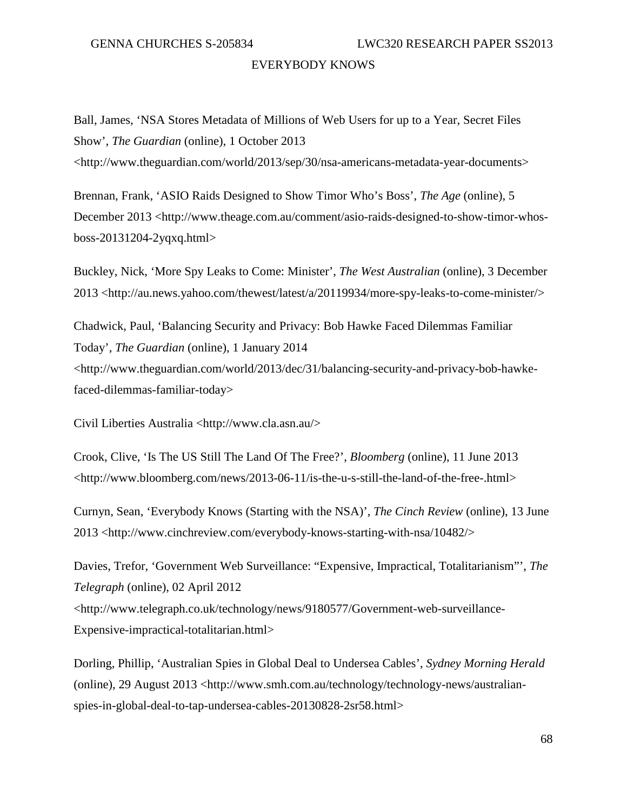Ball, James, 'NSA Stores Metadata of Millions of Web Users for up to a Year, Secret Files Show', *The Guardian* (online), 1 October 2013 <http://www.theguardian.com/world/2013/sep/30/nsa-americans-metadata-year-documents>

Brennan, Frank, 'ASIO Raids Designed to Show Timor Who's Boss', *The Age* (online), 5 December 2013 <http://www.theage.com.au/comment/asio-raids-designed-to-show-timor-whosboss-20131204-2yqxq.html>

Buckley, Nick, 'More Spy Leaks to Come: Minister', *The West Australian* (online), 3 December 2013 <http://au.news.yahoo.com/thewest/latest/a/20119934/more-spy-leaks-to-come-minister/>

Chadwick, Paul, 'Balancing Security and Privacy: Bob Hawke Faced Dilemmas Familiar Today', *The Guardian* (online), 1 January 2014 <http://www.theguardian.com/world/2013/dec/31/balancing-security-and-privacy-bob-hawkefaced-dilemmas-familiar-today>

Civil Liberties Australia <http://www.cla.asn.au/>

Crook, Clive, 'Is The US Still The Land Of The Free?', *Bloomberg* (online), 11 June 2013 <http://www.bloomberg.com/news/2013-06-11/is-the-u-s-still-the-land-of-the-free-.html>

Curnyn, Sean, 'Everybody Knows (Starting with the NSA)', *The Cinch Review* (online), 13 June 2013 <http://www.cinchreview.com/everybody-knows-starting-with-nsa/10482/>

Davies, Trefor, 'Government Web Surveillance: "Expensive, Impractical, Totalitarianism"', *The Telegraph* (online), 02 April 2012 <http://www.telegraph.co.uk/technology/news/9180577/Government-web-surveillance-Expensive-impractical-totalitarian.html>

Dorling, Phillip, 'Australian Spies in Global Deal to Undersea Cables', *Sydney Morning Herald* (online), 29 August 2013 <http://www.smh.com.au/technology/technology-news/australianspies-in-global-deal-to-tap-undersea-cables-20130828-2sr58.html>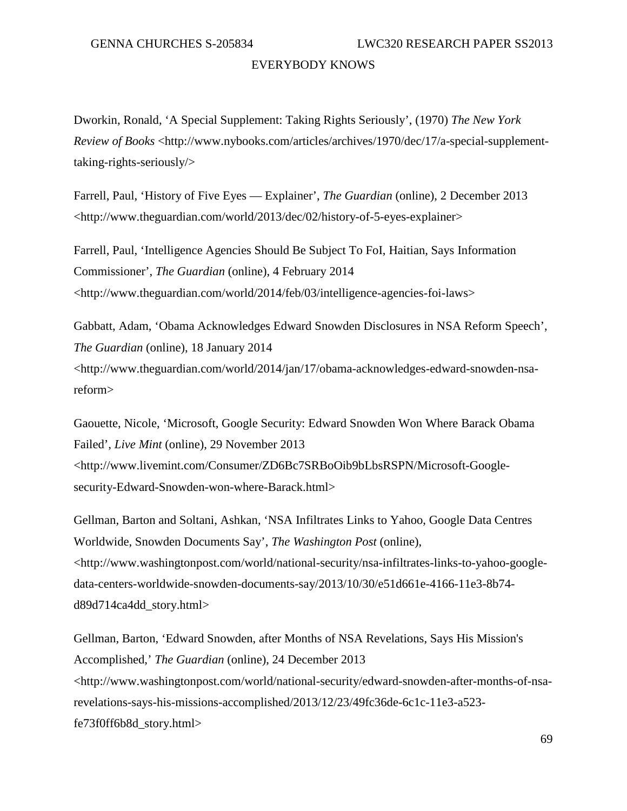Dworkin, Ronald, 'A Special Supplement: Taking Rights Seriously', (1970) *The New York Review of Books* <http://www.nybooks.com/articles/archives/1970/dec/17/a-special-supplementtaking-rights-seriously/>

Farrell, Paul, 'History of Five Eyes — Explainer', *The Guardian* (online), 2 December 2013 <http://www.theguardian.com/world/2013/dec/02/history-of-5-eyes-explainer>

Farrell, Paul, 'Intelligence Agencies Should Be Subject To FoI, Haitian, Says Information Commissioner', *The Guardian* (online), 4 February 2014 <http://www.theguardian.com/world/2014/feb/03/intelligence-agencies-foi-laws>

Gabbatt, Adam, 'Obama Acknowledges Edward Snowden Disclosures in NSA Reform Speech', *The Guardian* (online), 18 January 2014 <http://www.theguardian.com/world/2014/jan/17/obama-acknowledges-edward-snowden-nsareform>

Gaouette, Nicole, 'Microsoft, Google Security: Edward Snowden Won Where Barack Obama Failed', *Live Mint* (online), 29 November 2013 <http://www.livemint.com/Consumer/ZD6Bc7SRBoOib9bLbsRSPN/Microsoft-Googlesecurity-Edward-Snowden-won-where-Barack.html>

Gellman, Barton and Soltani, Ashkan, 'NSA Infiltrates Links to Yahoo, Google Data Centres Worldwide, Snowden Documents Say', *The Washington Post* (online), <http://www.washingtonpost.com/world/national-security/nsa-infiltrates-links-to-yahoo-googledata-centers-worldwide-snowden-documents-say/2013/10/30/e51d661e-4166-11e3-8b74 d89d714ca4dd\_story.html>

Gellman, Barton, 'Edward Snowden, after Months of NSA Revelations, Says His Mission's Accomplished,' *The Guardian* (online), 24 December 2013 <http://www.washingtonpost.com/world/national-security/edward-snowden-after-months-of-nsarevelations-says-his-missions-accomplished/2013/12/23/49fc36de-6c1c-11e3-a523 fe73f0ff6b8d\_story.html>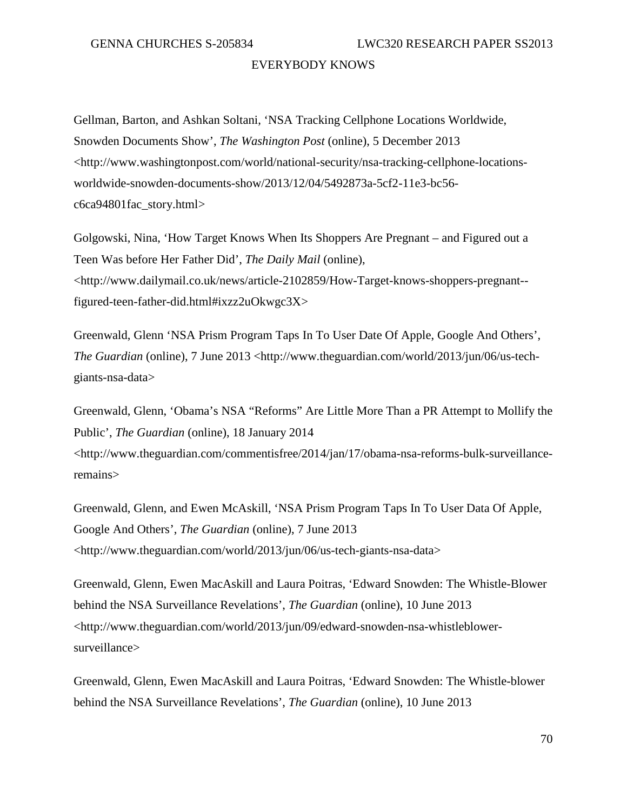Gellman, Barton, and Ashkan Soltani, 'NSA Tracking Cellphone Locations Worldwide, Snowden Documents Show', *The Washington Post* (online), 5 December 2013 <http://www.washingtonpost.com/world/national-security/nsa-tracking-cellphone-locationsworldwide-snowden-documents-show/2013/12/04/5492873a-5cf2-11e3-bc56 c6ca94801fac\_story.html>

Golgowski, Nina, 'How Target Knows When Its Shoppers Are Pregnant – and Figured out a Teen Was before Her Father Did', *The Daily Mail* (online), <http://www.dailymail.co.uk/news/article-2102859/How-Target-knows-shoppers-pregnant- figured-teen-father-did.html#ixzz2uOkwgc3X>

Greenwald, Glenn 'NSA Prism Program Taps In To User Date Of Apple, Google And Others', *The Guardian* (online), 7 June 2013 <http://www.theguardian.com/world/2013/jun/06/us-techgiants-nsa-data>

Greenwald, Glenn, 'Obama's NSA "Reforms" Are Little More Than a PR Attempt to Mollify the Public', *The Guardian* (online), 18 January 2014 <http://www.theguardian.com/commentisfree/2014/jan/17/obama-nsa-reforms-bulk-surveillanceremains>

Greenwald, Glenn, and Ewen McAskill, 'NSA Prism Program Taps In To User Data Of Apple, Google And Others', *The Guardian* (online), 7 June 2013 <http://www.theguardian.com/world/2013/jun/06/us-tech-giants-nsa-data>

Greenwald, Glenn, Ewen MacAskill and Laura Poitras, 'Edward Snowden: The Whistle-Blower behind the NSA Surveillance Revelations', *The Guardian* (online), 10 June 2013 <http://www.theguardian.com/world/2013/jun/09/edward-snowden-nsa-whistleblowersurveillance>

Greenwald, Glenn, Ewen MacAskill and Laura Poitras, 'Edward Snowden: The Whistle-blower behind the NSA Surveillance Revelations', *The Guardian* (online), 10 June 2013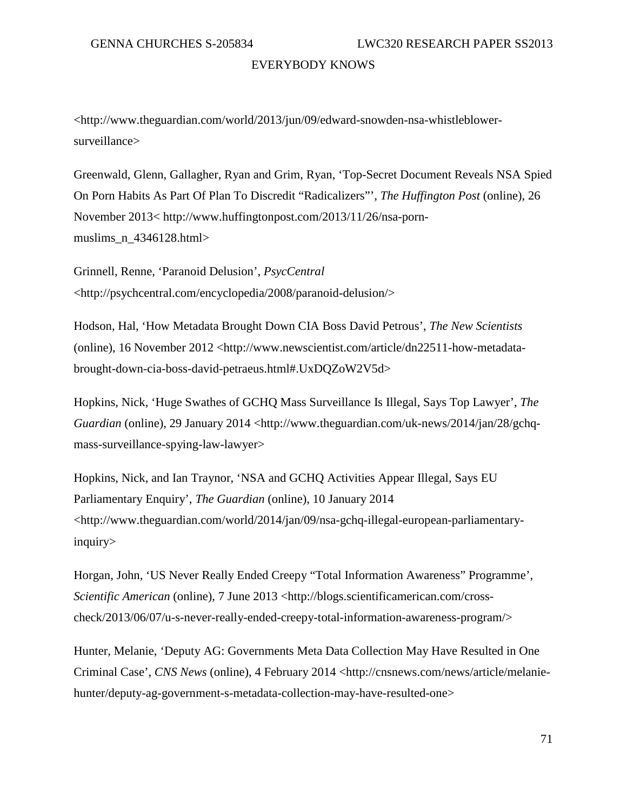<http://www.theguardian.com/world/2013/jun/09/edward-snowden-nsa-whistleblowersurveillance>

Greenwald, Glenn, Gallagher, Ryan and Grim, Ryan, 'Top-Secret Document Reveals NSA Spied On Porn Habits As Part Of Plan To Discredit "Radicalizers"', *The Huffington Post* (online), 26 November 2013< http://www.huffingtonpost.com/2013/11/26/nsa-pornmuslims  $n$  4346128.html>

Grinnell, Renne, 'Paranoid Delusion', *PsycCentral* <http://psychcentral.com/encyclopedia/2008/paranoid-delusion/>

Hodson, Hal, 'How Metadata Brought Down CIA Boss David Petrous', *The New Scientists* (online), 16 November 2012 <http://www.newscientist.com/article/dn22511-how-metadatabrought-down-cia-boss-david-petraeus.html#.UxDQZoW2V5d>

Hopkins, Nick, 'Huge Swathes of GCHQ Mass Surveillance Is Illegal, Says Top Lawyer', *The Guardian* (online), 29 January 2014 <http://www.theguardian.com/uk-news/2014/jan/28/gchqmass-surveillance-spying-law-lawyer>

Hopkins, Nick, and Ian Traynor, 'NSA and GCHQ Activities Appear Illegal, Says EU Parliamentary Enquiry', *The Guardian* (online), 10 January 2014 <http://www.theguardian.com/world/2014/jan/09/nsa-gchq-illegal-european-parliamentaryinquiry>

Horgan, John, 'US Never Really Ended Creepy "Total Information Awareness" Programme', *Scientific American* (online), 7 June 2013 <http://blogs.scientificamerican.com/crosscheck/2013/06/07/u-s-never-really-ended-creepy-total-information-awareness-program/>

Hunter, Melanie, 'Deputy AG: Governments Meta Data Collection May Have Resulted in One Criminal Case', *CNS News* (online), 4 February 2014 <http://cnsnews.com/news/article/melaniehunter/deputy-ag-government-s-metadata-collection-may-have-resulted-one>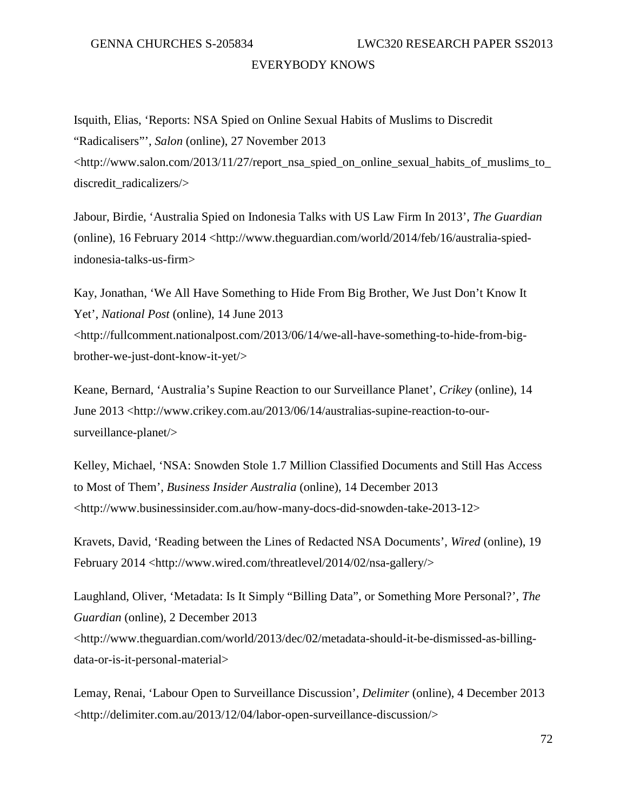Isquith, Elias, 'Reports: NSA Spied on Online Sexual Habits of Muslims to Discredit "Radicalisers"', *Salon* (online), 27 November 2013  $\lt$ http://www.salon.com/2013/11/27/report\_nsa\_spied\_on\_online\_sexual\_habits\_of\_muslims\_to discredit\_radicalizers/>

Jabour, Birdie, 'Australia Spied on Indonesia Talks with US Law Firm In 2013', *The Guardian* (online), 16 February 2014 <http://www.theguardian.com/world/2014/feb/16/australia-spiedindonesia-talks-us-firm>

Kay, Jonathan, 'We All Have Something to Hide From Big Brother, We Just Don't Know It Yet', *National Post* (online), 14 June 2013 <http://fullcomment.nationalpost.com/2013/06/14/we-all-have-something-to-hide-from-bigbrother-we-just-dont-know-it-yet/>

Keane, Bernard, 'Australia's Supine Reaction to our Surveillance Planet', *Crikey* (online), 14 June 2013 <http://www.crikey.com.au/2013/06/14/australias-supine-reaction-to-oursurveillance-planet/>

Kelley, Michael, 'NSA: Snowden Stole 1.7 Million Classified Documents and Still Has Access to Most of Them', *Business Insider Australia* (online), 14 December 2013 <http://www.businessinsider.com.au/how-many-docs-did-snowden-take-2013-12>

Kravets, David, 'Reading between the Lines of Redacted NSA Documents', *Wired* (online), 19 February 2014 <http://www.wired.com/threatlevel/2014/02/nsa-gallery/>

Laughland, Oliver, 'Metadata: Is It Simply "Billing Data", or Something More Personal?', *The Guardian* (online), 2 December 2013 <http://www.theguardian.com/world/2013/dec/02/metadata-should-it-be-dismissed-as-billingdata-or-is-it-personal-material>

Lemay, Renai, 'Labour Open to Surveillance Discussion', *Delimiter* (online), 4 December 2013 <http://delimiter.com.au/2013/12/04/labor-open-surveillance-discussion/>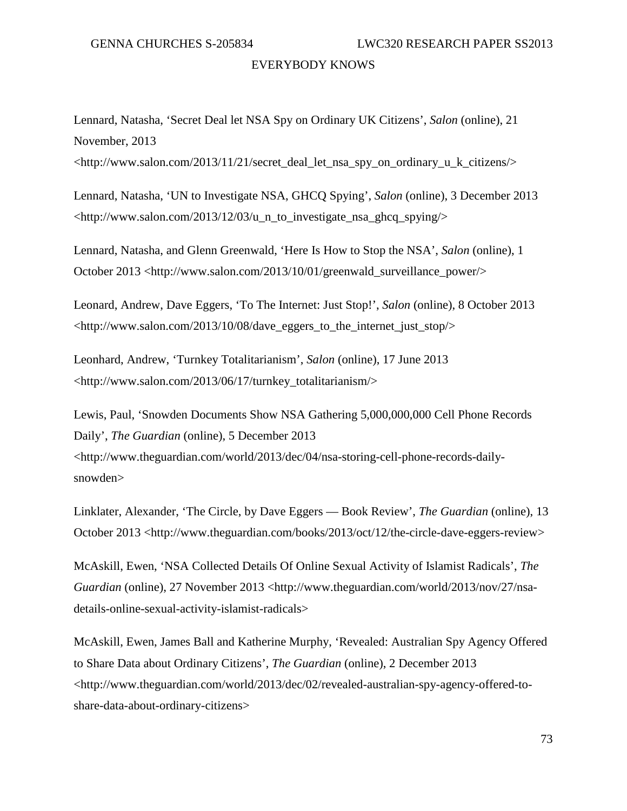GENNA CHURCHES S-205834 LWC320 RESEARCH PAPER SS2013

# EVERYBODY KNOWS

Lennard, Natasha, 'Secret Deal let NSA Spy on Ordinary UK Citizens', *Salon* (online), 21 November, 2013

 $\lt$ http://www.salon.com/2013/11/21/secret\_deal\_let\_nsa\_spy\_on\_ordinary\_u\_k\_citizens/>

Lennard, Natasha, 'UN to Investigate NSA, GHCQ Spying', *Salon* (online), 3 December 2013 <http://www.salon.com/2013/12/03/u\_n\_to\_investigate\_nsa\_ghcq\_spying/>

Lennard, Natasha, and Glenn Greenwald, 'Here Is How to Stop the NSA', *Salon* (online), 1 October 2013 <http://www.salon.com/2013/10/01/greenwald\_surveillance\_power/>

Leonard, Andrew, Dave Eggers, 'To The Internet: Just Stop!', *Salon* (online), 8 October 2013 <http://www.salon.com/2013/10/08/dave\_eggers\_to\_the\_internet\_just\_stop/>

Leonhard, Andrew, 'Turnkey Totalitarianism', *Salon* (online), 17 June 2013 <http://www.salon.com/2013/06/17/turnkey\_totalitarianism/>

Lewis, Paul, 'Snowden Documents Show NSA Gathering 5,000,000,000 Cell Phone Records Daily', *The Guardian* (online), 5 December 2013 <http://www.theguardian.com/world/2013/dec/04/nsa-storing-cell-phone-records-dailysnowden>

Linklater, Alexander, 'The Circle, by Dave Eggers — Book Review', *The Guardian* (online), 13 October 2013 <http://www.theguardian.com/books/2013/oct/12/the-circle-dave-eggers-review>

McAskill, Ewen, 'NSA Collected Details Of Online Sexual Activity of Islamist Radicals', *The Guardian* (online), 27 November 2013 <http://www.theguardian.com/world/2013/nov/27/nsadetails-online-sexual-activity-islamist-radicals>

McAskill, Ewen, James Ball and Katherine Murphy, 'Revealed: Australian Spy Agency Offered to Share Data about Ordinary Citizens', *The Guardian* (online), 2 December 2013 <http://www.theguardian.com/world/2013/dec/02/revealed-australian-spy-agency-offered-toshare-data-about-ordinary-citizens>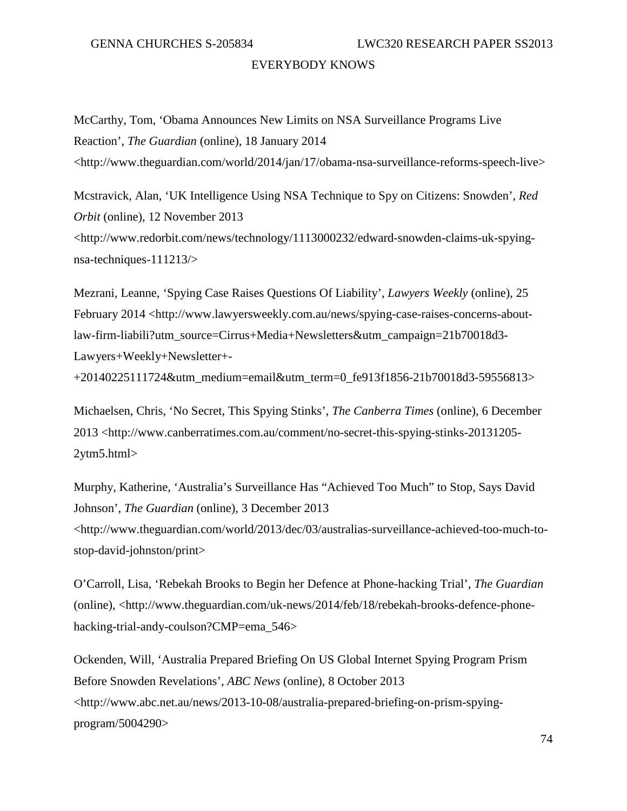McCarthy, Tom, 'Obama Announces New Limits on NSA Surveillance Programs Live Reaction', *The Guardian* (online), 18 January 2014 <http://www.theguardian.com/world/2014/jan/17/obama-nsa-surveillance-reforms-speech-live>

Mcstravick, Alan, 'UK Intelligence Using NSA Technique to Spy on Citizens: Snowden', *Red Orbit* (online), 12 November 2013 <http://www.redorbit.com/news/technology/1113000232/edward-snowden-claims-uk-spyingnsa-techniques-111213/>

Mezrani, Leanne, 'Spying Case Raises Questions Of Liability', *Lawyers Weekly* (online), 25 February 2014 <http://www.lawyersweekly.com.au/news/spying-case-raises-concerns-aboutlaw-firm-liabili?utm\_source=Cirrus+Media+Newsletters&utm\_campaign=21b70018d3- Lawyers+Weekly+Newsletter+-

+20140225111724&utm\_medium=email&utm\_term=0\_fe913f1856-21b70018d3-59556813>

Michaelsen, Chris, 'No Secret, This Spying Stinks', *The Canberra Times* (online), 6 December 2013 <http://www.canberratimes.com.au/comment/no-secret-this-spying-stinks-20131205- 2ytm5.html>

Murphy, Katherine, 'Australia's Surveillance Has "Achieved Too Much" to Stop, Says David Johnson', *The Guardian* (online), 3 December 2013 <http://www.theguardian.com/world/2013/dec/03/australias-surveillance-achieved-too-much-tostop-david-johnston/print>

O'Carroll, Lisa, 'Rebekah Brooks to Begin her Defence at Phone-hacking Trial', *The Guardian* (online), <http://www.theguardian.com/uk-news/2014/feb/18/rebekah-brooks-defence-phonehacking-trial-andy-coulson?CMP=ema\_546>

Ockenden, Will, 'Australia Prepared Briefing On US Global Internet Spying Program Prism Before Snowden Revelations', *ABC News* (online), 8 October 2013 <http://www.abc.net.au/news/2013-10-08/australia-prepared-briefing-on-prism-spyingprogram/5004290>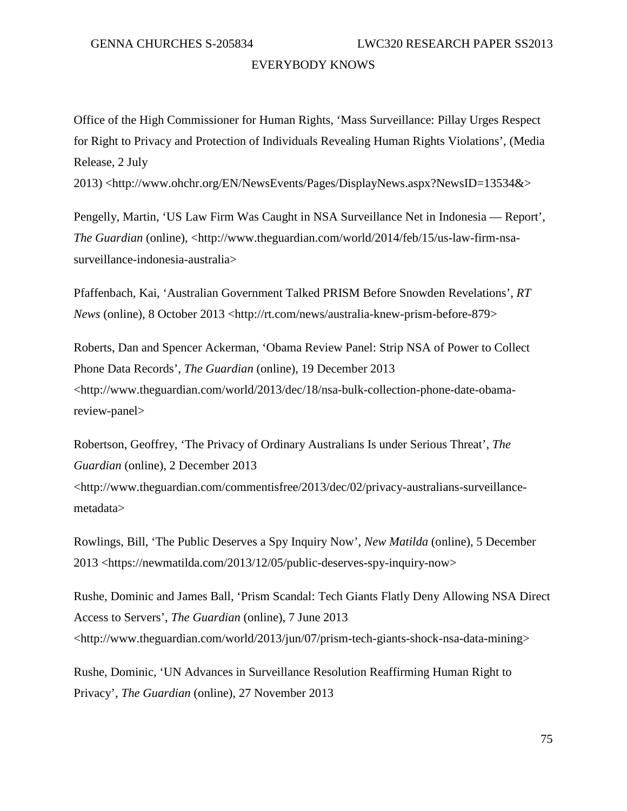Office of the High Commissioner for Human Rights, 'Mass Surveillance: Pillay Urges Respect for Right to Privacy and Protection of Individuals Revealing Human Rights Violations', (Media Release, 2 July

2013) <http://www.ohchr.org/EN/NewsEvents/Pages/DisplayNews.aspx?NewsID=13534&>

Pengelly, Martin, 'US Law Firm Was Caught in NSA Surveillance Net in Indonesia — Report', *The Guardian* (online), <http://www.theguardian.com/world/2014/feb/15/us-law-firm-nsasurveillance-indonesia-australia>

Pfaffenbach, Kai, 'Australian Government Talked PRISM Before Snowden Revelations', *RT News* (online), 8 October 2013 <http://rt.com/news/australia-knew-prism-before-879>

Roberts, Dan and Spencer Ackerman, 'Obama Review Panel: Strip NSA of Power to Collect Phone Data Records', *The Guardian* (online), 19 December 2013 <http://www.theguardian.com/world/2013/dec/18/nsa-bulk-collection-phone-date-obamareview-panel>

Robertson, Geoffrey, 'The Privacy of Ordinary Australians Is under Serious Threat', *The Guardian* (online), 2 December 2013 <http://www.theguardian.com/commentisfree/2013/dec/02/privacy-australians-surveillancemetadata>

Rowlings, Bill, 'The Public Deserves a Spy Inquiry Now', *New Matilda* (online), 5 December 2013 <https://newmatilda.com/2013/12/05/public-deserves-spy-inquiry-now>

Rushe, Dominic and James Ball, 'Prism Scandal: Tech Giants Flatly Deny Allowing NSA Direct Access to Servers', *The Guardian* (online), 7 June 2013 <http://www.theguardian.com/world/2013/jun/07/prism-tech-giants-shock-nsa-data-mining>

Rushe, Dominic, 'UN Advances in Surveillance Resolution Reaffirming Human Right to Privacy', *The Guardian* (online), 27 November 2013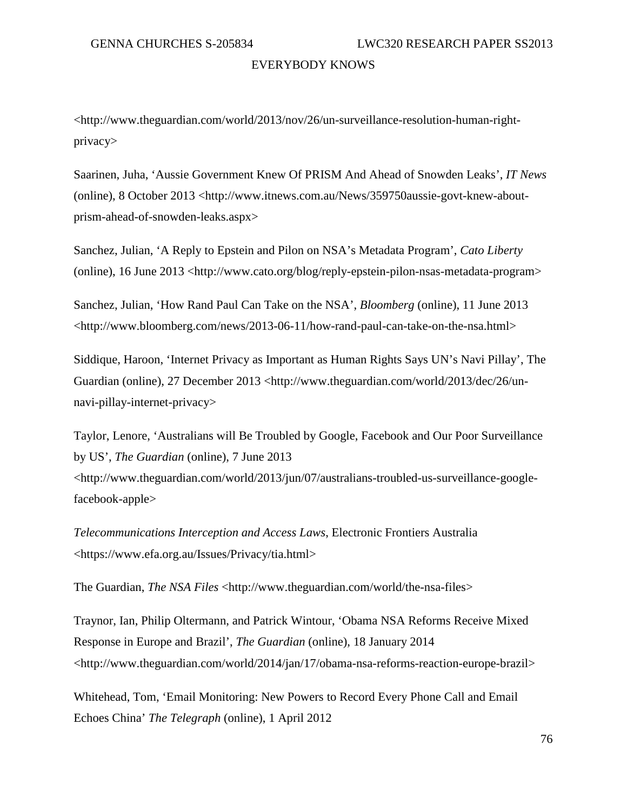<http://www.theguardian.com/world/2013/nov/26/un-surveillance-resolution-human-rightprivacy>

Saarinen, Juha, 'Aussie Government Knew Of PRISM And Ahead of Snowden Leaks', *IT News* (online), 8 October 2013 <http://www.itnews.com.au/News/359750aussie-govt-knew-aboutprism-ahead-of-snowden-leaks.aspx>

Sanchez, Julian, 'A Reply to Epstein and Pilon on NSA's Metadata Program', *Cato Liberty* (online), 16 June 2013 <http://www.cato.org/blog/reply-epstein-pilon-nsas-metadata-program>

Sanchez, Julian, 'How Rand Paul Can Take on the NSA', *Bloomberg* (online), 11 June 2013 <http://www.bloomberg.com/news/2013-06-11/how-rand-paul-can-take-on-the-nsa.html>

Siddique, Haroon, 'Internet Privacy as Important as Human Rights Says UN's Navi Pillay', The Guardian (online), 27 December 2013 <http://www.theguardian.com/world/2013/dec/26/unnavi-pillay-internet-privacy>

Taylor, Lenore, 'Australians will Be Troubled by Google, Facebook and Our Poor Surveillance by US', *The Guardian* (online), 7 June 2013

<http://www.theguardian.com/world/2013/jun/07/australians-troubled-us-surveillance-googlefacebook-apple>

*Telecommunications Interception and Access Laws*, Electronic Frontiers Australia <https://www.efa.org.au/Issues/Privacy/tia.html>

The Guardian, *The NSA Files* <http://www.theguardian.com/world/the-nsa-files>

Traynor, Ian, Philip Oltermann, and Patrick Wintour, 'Obama NSA Reforms Receive Mixed Response in Europe and Brazil', *The Guardian* (online), 18 January 2014 <http://www.theguardian.com/world/2014/jan/17/obama-nsa-reforms-reaction-europe-brazil>

Whitehead, Tom, 'Email Monitoring: New Powers to Record Every Phone Call and Email Echoes China' *The Telegraph* (online), 1 April 2012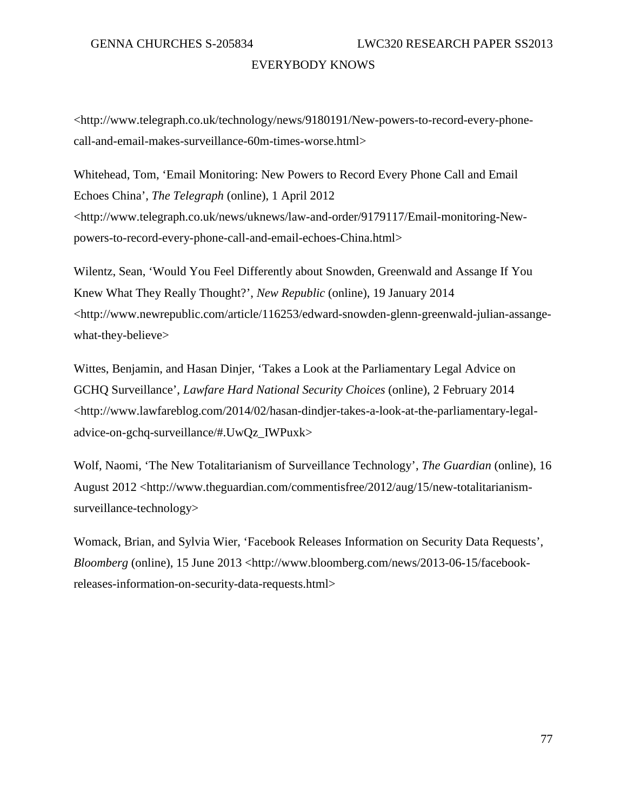<http://www.telegraph.co.uk/technology/news/9180191/New-powers-to-record-every-phonecall-and-email-makes-surveillance-60m-times-worse.html>

Whitehead, Tom, 'Email Monitoring: New Powers to Record Every Phone Call and Email Echoes China', *The Telegraph* (online), 1 April 2012 <http://www.telegraph.co.uk/news/uknews/law-and-order/9179117/Email-monitoring-Newpowers-to-record-every-phone-call-and-email-echoes-China.html>

Wilentz, Sean, 'Would You Feel Differently about Snowden, Greenwald and Assange If You Knew What They Really Thought?', *New Republic* (online), 19 January 2014 <http://www.newrepublic.com/article/116253/edward-snowden-glenn-greenwald-julian-assangewhat-they-believe>

Wittes, Benjamin, and Hasan Dinjer, 'Takes a Look at the Parliamentary Legal Advice on GCHQ Surveillance', *Lawfare Hard National Security Choices* (online), 2 February 2014 <http://www.lawfareblog.com/2014/02/hasan-dindjer-takes-a-look-at-the-parliamentary-legaladvice-on-gchq-surveillance/#.UwQz\_IWPuxk>

Wolf, Naomi, 'The New Totalitarianism of Surveillance Technology', *The Guardian* (online), 16 August 2012 <http://www.theguardian.com/commentisfree/2012/aug/15/new-totalitarianismsurveillance-technology>

Womack, Brian, and Sylvia Wier, 'Facebook Releases Information on Security Data Requests', *Bloomberg* (online), 15 June 2013 <http://www.bloomberg.com/news/2013-06-15/facebookreleases-information-on-security-data-requests.html>